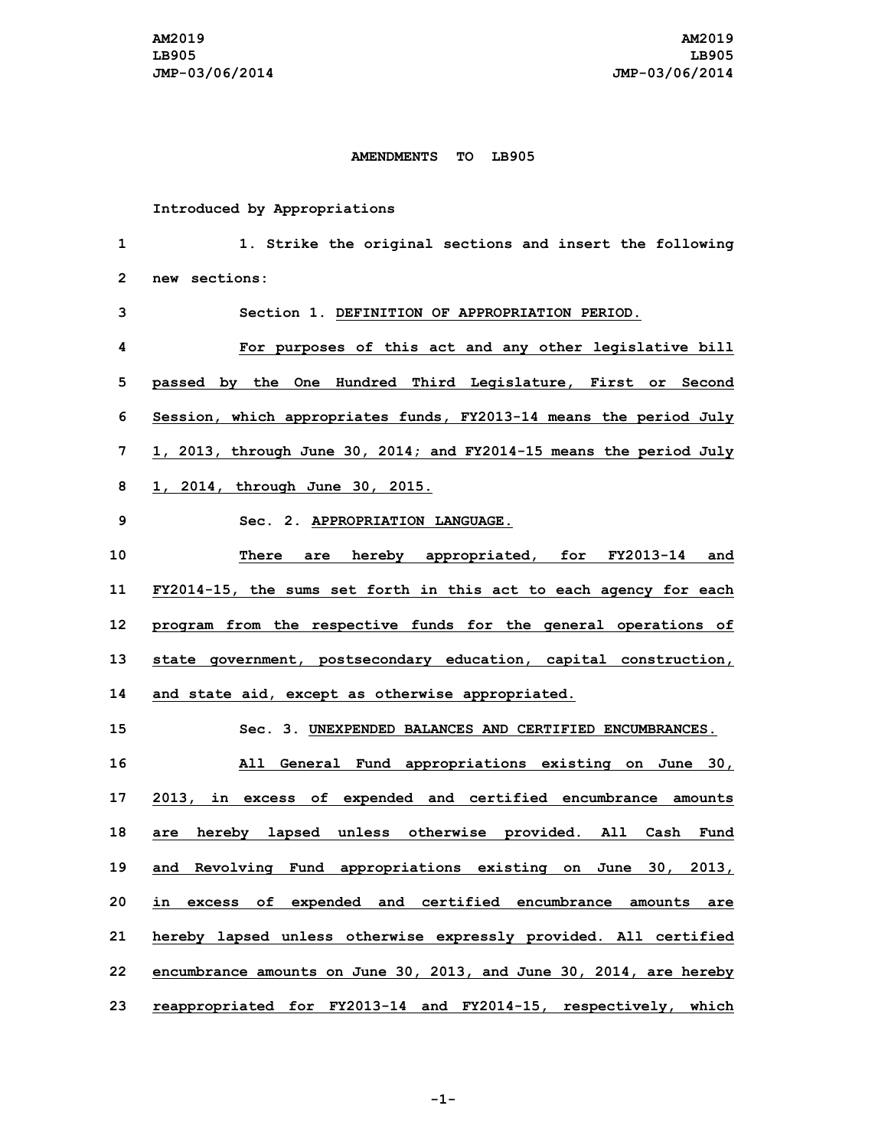## **AMENDMENTS TO LB905**

**Introduced by Appropriations**

 **1. Strike the original sections and insert the following new sections: Section 1. DEFINITION OF APPROPRIATION PERIOD. For purposes of this act and any other legislative bill passed by the One Hundred Third Legislature, First or Second Session, which appropriates funds, FY2013-14 means the period July 1, 2013, through June 30, 2014; and FY2014-15 means the period July 1, 2014, through June 30, 2015. Sec. 2. APPROPRIATION LANGUAGE. There are hereby appropriated, for FY2013-14 and FY2014-15, the sums set forth in this act to each agency for each program from the respective funds for the general operations of state government, postsecondary education, capital construction, and state aid, except as otherwise appropriated. Sec. 3. UNEXPENDED BALANCES AND CERTIFIED ENCUMBRANCES. All General Fund appropriations existing on June 30, 2013, in excess of expended and certified encumbrance amounts are hereby lapsed unless otherwise provided. All Cash Fund and Revolving Fund appropriations existing on June 30, 2013, in excess of expended and certified encumbrance amounts are hereby lapsed unless otherwise expressly provided. All certified encumbrance amounts on June 30, 2013, and June 30, 2014, are hereby reappropriated for FY2013-14 and FY2014-15, respectively, which**

**-1-**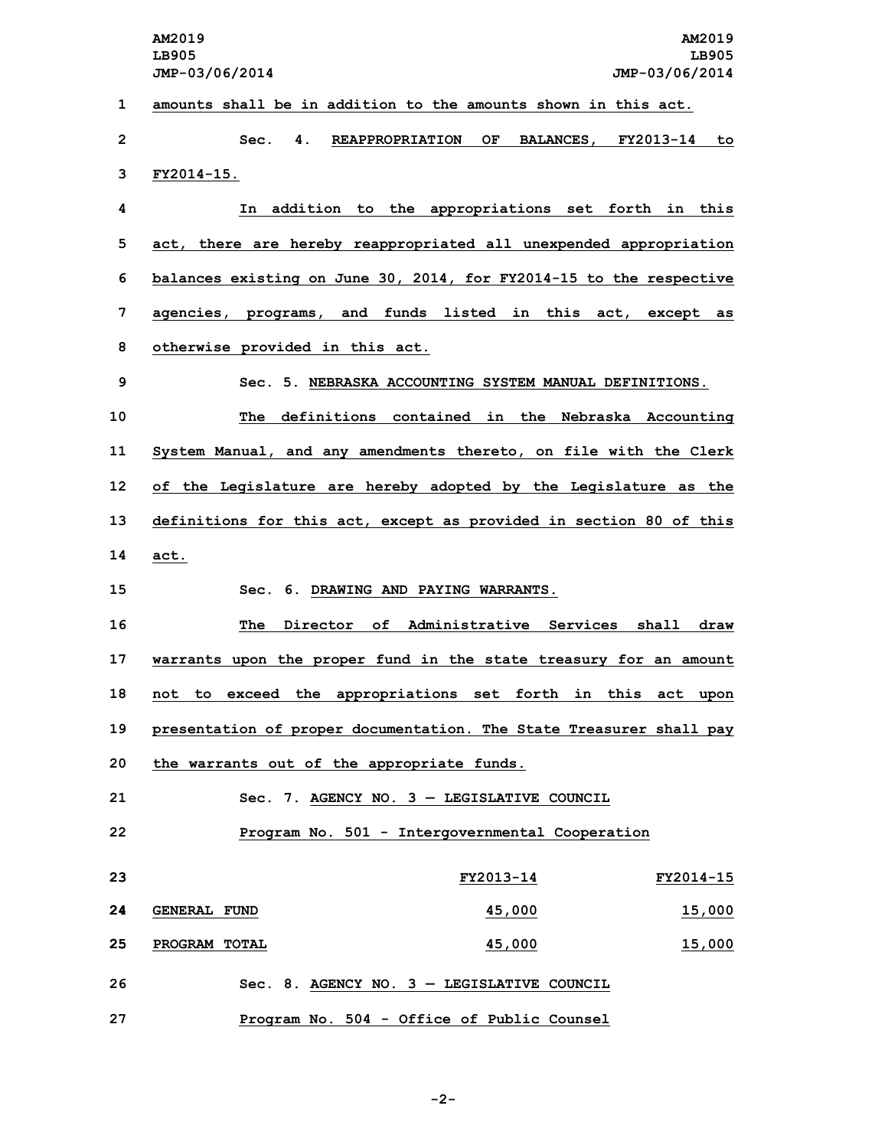**AM2019 AM2019 LB905 LB905 JMP-03/06/2014 JMP-03/06/2014 amounts shall be in addition to the amounts shown in this act. Sec. 4. REAPPROPRIATION OF BALANCES, FY2013-14 to FY2014-15. In addition to the appropriations set forth in this act, there are hereby reappropriated all unexpended appropriation balances existing on June 30, 2014, for FY2014-15 to the respective agencies, programs, and funds listed in this act, except as otherwise provided in this act. Sec. 5. NEBRASKA ACCOUNTING SYSTEM MANUAL DEFINITIONS. The definitions contained in the Nebraska Accounting System Manual, and any amendments thereto, on file with the Clerk of the Legislature are hereby adopted by the Legislature as the definitions for this act, except as provided in section 80 of this 14 act. Sec. 6. DRAWING AND PAYING WARRANTS. The Director of Administrative Services shall draw warrants upon the proper fund in the state treasury for an amount not to exceed the appropriations set forth in this act upon presentation of proper documentation. The State Treasurer shall pay the warrants out of the appropriate funds. Sec. 7. AGENCY NO. 3 — LEGISLATIVE COUNCIL Program No. 501 - Intergovernmental Cooperation FY2013-14 FY2014-15 GENERAL FUND 45,000 15,000 PROGRAM TOTAL 45,000 15,000 Sec. 8. AGENCY NO. 3 — LEGISLATIVE COUNCIL Program No. 504 - Office of Public Counsel**

**-2-**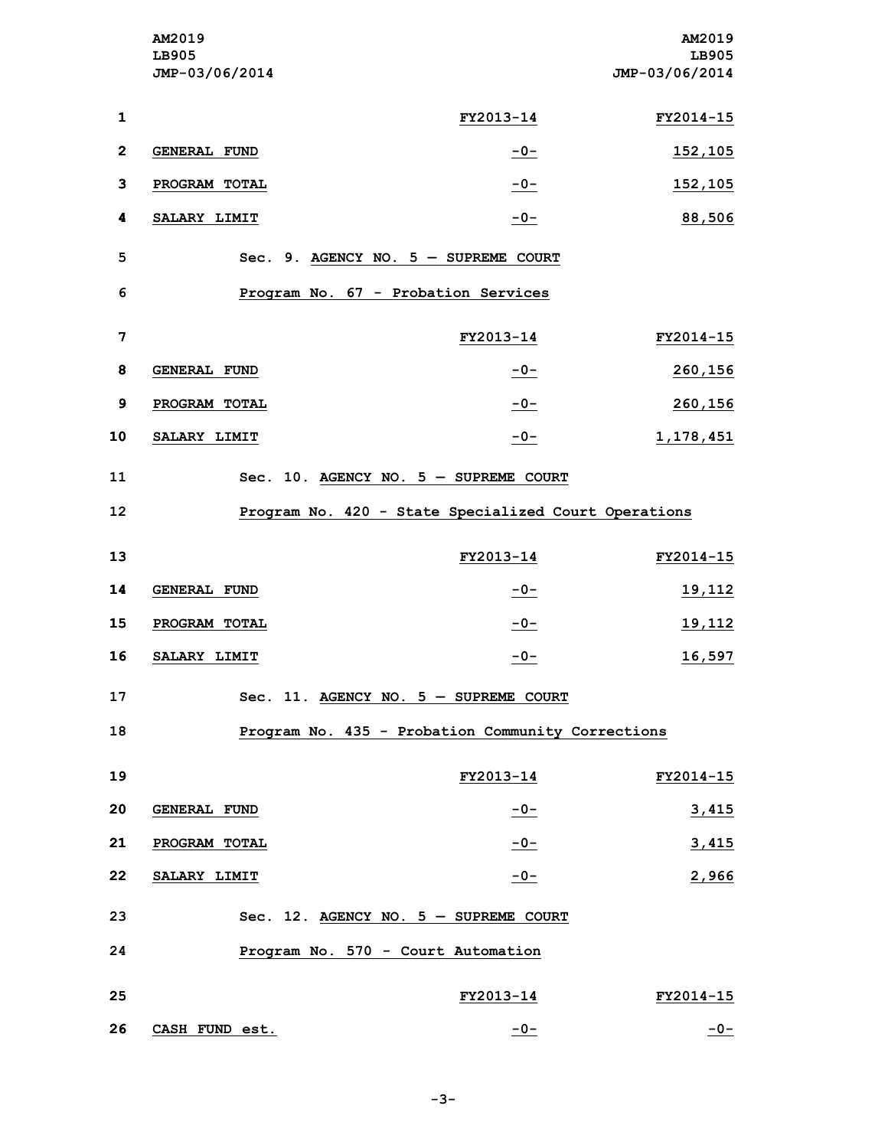|                 | AM2019<br>LB905<br>JMP-03/06/2014 |                                                      | AM2019<br>LB905<br>JMP-03/06/2014 |
|-----------------|-----------------------------------|------------------------------------------------------|-----------------------------------|
| $\mathbf{1}$    |                                   | FY2013-14                                            | FY2014-15                         |
| $\overline{2}$  | <b>GENERAL FUND</b>               | $-0-$                                                | 152,105                           |
| 3               | PROGRAM TOTAL                     | $-0-$                                                | 152,105                           |
| 4               | SALARY LIMIT                      | $-0-$                                                | 88,506                            |
| 5               |                                   | Sec. 9. AGENCY NO. $5$ - SUPREME COURT               |                                   |
| 6               |                                   | Program No. 67 - Probation Services                  |                                   |
| $\overline{7}$  |                                   | FY2013-14                                            | FY2014-15                         |
| 8               | <b>GENERAL FUND</b>               | $-0-$                                                | 260,156                           |
| 9               | PROGRAM TOTAL                     | $-0-$                                                | 260,156                           |
| 10              | SALARY LIMIT                      | $-0-$                                                | 1,178,451                         |
| 11              |                                   | Sec. 10. AGENCY NO. $5$ - SUPREME COURT              |                                   |
| 12 <sub>2</sub> |                                   | Program No. 420 - State Specialized Court Operations |                                   |
| 13              |                                   | FY2013-14                                            | FY2014-15                         |
| 14              | <b>GENERAL FUND</b>               | $-0-$                                                | 19,112                            |
| 15              | PROGRAM TOTAL                     | $-0-$                                                | 19,112                            |
| 16              | SALARY LIMIT                      | $-0-$                                                | 16,597                            |
| 17              |                                   | Sec. 11. AGENCY NO. $5 -$ SUPREME COURT              |                                   |
| 18              |                                   | Program No. 435 - Probation Community Corrections    |                                   |
|                 |                                   |                                                      |                                   |
| 19              |                                   | FY2013-14                                            | FY2014-15                         |
| 20              | <b>GENERAL FUND</b>               | $-0-$                                                | 3,415                             |
| 21              | PROGRAM TOTAL                     | $-0-$                                                | 3,415                             |
| 22              | SALARY LIMIT                      | $-0-$                                                | 2,966                             |
| 23              |                                   | Sec. 12. AGENCY NO. $5 -$ SUPREME COURT              |                                   |
| 24              |                                   | Program No. 570 - Court Automation                   |                                   |
| 25              |                                   | FY2013-14                                            | FY2014-15                         |
| 26              | CASH FUND est.                    | $-0-$                                                | $-0-$                             |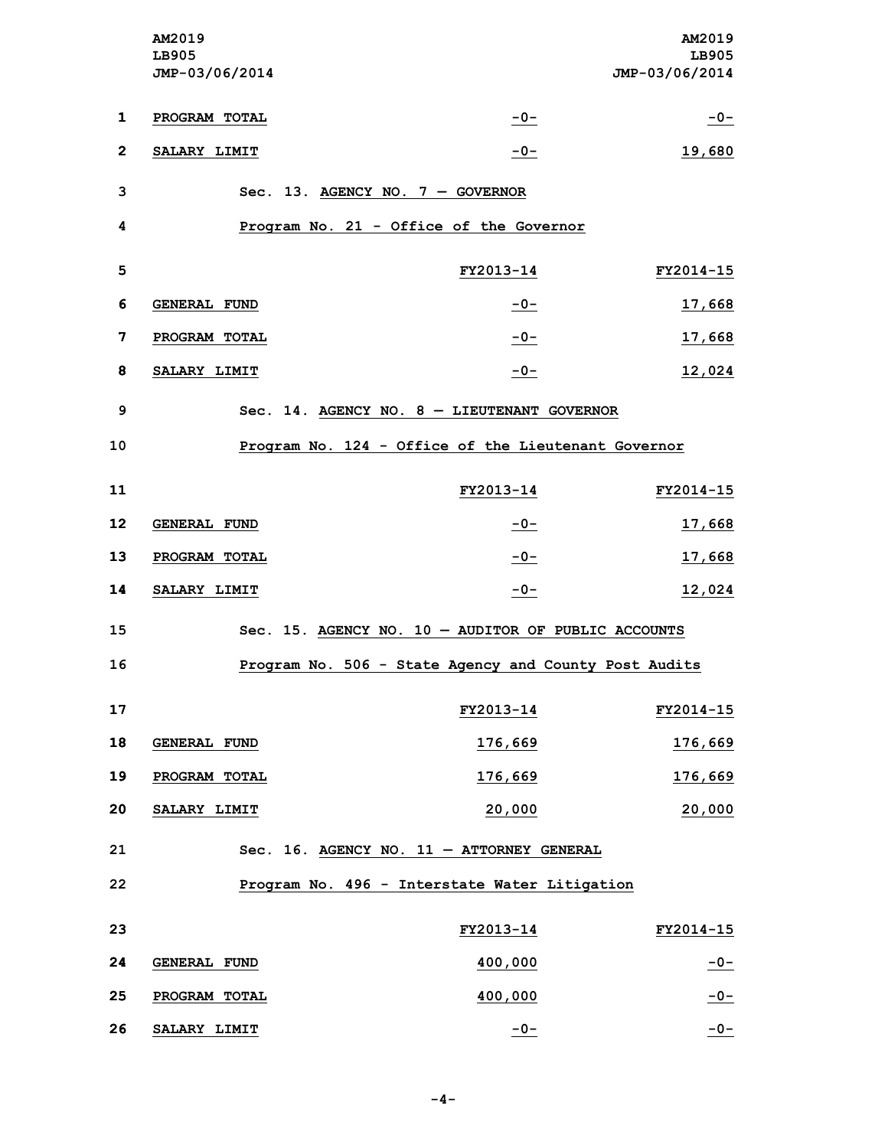|                         | AM2019<br>LB905<br>JMP-03/06/2014 |                                                       | AM2019<br>LB905<br>JMP-03/06/2014 |
|-------------------------|-----------------------------------|-------------------------------------------------------|-----------------------------------|
| $\mathbf{1}$            | PROGRAM TOTAL                     | $-0-$                                                 | $-0-$                             |
| $\overline{2}$          | SALARY LIMIT                      | $-0-$                                                 | 19,680                            |
| 3                       |                                   | Sec. 13. AGENCY NO. $7 -$ GOVERNOR                    |                                   |
| 4                       |                                   | Program No. 21 - Office of the Governor               |                                   |
| 5                       |                                   | FY2013-14                                             | FY2014-15                         |
| 6                       | <b>GENERAL FUND</b>               | $-0-$                                                 | 17,668                            |
| $\overline{\mathbf{z}}$ | PROGRAM TOTAL                     | $-0-$                                                 | 17,668                            |
| 8                       | SALARY LIMIT                      | $-0-$                                                 | 12,024                            |
| 9                       |                                   | Sec. 14. AGENCY NO. $8 - LIEUTENANT GOVERNOR$         |                                   |
| 10                      |                                   | Program No. 124 - Office of the Lieutenant Governor   |                                   |
| 11                      |                                   | FY2013-14                                             | FY2014-15                         |
| 12                      | <b>GENERAL FUND</b>               | $-0-$                                                 | 17,668                            |
| 13                      | PROGRAM TOTAL                     | $-0-$                                                 | 17,668                            |
| 14                      | SALARY LIMIT                      | $-0-$                                                 | 12,024                            |
| 15                      |                                   | Sec. 15. AGENCY NO. 10 - AUDITOR OF PUBLIC ACCOUNTS   |                                   |
| 16                      |                                   | Program No. 506 - State Agency and County Post Audits |                                   |
| 17                      |                                   | FY2013-14                                             | FY2014-15                         |
| 18                      | GENERAL FUND                      | 176,669                                               | 176,669                           |
| 19                      | PROGRAM TOTAL                     | 176,669                                               | 176,669                           |
| 20                      | SALARY LIMIT                      | 20,000                                                | 20,000                            |
| 21                      |                                   | Sec. 16. AGENCY NO. 11 - ATTORNEY GENERAL             |                                   |
| 22                      |                                   | Program No. 496 - Interstate Water Litigation         |                                   |
| 23                      |                                   | FY2013-14                                             | FY2014-15                         |
| 24                      | <b>GENERAL FUND</b>               | 400,000                                               | $-0-$                             |
| 25                      | PROGRAM TOTAL                     | 400,000                                               | $-0-$                             |
| 26                      | SALARY LIMIT                      | $-0-$                                                 | $-0-$                             |

**-4-**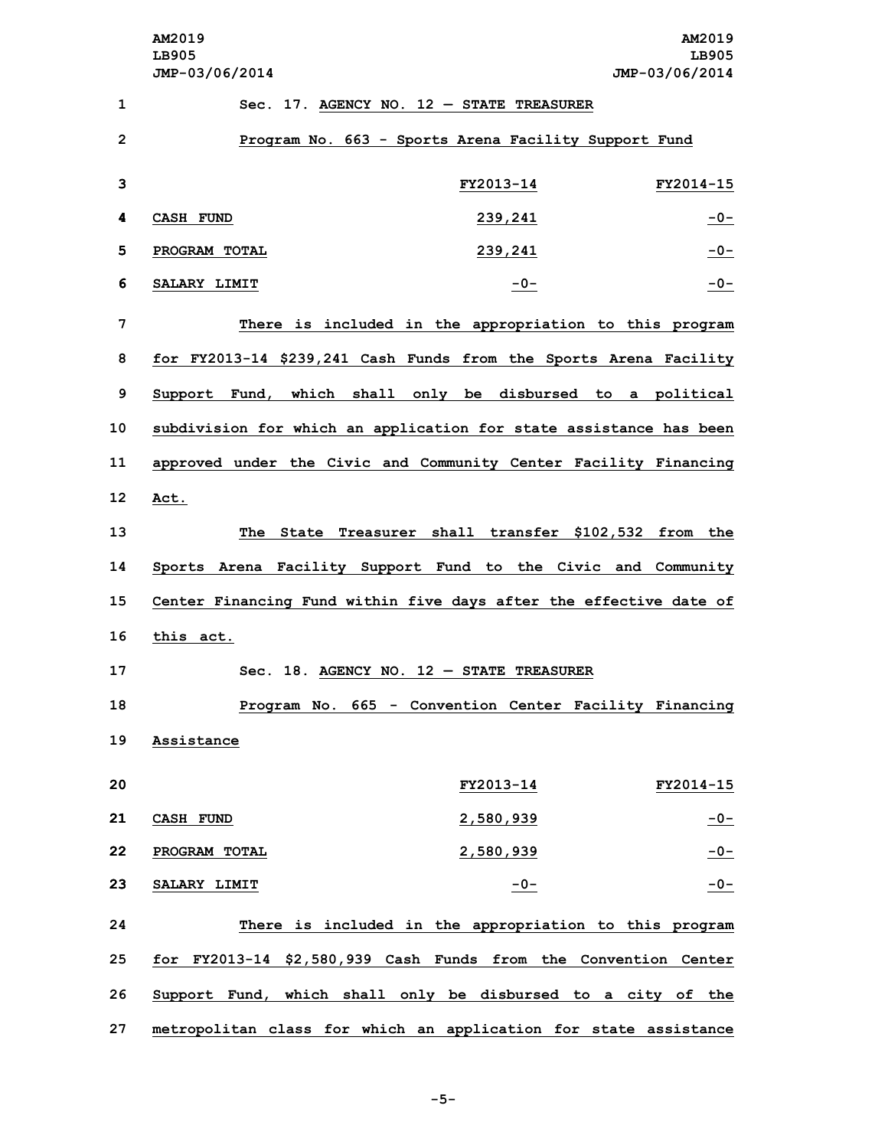| 1              |               | Sec. 17. AGENCY NO. $12$ - STATE TREASURER                         |           |
|----------------|---------------|--------------------------------------------------------------------|-----------|
| $\overline{2}$ |               | Program No. 663 - Sports Arena Facility Support Fund               |           |
| 3              |               | FY2013-14                                                          | FY2014-15 |
| 4              | CASH FUND     | 239,241                                                            | $-0-$     |
| 5              | PROGRAM TOTAL | 239,241                                                            | $-0-$     |
| 6              | SALARY LIMIT  | $-0-$                                                              | $-0-$     |
| 7              |               | There is included in the appropriation to this program             |           |
| 8              |               | for FY2013-14 \$239,241 Cash Funds from the Sports Arena Facility  |           |
| 9              |               | Support Fund, which shall only be disbursed to a political         |           |
| 10             |               | subdivision for which an application for state assistance has been |           |
| 11             |               | approved under the Civic and Community Center Facility Financing   |           |
| 12             | Act.          |                                                                    |           |
| 13             |               | The State Treasurer shall transfer \$102,532 from the              |           |
| 14             |               | Sports Arena Facility Support Fund to the Civic and Community      |           |
| 15             |               | Center Financing Fund within five days after the effective date of |           |
| 16             | this act.     |                                                                    |           |
| 17             |               | Sec. 18. AGENCY NO. $12$ - STATE TREASURER                         |           |
| 18             |               | Program No. 665 - Convention Center Facility Financing             |           |
| 19             | Assistance    |                                                                    |           |
| 20             |               | FY2013-14                                                          | FY2014-15 |
| 21             | CASH FUND     | 2,580,939                                                          | $-0-$     |
| 22             | PROGRAM TOTAL | 2,580,939                                                          | $-0-$     |
| 23             | SALARY LIMIT  | $-0-$                                                              | $-0-$     |
| 24             |               | There is included in the appropriation to this program             |           |
| 25             |               | for FY2013-14 \$2,580,939 Cash Funds from the Convention Center    |           |
| 26             |               | Support Fund, which shall only be disbursed to a city of the       |           |
| 27             |               | metropolitan class for which an application for state assistance   |           |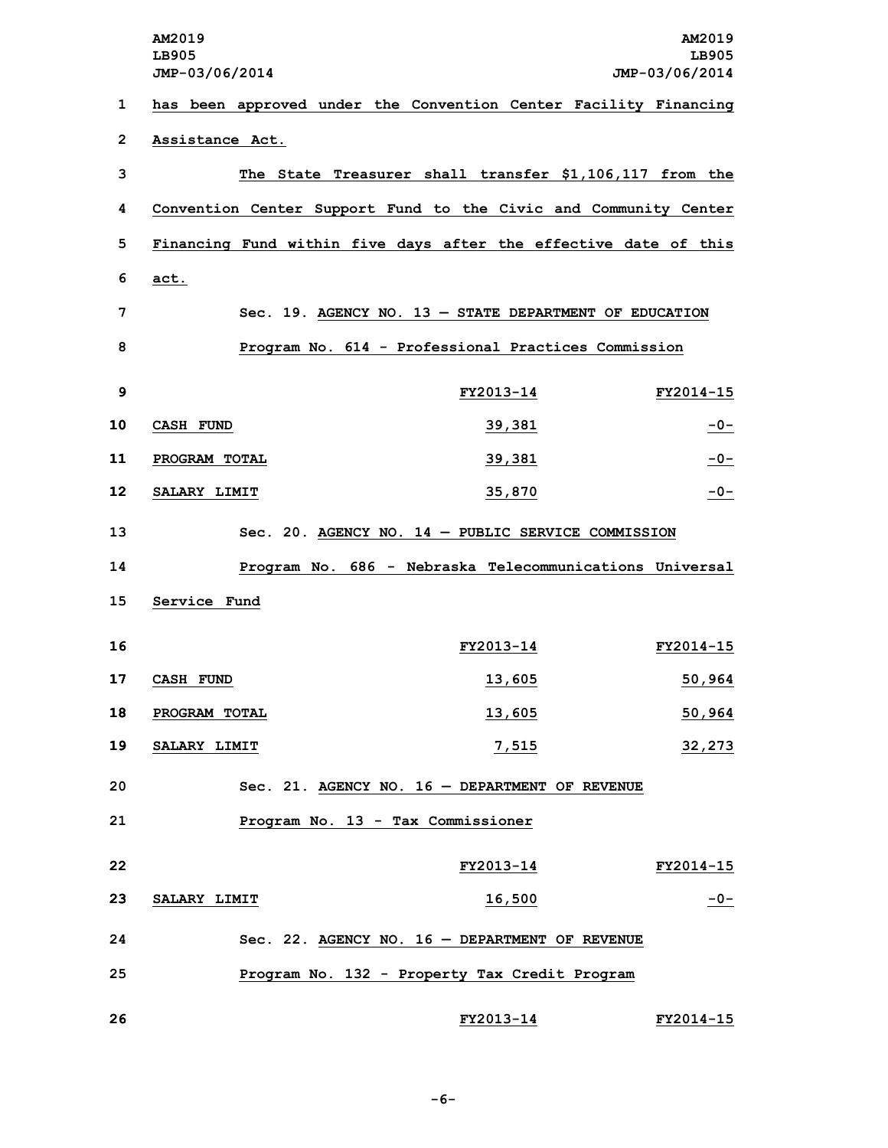|                | AM2019<br>LB905<br>JMP-03/06/2014 |                                                                  | AM2019<br>LB905<br>JMP-03/06/2014 |
|----------------|-----------------------------------|------------------------------------------------------------------|-----------------------------------|
| 1              |                                   | has been approved under the Convention Center Facility Financing |                                   |
| $\overline{2}$ | Assistance Act.                   |                                                                  |                                   |
| 3              |                                   | The State Treasurer shall transfer \$1,106,117 from the          |                                   |
| 4              |                                   | Convention Center Support Fund to the Civic and Community Center |                                   |
| 5              |                                   | Financing Fund within five days after the effective date of this |                                   |
| 6              | act.                              |                                                                  |                                   |
| 7              |                                   | Sec. 19. AGENCY NO. $13$ - STATE DEPARTMENT OF EDUCATION         |                                   |
| 8              |                                   | Program No. 614 - Professional Practices Commission              |                                   |
| 9              |                                   | FY2013-14                                                        | FY2014-15                         |
| 10             | <b>CASH FUND</b>                  | 39,381                                                           | $-0-$                             |
| 11             | PROGRAM TOTAL                     | 39,381                                                           | $-0-$                             |
| 12             | SALARY LIMIT                      | 35,870                                                           | $-0-$                             |
| 13             |                                   | Sec. 20. AGENCY NO. $14$ - PUBLIC SERVICE COMMISSION             |                                   |
| 14             |                                   | Program No. 686 - Nebraska Telecommunications Universal          |                                   |
| 15             | Service Fund                      |                                                                  |                                   |
| 16             |                                   | FY2013-14                                                        | FY2014-15                         |
| 17             | CASH FUND                         | 13,605                                                           | 50,964                            |
| 18             | PROGRAM TOTAL                     | <u>13,605</u>                                                    | 50,964                            |
| 19             | SALARY LIMIT                      | 7,515                                                            | 32,273                            |
| 20             |                                   | Sec. 21. AGENCY NO. 16 - DEPARTMENT OF REVENUE                   |                                   |
| 21             |                                   | Program No. 13 - Tax Commissioner                                |                                   |
| 22             |                                   | FY2013-14                                                        | FY2014-15                         |
| 23             | SALARY LIMIT                      | 16,500                                                           | $-0-$                             |
| 24             |                                   | Sec. 22. AGENCY NO. $16$ - DEPARTMENT OF REVENUE                 |                                   |
| 25             |                                   | Program No. 132 - Property Tax Credit Program                    |                                   |
| 26             |                                   | FY2013-14                                                        | FY2014-15                         |

## **-6-**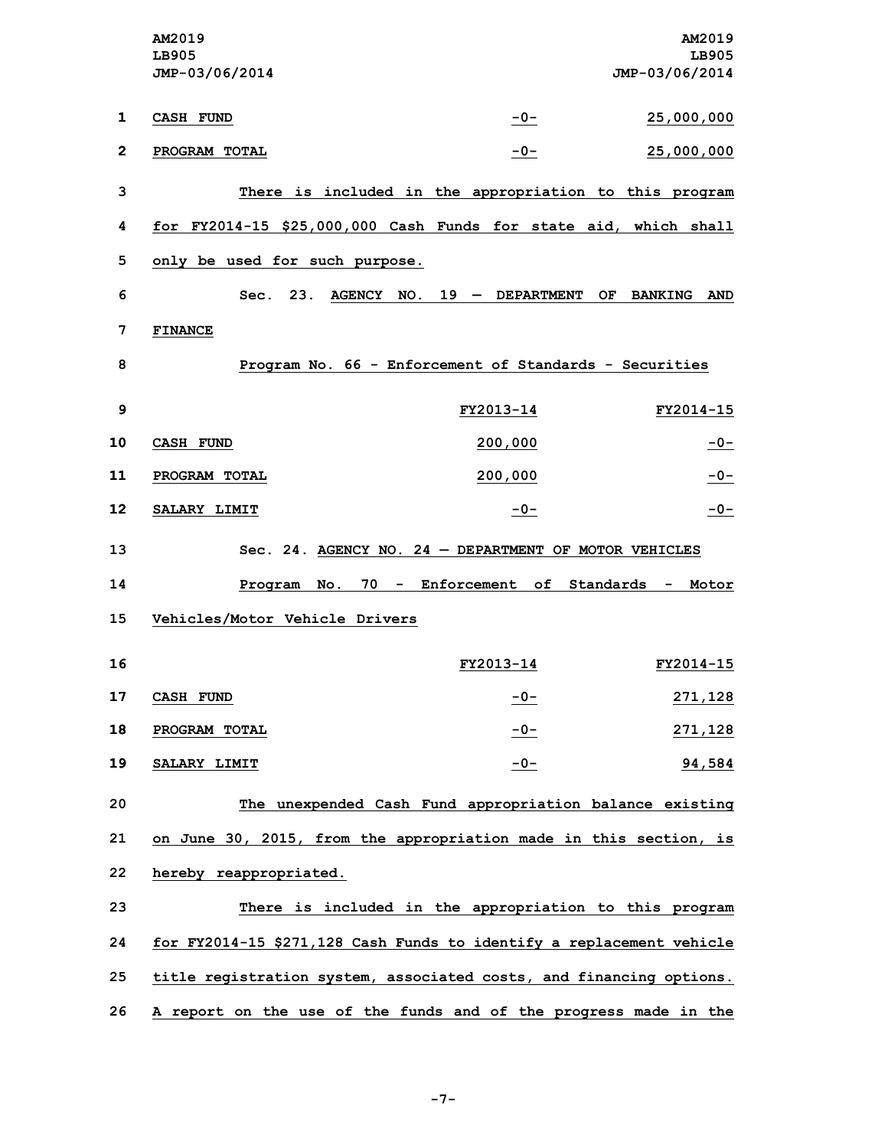|              | <b>AM2019</b><br>LB905<br>JMP-03/06/2014                             |                                 | AM2019<br>LB905<br>JMP-03/06/2014   |
|--------------|----------------------------------------------------------------------|---------------------------------|-------------------------------------|
| 1            | <b>CASH FUND</b>                                                     | $-0-$                           | 25,000,000                          |
| $\mathbf{2}$ | PROGRAM TOTAL                                                        | $-0-$                           | 25,000,000                          |
| 3            | There is included in the appropriation to this program               |                                 |                                     |
| 4            | for FY2014-15 \$25,000,000 Cash Funds for state aid, which shall     |                                 |                                     |
| 5            | only be used for such purpose.                                       |                                 |                                     |
| 6            | 23.<br>Sec.                                                          | $AGENCY$ NO. 19 - DEPARTMENT    | OF.<br><b>BANKING</b><br><b>AND</b> |
| 7            | <b>FINANCE</b>                                                       |                                 |                                     |
| 8            | Program No. 66 - Enforcement of Standards - Securities               |                                 |                                     |
| 9            |                                                                      | FY2013-14                       | FY2014-15                           |
| 10           | <b>CASH FUND</b>                                                     | 200,000                         | $-0-$                               |
| 11           | PROGRAM TOTAL                                                        | 200,000                         | $-0-$                               |
| 12           | SALARY LIMIT                                                         | $-0-$                           | $-0-$                               |
| 13           | Sec. 24. AGENCY NO. 24 - DEPARTMENT OF MOTOR VEHICLES                |                                 |                                     |
| 14           | Program<br>No.                                                       | 70 - Enforcement of Standards - | Motor                               |
| 15           | Vehicles/Motor Vehicle Drivers                                       |                                 |                                     |
| 16           |                                                                      | FY2013-14                       | FY2014-15                           |
| 17           | <b>CASH FUND</b>                                                     | $-0-$                           | <u>271,128</u>                      |
| 18           | PROGRAM TOTAL                                                        | $-0-$                           | <u>271,128</u>                      |
| 19           | SALARY LIMIT                                                         | $-0-$                           | 94,584                              |
| 20           | The unexpended Cash Fund appropriation balance existing              |                                 |                                     |
| 21           | on June 30, 2015, from the appropriation made in this section, is    |                                 |                                     |
| 22           | hereby reappropriated.                                               |                                 |                                     |
| 23           | There is included in the appropriation to this program               |                                 |                                     |
| 24           | for FY2014-15 \$271,128 Cash Funds to identify a replacement vehicle |                                 |                                     |
| 25           | title registration system, associated costs, and financing options.  |                                 |                                     |
| 26           | A report on the use of the funds and of the progress made in the     |                                 |                                     |

**-7-**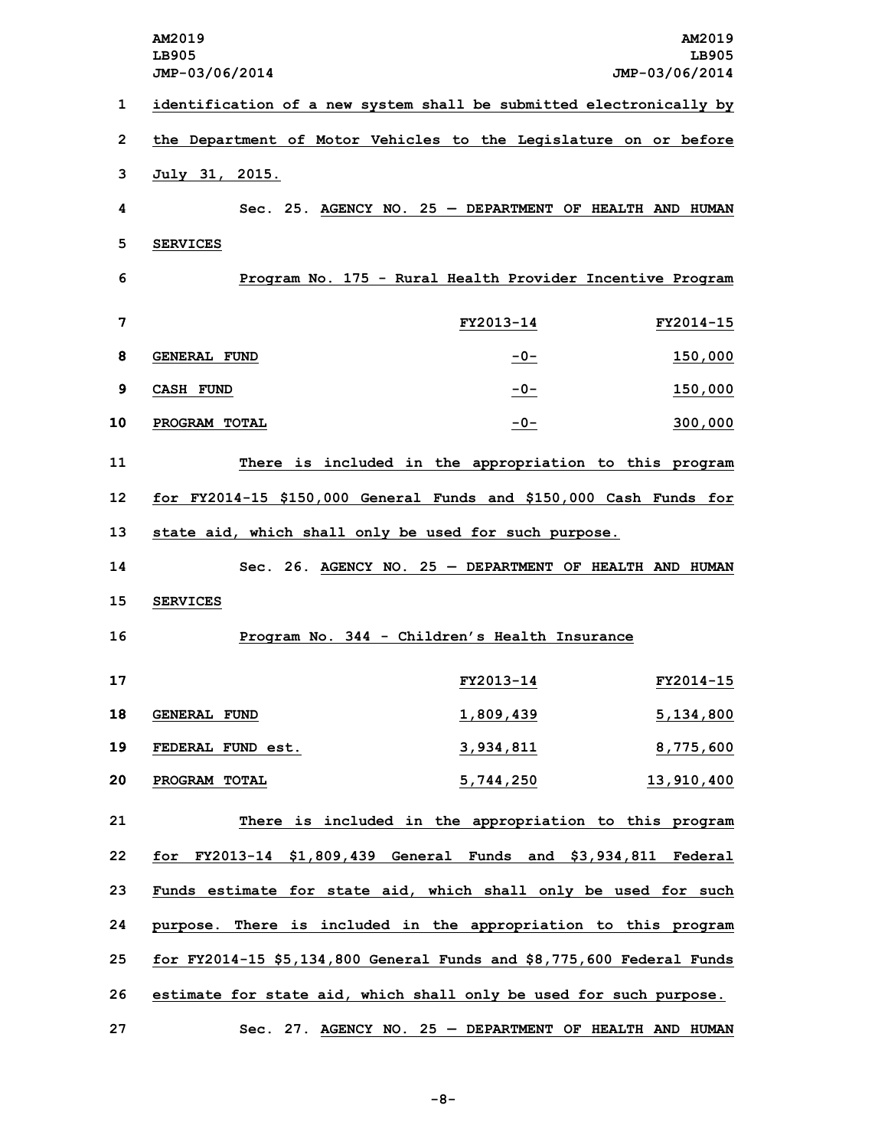|    | AM2019<br>LB905                                                       |                                                           | AM2019<br>LB905 |
|----|-----------------------------------------------------------------------|-----------------------------------------------------------|-----------------|
|    | JMP-03/06/2014                                                        |                                                           | JMP-03/06/2014  |
| 1  | identification of a new system shall be submitted electronically by   |                                                           |                 |
| 2  | the Department of Motor Vehicles to the Legislature on or before      |                                                           |                 |
| 3  | July 31, 2015.                                                        |                                                           |                 |
| 4  |                                                                       | Sec. 25. AGENCY NO. 25 - DEPARTMENT OF HEALTH AND HUMAN   |                 |
| 5  | <b>SERVICES</b>                                                       |                                                           |                 |
| 6  |                                                                       | Program No. 175 - Rural Health Provider Incentive Program |                 |
| 7  |                                                                       | FY2013-14                                                 | FY2014-15       |
| 8  | GENERAL FUND                                                          | $-0-$                                                     | 150,000         |
| 9  | <b>CASH FUND</b>                                                      | $-0-$                                                     | 150,000         |
| 10 | PROGRAM TOTAL                                                         | $-0-$                                                     | 300,000         |
| 11 |                                                                       | There is included in the appropriation to this program    |                 |
| 12 | for FY2014-15 \$150,000 General Funds and \$150,000 Cash Funds for    |                                                           |                 |
| 13 | state aid, which shall only be used for such purpose.                 |                                                           |                 |
| 14 |                                                                       | Sec. 26. AGENCY NO. 25 - DEPARTMENT OF HEALTH AND HUMAN   |                 |
| 15 | <b>SERVICES</b>                                                       |                                                           |                 |
| 16 |                                                                       | Program No. 344 - Children's Health Insurance             |                 |
| 17 |                                                                       | FY2013-14                                                 | FY2014-15       |
| 18 | <b>GENERAL FUND</b>                                                   | 1,809,439                                                 | 5,134,800       |
| 19 | FEDERAL FUND est.                                                     | 3,934,811                                                 | 8,775,600       |
| 20 | PROGRAM TOTAL                                                         | 5,744,250                                                 | 13,910,400      |
| 21 |                                                                       | There is included in the appropriation to this program    |                 |
| 22 | for FY2013-14 \$1,809,439 General Funds and \$3,934,811 Federal       |                                                           |                 |
| 23 | Funds estimate for state aid, which shall only be used for such       |                                                           |                 |
| 24 | purpose. There is included in the appropriation to this program       |                                                           |                 |
| 25 | for FY2014-15 \$5,134,800 General Funds and \$8,775,600 Federal Funds |                                                           |                 |
| 26 | estimate for state aid, which shall only be used for such purpose.    |                                                           |                 |
| 27 |                                                                       | Sec. 27. AGENCY NO. 25 - DEPARTMENT OF HEALTH AND HUMAN   |                 |

**-8-**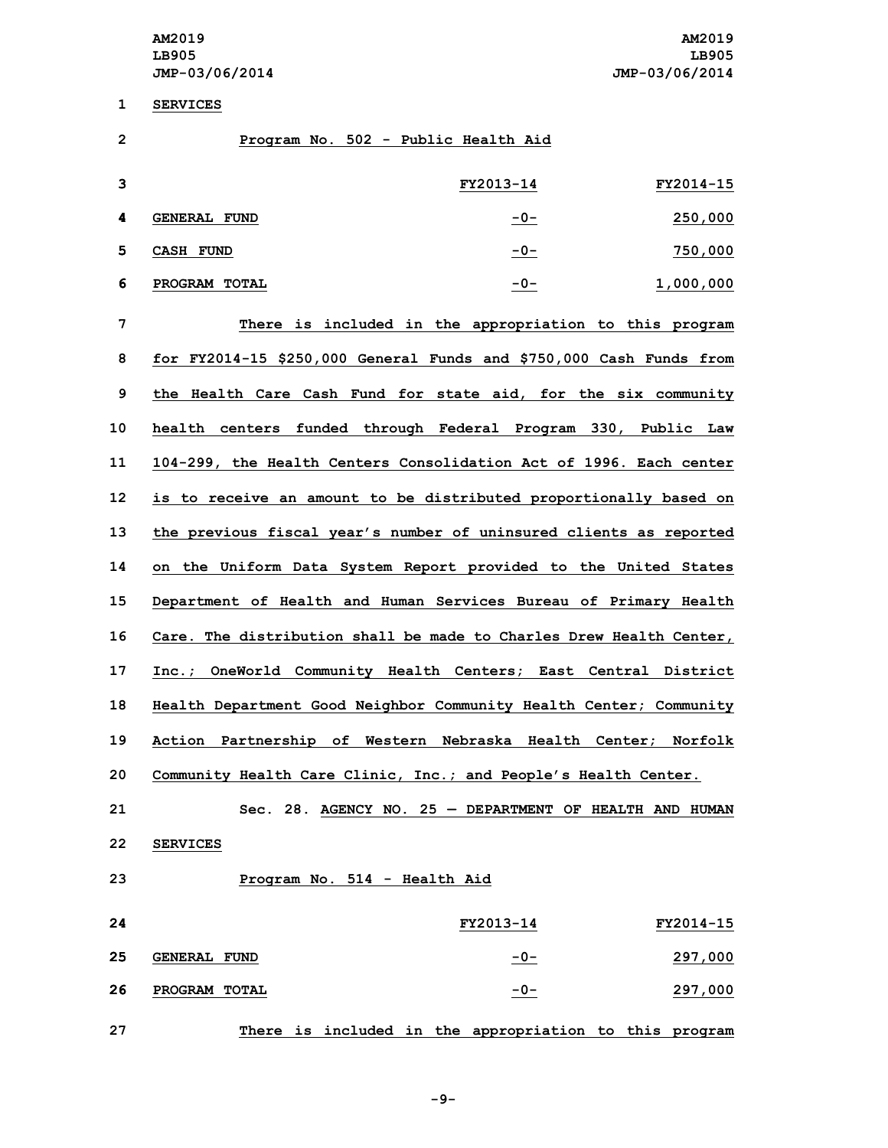**1 SERVICES**

| ┻  | <b>SEKATCES</b>                                                       |           |           |
|----|-----------------------------------------------------------------------|-----------|-----------|
| 2  | Program No. 502 - Public Health Aid                                   |           |           |
| 3  |                                                                       | FY2013-14 | FY2014-15 |
| 4  | <b>GENERAL FUND</b>                                                   | $-0-$     | 250,000   |
| 5  | CASH FUND                                                             | $-0-$     | 750,000   |
| 6  | PROGRAM TOTAL                                                         | $-0-$     | 1,000,000 |
| 7  | There is included in the appropriation to this program                |           |           |
| 8  | for FY2014-15 $$250,000$ General Funds and $$750,000$ Cash Funds from |           |           |
| 9  | the Health Care Cash Fund for state aid, for the six community        |           |           |
| 10 | health centers funded through Federal Program 330, Public Law         |           |           |
| 11 | 104-299, the Health Centers Consolidation Act of 1996. Each center    |           |           |
| 12 | is to receive an amount to be distributed proportionally based on     |           |           |
| 13 | the previous fiscal year's number of uninsured clients as reported    |           |           |
| 14 | on the Uniform Data System Report provided to the United States       |           |           |
| 15 | Department of Health and Human Services Bureau of Primary Health      |           |           |
| 16 | Care. The distribution shall be made to Charles Drew Health Center,   |           |           |
| 17 | Inc.; OneWorld Community Health Centers; East Central District        |           |           |
| 18 | Health Department Good Neighbor Community Health Center; Community    |           |           |
| 19 | Action Partnership of Western Nebraska Health Center; Norfolk         |           |           |
| 20 | Community Health Care Clinic, Inc.; and People's Health Center.       |           |           |
| 21 | $Sec. 28.$ AGENCY NO. 25 - DEPARTMENT OF HEALTH AND HUMAN             |           |           |

- **22 SERVICES**
- **23 Program No. 514 - Health Aid**

| 24 |                     | FY2013-14 | FY2014-15 |
|----|---------------------|-----------|-----------|
| 25 | <b>GENERAL FUND</b> | $-0-$     | 297,000   |
| 26 | PROGRAM TOTAL       | $-0-$     | 297,000   |
|    |                     |           |           |

**27 There is included in the appropriation to this program**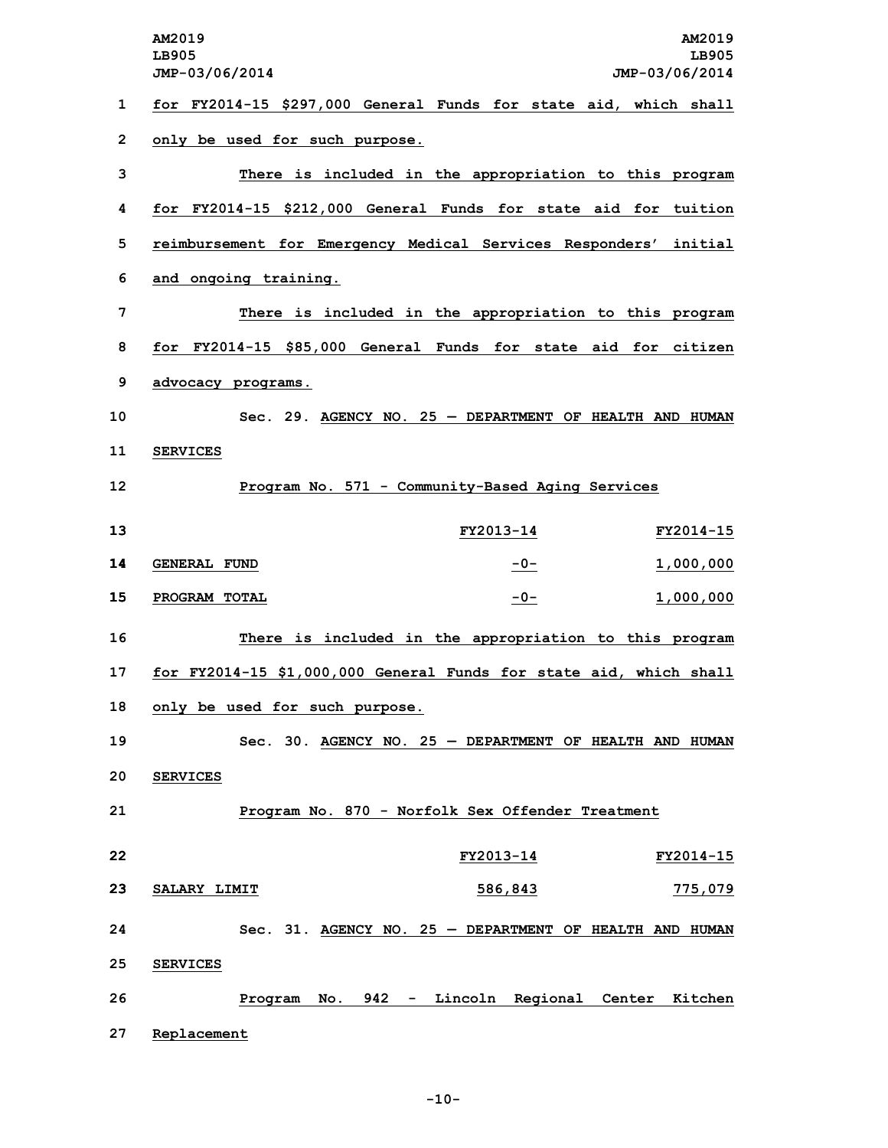**AM2019 AM2019 LB905 LB905 JMP-03/06/2014 JMP-03/06/2014 for FY2014-15 \$297,000 General Funds for state aid, which shall only be used for such purpose. There is included in the appropriation to this program for FY2014-15 \$212,000 General Funds for state aid for tuition reimbursement for Emergency Medical Services Responders' initial and ongoing training. There is included in the appropriation to this program for FY2014-15 \$85,000 General Funds for state aid for citizen advocacy programs. Sec. 29. AGENCY NO. 25 — DEPARTMENT OF HEALTH AND HUMAN 11 SERVICES Program No. 571 - Community-Based Aging Services FY2013-14 FY2014-15 GENERAL FUND -0- 1,000,000 PROGRAM TOTAL -0- 1,000,000 There is included in the appropriation to this program for FY2014-15 \$1,000,000 General Funds for state aid, which shall only be used for such purpose. Sec. 30. AGENCY NO. 25 — DEPARTMENT OF HEALTH AND HUMAN 20 SERVICES Program No. 870 - Norfolk Sex Offender Treatment FY2013-14 FY2014-15 SALARY LIMIT 586,843 775,079 Sec. 31. AGENCY NO. 25 — DEPARTMENT OF HEALTH AND HUMAN 25 SERVICES Program No. 942 - Lincoln Regional Center Kitchen Replacement**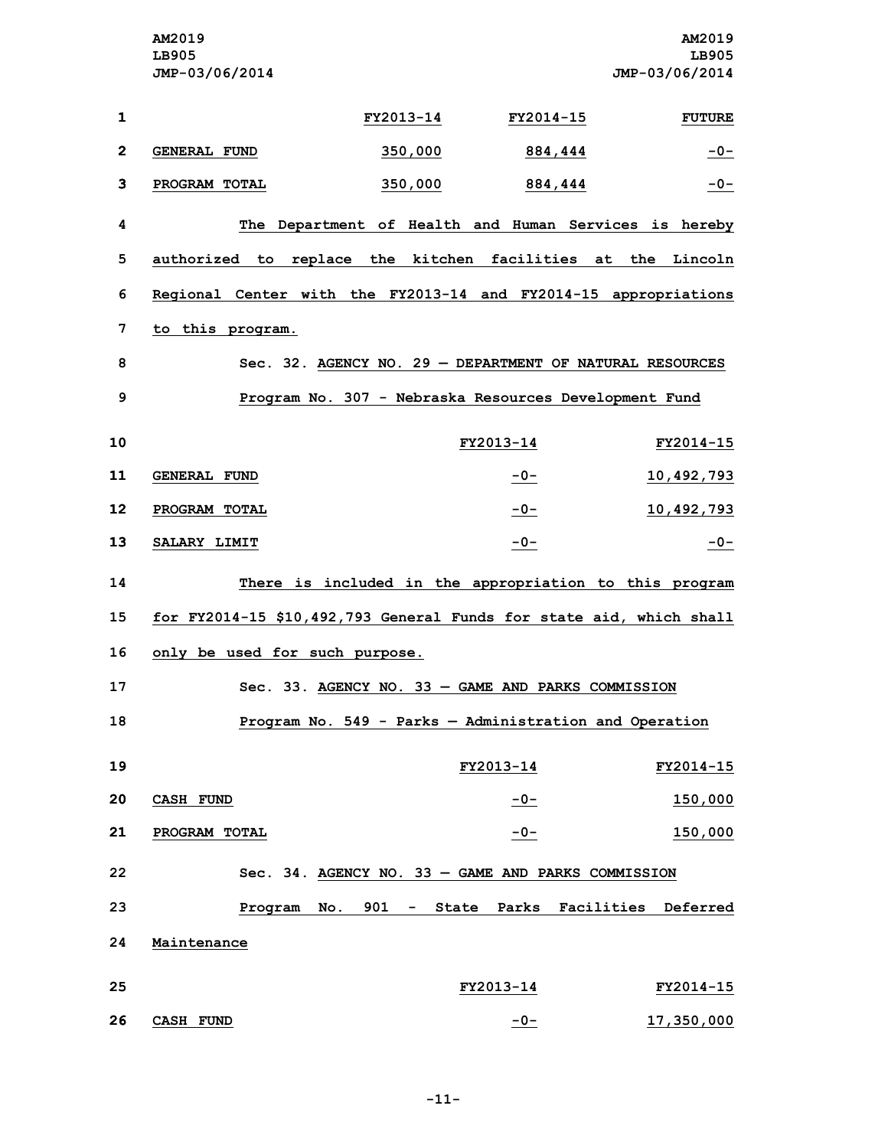**AM2019 AM2019 LB905 LB905 JMP-03/06/2014 JMP-03/06/2014 FY2013-14 FY2014-15 FUTURE GENERAL FUND 350,000 884,444 -0- PROGRAM TOTAL 350,000 884,444 -0- The Department of Health and Human Services is hereby authorized to replace the kitchen facilities at the Lincoln Regional Center with the FY2013-14 and FY2014-15 appropriations to this program. Sec. 32. AGENCY NO. 29 — DEPARTMENT OF NATURAL RESOURCES Program No. 307 - Nebraska Resources Development Fund FY2013-14 FY2014-15 GENERAL FUND -0- 10,492,793 PROGRAM TOTAL -0- 10,492,793 SALARY LIMIT -0- -0- There is included in the appropriation to this program for FY2014-15 \$10,492,793 General Funds for state aid, which shall only be used for such purpose. Sec. 33. AGENCY NO. 33 — GAME AND PARKS COMMISSION Program No. 549 - Parks — Administration and Operation FY2013-14 FY2014-15 CASH FUND -0- 150,000 PROGRAM TOTAL -0- 150,000 Sec. 34. AGENCY NO. 33 — GAME AND PARKS COMMISSION Program No. 901 - State Parks Facilities Deferred Maintenance FY2013-14 FY2014-15 CASH FUND -0- 17,350,000**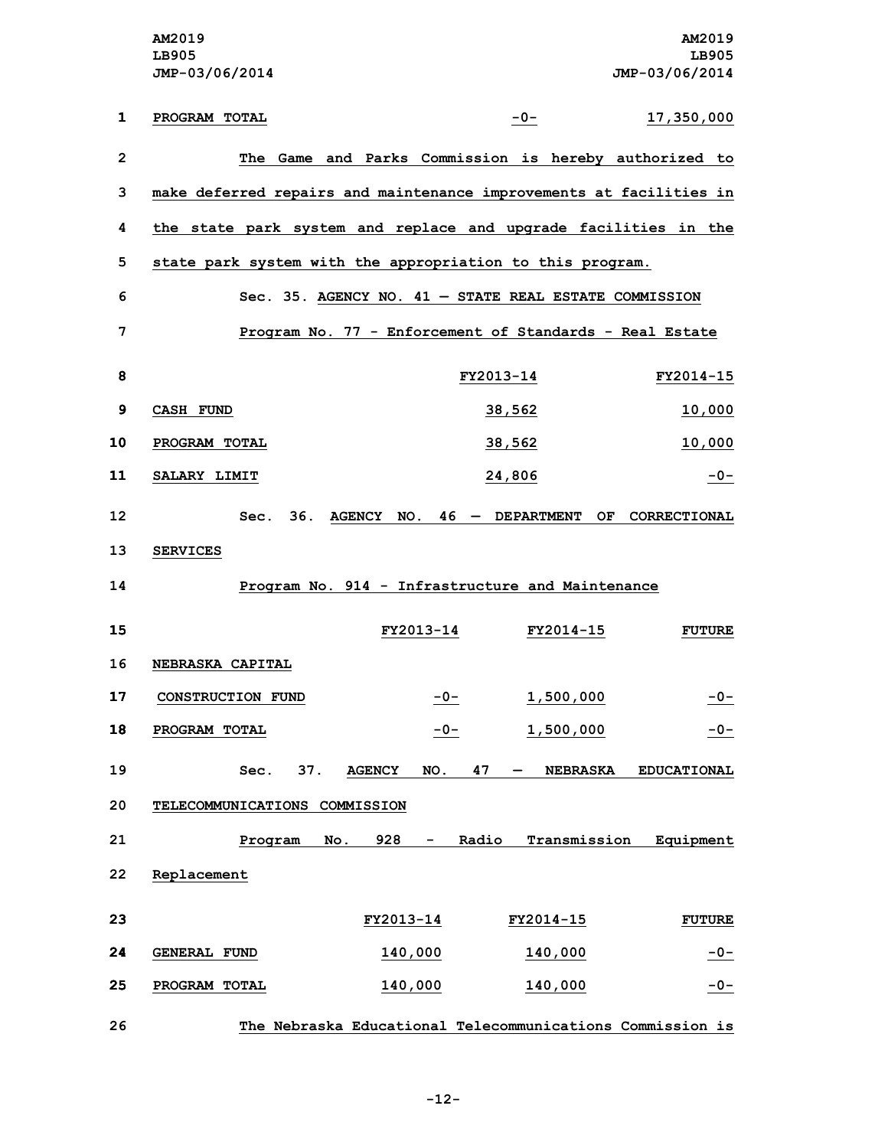|                | AM2019<br>LB905<br>JMP-03/06/2014                                   |                      |           |                                 | AM2019<br>LB905<br>JMP-03/06/2014 |
|----------------|---------------------------------------------------------------------|----------------------|-----------|---------------------------------|-----------------------------------|
| 1              | PROGRAM TOTAL                                                       |                      | $-0-$     |                                 | 17,350,000                        |
|                |                                                                     |                      |           |                                 |                                   |
| $\overline{2}$ | The Game and Parks Commission is hereby authorized to               |                      |           |                                 |                                   |
| 3              | make deferred repairs and maintenance improvements at facilities in |                      |           |                                 |                                   |
| 4              | the state park system and replace and upgrade facilities in the     |                      |           |                                 |                                   |
| 5              | state park system with the appropriation to this program.           |                      |           |                                 |                                   |
| 6              | Sec. 35. AGENCY NO. 41 - STATE REAL ESTATE COMMISSION               |                      |           |                                 |                                   |
| 7              | Program No. 77 - Enforcement of Standards - Real Estate             |                      |           |                                 |                                   |
| 8              |                                                                     |                      | FY2013-14 |                                 | FY2014-15                         |
| $\mathbf{9}$   | <b>CASH FUND</b>                                                    |                      | 38,562    |                                 | <u>10,000</u>                     |
| 10             | PROGRAM TOTAL                                                       |                      | 38,562    |                                 | 10,000                            |
| 11             | SALARY LIMIT                                                        |                      | 24,806    |                                 | $-0-$                             |
| 12             | 36.<br>Sec.                                                         |                      |           | $AGENCY$ NO. 46 - DEPARTMENT OF | CORRECTIONAL                      |
| 13             | <b>SERVICES</b>                                                     |                      |           |                                 |                                   |
| 14             | Program No. 914 - Infrastructure and Maintenance                    |                      |           |                                 |                                   |
| 15             |                                                                     | <b>FY2013-14</b>     |           | FY2014-15                       | <b>FUTURE</b>                     |
| 16             | NEBRASKA CAPITAL                                                    |                      |           |                                 |                                   |
| 17             | CONSTRUCTION FUND                                                   | $-0-$                |           | 1,500,000                       | $-0-$                             |
| 18             | PROGRAM TOTAL                                                       | $-0-$                |           | 1,500,000                       | $-0-$                             |
| 19             | 37.<br>Sec.                                                         | <b>AGENCY</b><br>NO. | 47        | <b>NEBRASKA</b>                 | <b>EDUCATIONAL</b>                |
| 20             | TELECOMMUNICATIONS COMMISSION                                       |                      |           |                                 |                                   |
| 21             | Program<br>No.                                                      | 928<br>-             | Radio     | Transmission                    | Equipment                         |
| 22             | Replacement                                                         |                      |           |                                 |                                   |
|                |                                                                     |                      |           |                                 |                                   |
| 23             |                                                                     | FY2013-14            |           | FY2014-15                       | <b>FUTURE</b>                     |
| 24             | <b>GENERAL FUND</b>                                                 | 140,000              |           | 140,000                         | $-0-$                             |
| 25             | PROGRAM TOTAL                                                       | 140,000              |           | 140,000                         | $-0-$                             |
| 26             | The Nebraska Educational Telecommunications Commission is           |                      |           |                                 |                                   |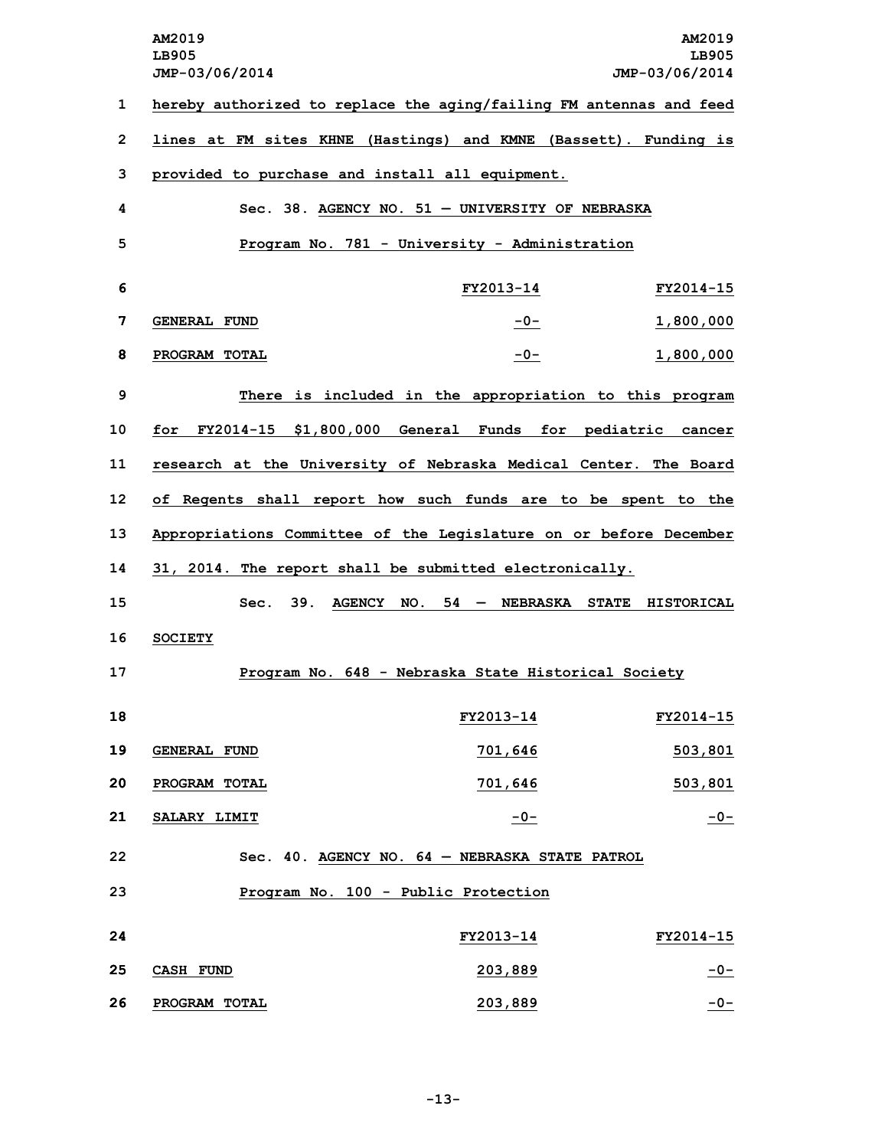**AM2019 AM2019 LB905 LB905 JMP-03/06/2014 JMP-03/06/2014 hereby authorized to replace the aging/failing FM antennas and feed lines at FM sites KHNE (Hastings) and KMNE (Bassett). Funding is provided to purchase and install all equipment. Sec. 38. AGENCY NO. 51 — UNIVERSITY OF NEBRASKA Program No. 781 - University - Administration FY2013-14 FY2014-15 GENERAL FUND -0- 1,800,000 PROGRAM TOTAL -0- 1,800,000 There is included in the appropriation to this program for FY2014-15 \$1,800,000 General Funds for pediatric cancer research at the University of Nebraska Medical Center. The Board of Regents shall report how such funds are to be spent to the Appropriations Committee of the Legislature on or before December 31, 2014. The report shall be submitted electronically. Sec. 39. AGENCY NO. 54 — NEBRASKA STATE HISTORICAL 16 SOCIETY Program No. 648 - Nebraska State Historical Society FY2013-14 FY2014-15 GENERAL FUND 701,646 503,801 PROGRAM TOTAL 701,646 503,801 SALARY LIMIT -0- -0- Sec. 40. AGENCY NO. 64 — NEBRASKA STATE PATROL Program No. 100 - Public Protection FY2013-14 FY2014-15 CASH FUND 203,889 -0- PROGRAM TOTAL 203,889 -0-**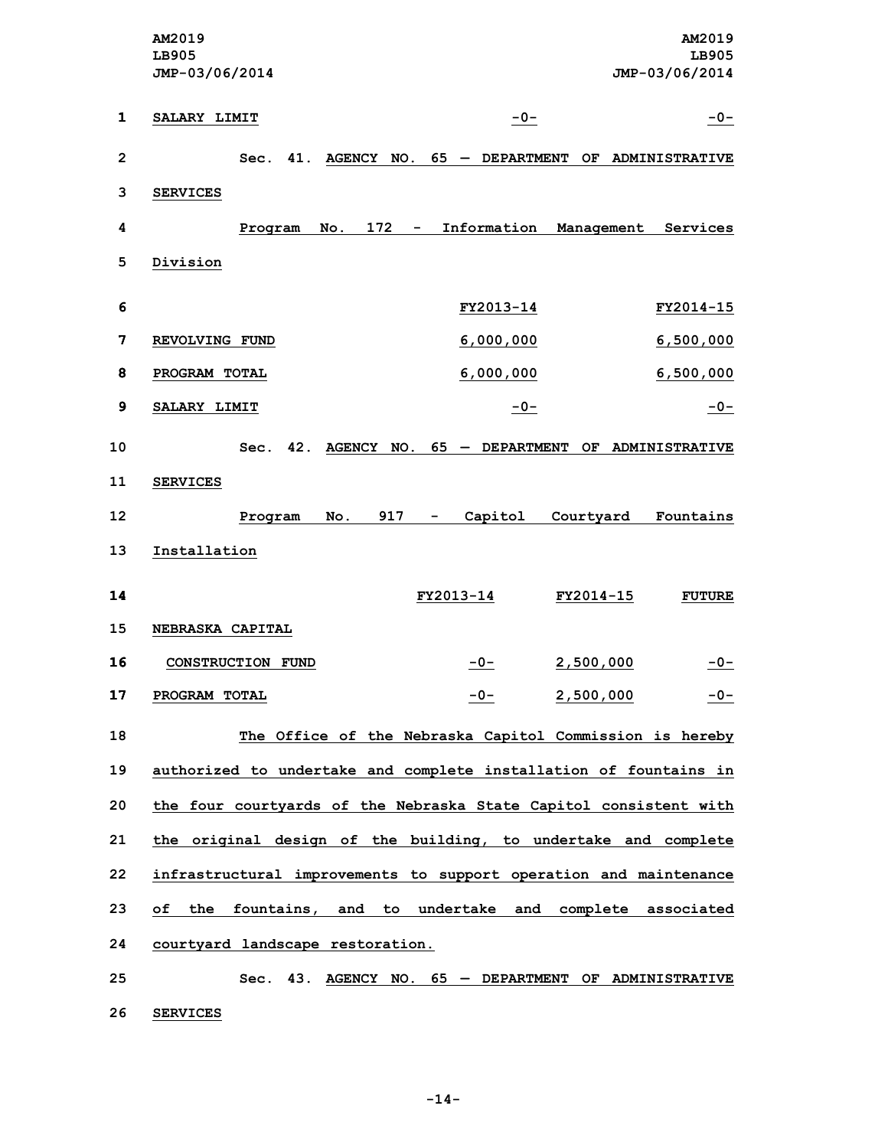**AM2019 AM2019 LB905 LB905 JMP-03/06/2014 JMP-03/06/2014 SALARY LIMIT -0- -0- Sec. 41. AGENCY NO. 65 — DEPARTMENT OF ADMINISTRATIVE 3 SERVICES Program No. 172 - Information Management Services 5 Division FY2013-14 FY2014-15 REVOLVING FUND 6,000,000 6,500,000 PROGRAM TOTAL 6,000,000 6,500,000 SALARY LIMIT -0- -0- Sec. 42. AGENCY NO. 65 — DEPARTMENT OF ADMINISTRATIVE 11 SERVICES Program No. 917 - Capitol Courtyard Fountains Installation FY2013-14 FY2014-15 FUTURE NEBRASKA CAPITAL CONSTRUCTION FUND -0- 2,500,000 -0- PROGRAM TOTAL -0- 2,500,000 -0- The Office of the Nebraska Capitol Commission is hereby authorized to undertake and complete installation of fountains in the four courtyards of the Nebraska State Capitol consistent with the original design of the building, to undertake and complete infrastructural improvements to support operation and maintenance of the fountains, and to undertake and complete associated courtyard landscape restoration. Sec. 43. AGENCY NO. 65 — DEPARTMENT OF ADMINISTRATIVE**

**26 SERVICES**

**-14-**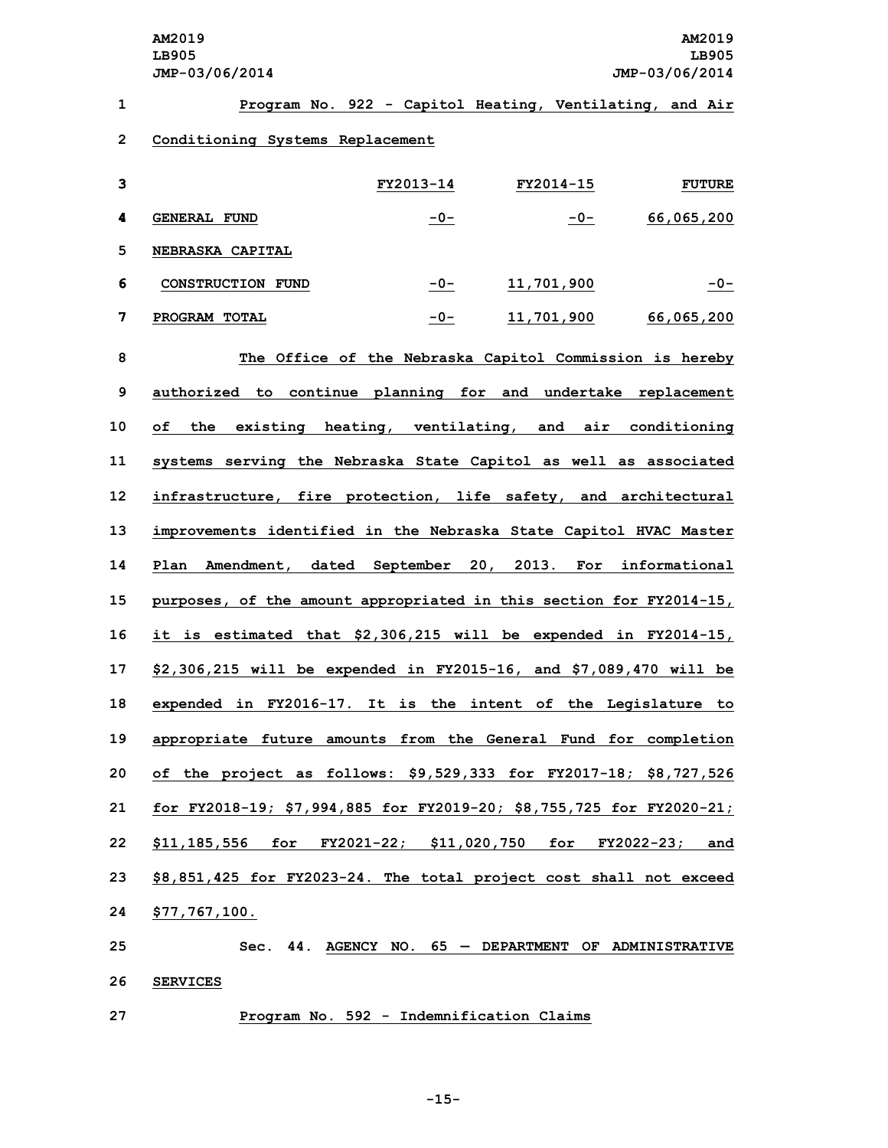| 1            |                                                                      |           | Program No. 922 - Capitol Heating, Ventilating, and Air |               |
|--------------|----------------------------------------------------------------------|-----------|---------------------------------------------------------|---------------|
| $\mathbf{2}$ | Conditioning Systems Replacement                                     |           |                                                         |               |
| 3            |                                                                      | FY2013-14 | FY2014-15                                               | <b>FUTURE</b> |
| 4            | <b>GENERAL FUND</b>                                                  | -0-       | $-0-$                                                   | 66,065,200    |
| 5            | <b>NEBRASKA CAPITAL</b>                                              |           |                                                         |               |
| 6            | CONSTRUCTION FUND                                                    | $-0-$     | <u>11,701,900</u>                                       | $-0-$         |
| 7            | PROGRAM TOTAL                                                        | $-0-$     | 11,701,900                                              | 66,065,200    |
| 8            |                                                                      |           | The Office of the Nebraska Capitol Commission is hereby |               |
| 9            | authorized to continue planning for and undertake replacement        |           |                                                         |               |
| 10           | existing heating, ventilating, and air conditioning<br>of the        |           |                                                         |               |
| 11           | systems serving the Nebraska State Capitol as well as associated     |           |                                                         |               |
| 12           | infrastructure, fire protection, life safety, and architectural      |           |                                                         |               |
| 13           | improvements identified in the Nebraska State Capitol HVAC Master    |           |                                                         |               |
| 14           | Plan Amendment, dated September 20, 2013. For informational          |           |                                                         |               |
| 15           | purposes, of the amount appropriated in this section for FY2014-15,  |           |                                                         |               |
| 16           | it is estimated that \$2,306,215 will be expended in FY2014-15,      |           |                                                         |               |
| 17           | \$2,306,215 will be expended in FY2015-16, and \$7,089,470 will be   |           |                                                         |               |
| 18           | expended in FY2016-17. It is the intent of the Legislature to        |           |                                                         |               |
| 19           | appropriate future amounts from the General Fund for completion      |           |                                                         |               |
| 20           | of the project as follows: \$9,529,333 for FY2017-18; \$8,727,526    |           |                                                         |               |
| 21           | for FY2018-19; \$7,994,885 for FY2019-20; \$8,755,725 for FY2020-21; |           |                                                         |               |
| 22           | \$11,185,556 for FY2021-22; \$11,020,750 for FY2022-23; and          |           |                                                         |               |
| 23           | \$8,851,425 for FY2023-24. The total project cost shall not exceed   |           |                                                         |               |
| 24           | \$77,767,100.                                                        |           |                                                         |               |
| 25           |                                                                      |           | $Sec.$ 44. AGENCY NO. 65 - DEPARTMENT OF ADMINISTRATIVE |               |
| 26           | <b>SERVICES</b>                                                      |           |                                                         |               |

**27 Program No. 592 - Indemnification Claims**

**-15-**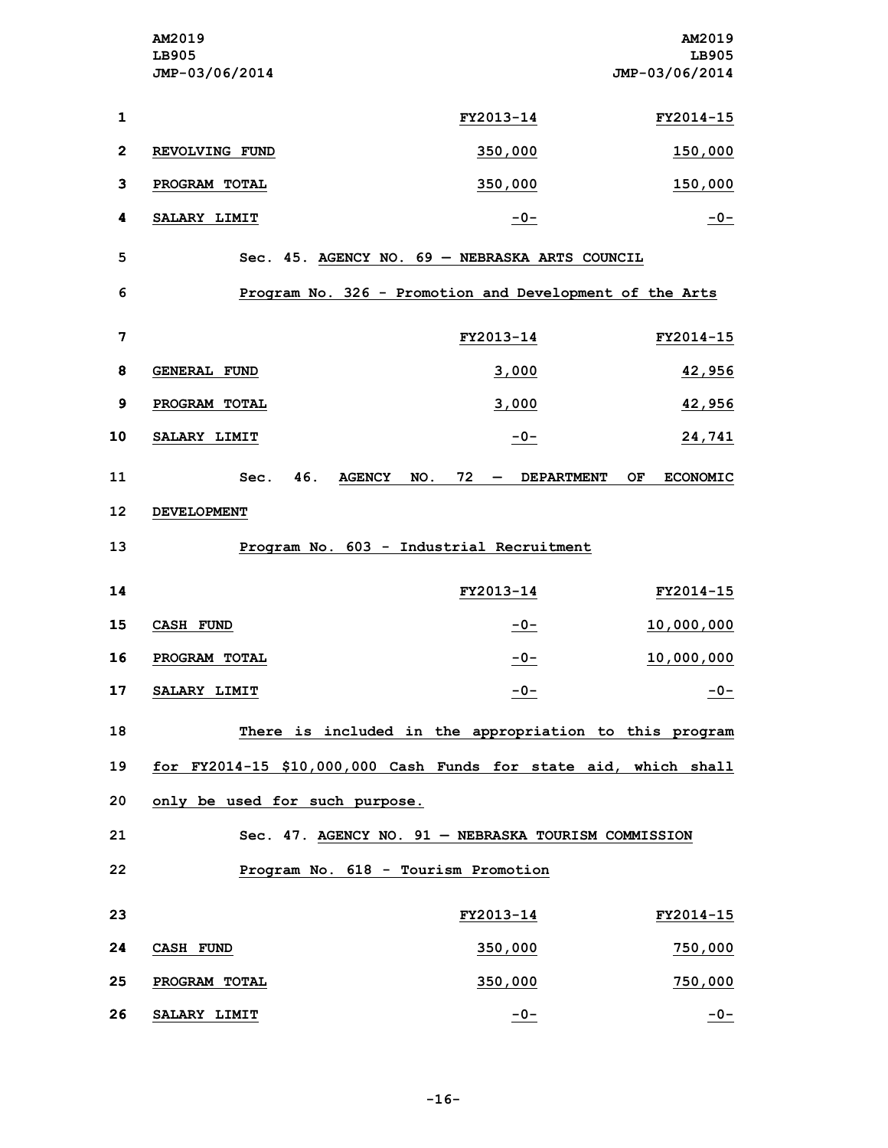|                 | AM2019<br>LB905<br>JMP-03/06/2014        |                                                                  | AM2019<br>LB905<br>JMP-03/06/2014           |  |
|-----------------|------------------------------------------|------------------------------------------------------------------|---------------------------------------------|--|
| $\mathbf{1}$    |                                          | FY2013-14                                                        | FY2014-15                                   |  |
| $\mathbf{2}$    | REVOLVING FUND                           | 350,000                                                          | 150,000                                     |  |
| 3               | PROGRAM TOTAL                            | 350,000                                                          | <u>150,000</u>                              |  |
| 4               | SALARY LIMIT                             | $-0-$                                                            | $-0-$                                       |  |
| 5               |                                          | Sec. 45. AGENCY NO. 69 - NEBRASKA ARTS COUNCIL                   |                                             |  |
| 6               |                                          | Program No. 326 - Promotion and Development of the Arts          |                                             |  |
| 7               |                                          | FY2013-14                                                        | FY2014-15                                   |  |
| 8               | <b>GENERAL FUND</b>                      | 3,000                                                            | 42,956                                      |  |
| $\mathbf{9}$    | PROGRAM TOTAL                            | 3,000                                                            | 42,956                                      |  |
| 10              | SALARY LIMIT                             | $-0-$                                                            | 24,741                                      |  |
| 11              | 46.<br>Sec.                              | $72 -$<br><b>AGENCY</b><br>NO.                                   | <b>DEPARTMENT</b><br>OF.<br><b>ECONOMIC</b> |  |
| 12              | <b>DEVELOPMENT</b>                       |                                                                  |                                             |  |
| 13              | Program No. 603 - Industrial Recruitment |                                                                  |                                             |  |
| 14              |                                          | FY2013-14                                                        | FY2014-15                                   |  |
| 15              | <b>CASH FUND</b>                         | $-0-$                                                            | 10,000,000                                  |  |
| 16              | PROGRAM TOTAL                            | $-0-$                                                            | 10,000,000                                  |  |
| 17              | SALARY LIMIT                             | $-0-$                                                            | $-0-$                                       |  |
| 18              |                                          | There is included in the appropriation to this program           |                                             |  |
| 19              |                                          | for FY2014-15 \$10,000,000 Cash Funds for state aid, which shall |                                             |  |
| 20              | only be used for such purpose.           |                                                                  |                                             |  |
| 21              |                                          | Sec. 47. AGENCY NO. 91 - NEBRASKA TOURISM COMMISSION             |                                             |  |
| 22              |                                          | Program No. 618 - Tourism Promotion                              |                                             |  |
| 23              |                                          | FY2013-14                                                        | FY2014-15                                   |  |
| 24              | CASH FUND                                | 350,000                                                          | 750,000                                     |  |
| 25              | PROGRAM TOTAL                            | 350,000                                                          | 750,000                                     |  |
| 26 <sub>2</sub> | <b>SALARY LIMIT</b>                      | $-0-$                                                            | $-0-$                                       |  |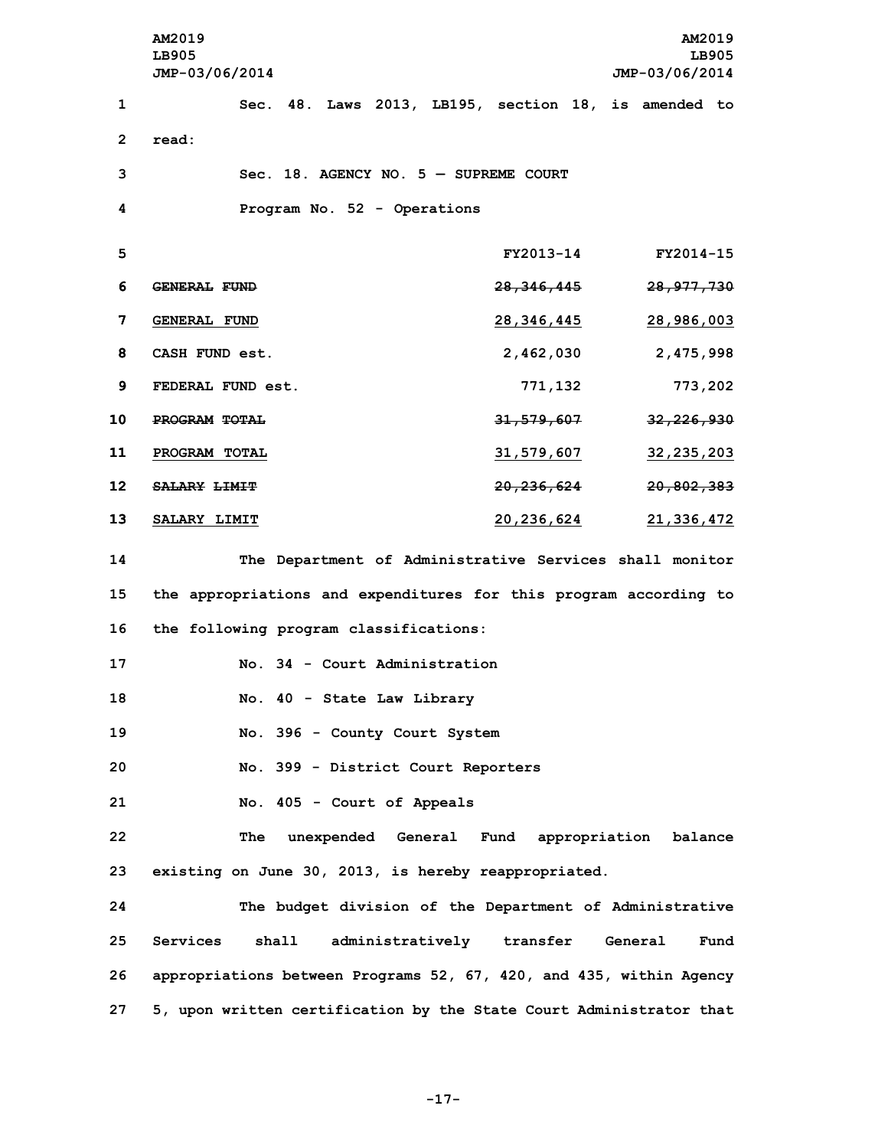**AM2019 AM2019 LB905 LB905 JMP-03/06/2014 JMP-03/06/2014 Sec. 48. Laws 2013, LB195, section 18, is amended to 2 read: Sec. 18. AGENCY NO. 5 — SUPREME COURT Program No. 52 - Operations FY2013-14 FY2014-15 GENERAL FUND 28,346,445 28,977,730 GENERAL FUND 28,346,445 28,986,003 CASH FUND est. 2,462,030 2,475,998 FEDERAL FUND est. 771,132 773,202 PROGRAM TOTAL 31,579,607 32,226,930 PROGRAM TOTAL 31,579,607 32,235,203 SALARY LIMIT 20,236,624 20,802,383 SALARY LIMIT 20,236,624 21,336,472 The Department of Administrative Services shall monitor the appropriations and expenditures for this program according to the following program classifications: No. 34 - Court Administration No. 40 - State Law Library No. 396 - County Court System No. 399 - District Court Reporters No. 405 - Court of Appeals The unexpended General Fund appropriation balance existing on June 30, 2013, is hereby reappropriated. The budget division of the Department of Administrative Services shall administratively transfer General Fund appropriations between Programs 52, 67, 420, and 435, within Agency 5, upon written certification by the State Court Administrator that**

**-17-**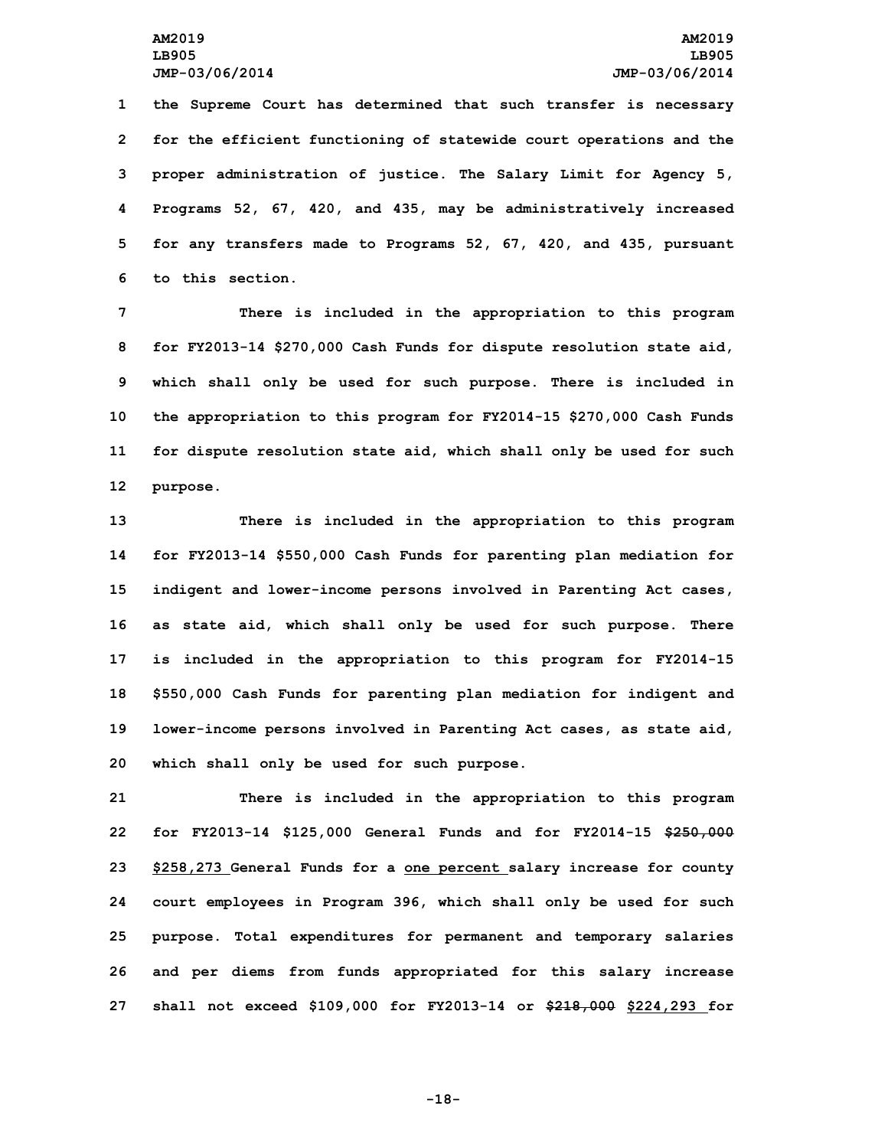**the Supreme Court has determined that such transfer is necessary for the efficient functioning of statewide court operations and the proper administration of justice. The Salary Limit for Agency 5, Programs 52, 67, 420, and 435, may be administratively increased for any transfers made to Programs 52, 67, 420, and 435, pursuant to this section.**

 **There is included in the appropriation to this program for FY2013-14 \$270,000 Cash Funds for dispute resolution state aid, which shall only be used for such purpose. There is included in the appropriation to this program for FY2014-15 \$270,000 Cash Funds for dispute resolution state aid, which shall only be used for such 12 purpose.**

 **There is included in the appropriation to this program for FY2013-14 \$550,000 Cash Funds for parenting plan mediation for indigent and lower-income persons involved in Parenting Act cases, as state aid, which shall only be used for such purpose. There is included in the appropriation to this program for FY2014-15 \$550,000 Cash Funds for parenting plan mediation for indigent and lower-income persons involved in Parenting Act cases, as state aid, which shall only be used for such purpose.**

 **There is included in the appropriation to this program for FY2013-14 \$125,000 General Funds and for FY2014-15 \$250,000 \$258,273 General Funds for <sup>a</sup> one percent salary increase for county court employees in Program 396, which shall only be used for such purpose. Total expenditures for permanent and temporary salaries and per diems from funds appropriated for this salary increase shall not exceed \$109,000 for FY2013-14 or \$218,000 \$224,293 for**

**-18-**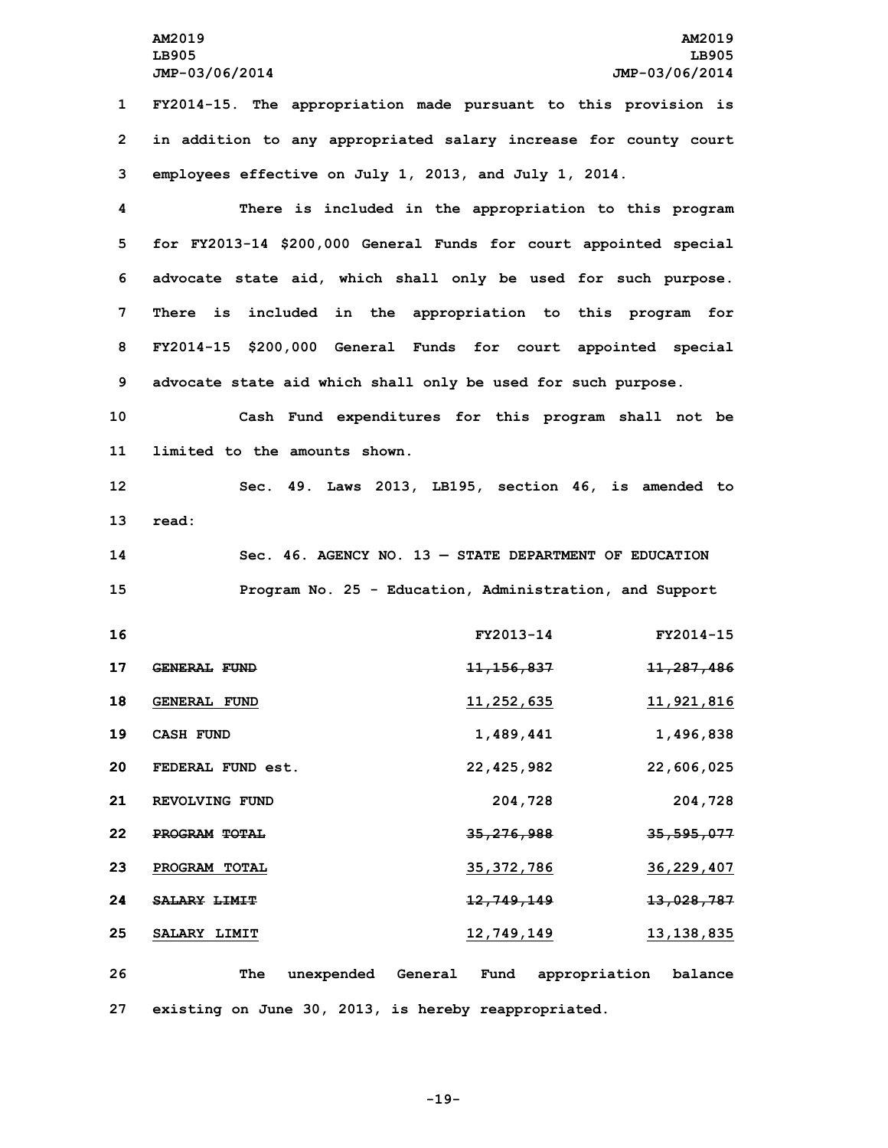**1 FY2014-15. The appropriation made pursuant to this provision is 2 in addition to any appropriated salary increase for county court 3 employees effective on July 1, 2013, and July 1, 2014.**

 **There is included in the appropriation to this program for FY2013-14 \$200,000 General Funds for court appointed special advocate state aid, which shall only be used for such purpose. There is included in the appropriation to this program for FY2014-15 \$200,000 General Funds for court appointed special advocate state aid which shall only be used for such purpose.**

**10 Cash Fund expenditures for this program shall not be 11 limited to the amounts shown.**

**12 Sec. 49. Laws 2013, LB195, section 46, is amended to 13 read:**

**14 Sec. 46. AGENCY NO. 13 — STATE DEPARTMENT OF EDUCATION 15 Program No. 25 - Education, Administration, and Support**

| 16 |                     | FY2013-14             | FY2014-15             |
|----|---------------------|-----------------------|-----------------------|
| 17 | <b>GENERAL FUND</b> | <del>11,156,837</del> | <del>11,287,486</del> |
| 18 | <b>GENERAL FUND</b> | 11,252,635            | 11,921,816            |
| 19 | <b>CASH FUND</b>    | 1,489,441             | 1,496,838             |
| 20 | FEDERAL FUND est.   | 22,425,982            | 22,606,025            |
| 21 | REVOLVING FUND      | 204,728               | 204,728               |
| 22 | PROGRAM TOTAL       | <del>35,276,988</del> | <del>35,595,077</del> |
| 23 | PROGRAM TOTAL       | 35, 372, 786          | 36,229,407            |
| 24 | <b>SALARY LIMIT</b> | <del>12,749,149</del> | 13,028,787            |
| 25 | SALARY LIMIT        | 12,749,149            | 13,138,835            |
|    |                     |                       |                       |

**26 The unexpended General Fund appropriation balance 27 existing on June 30, 2013, is hereby reappropriated.**

**-19-**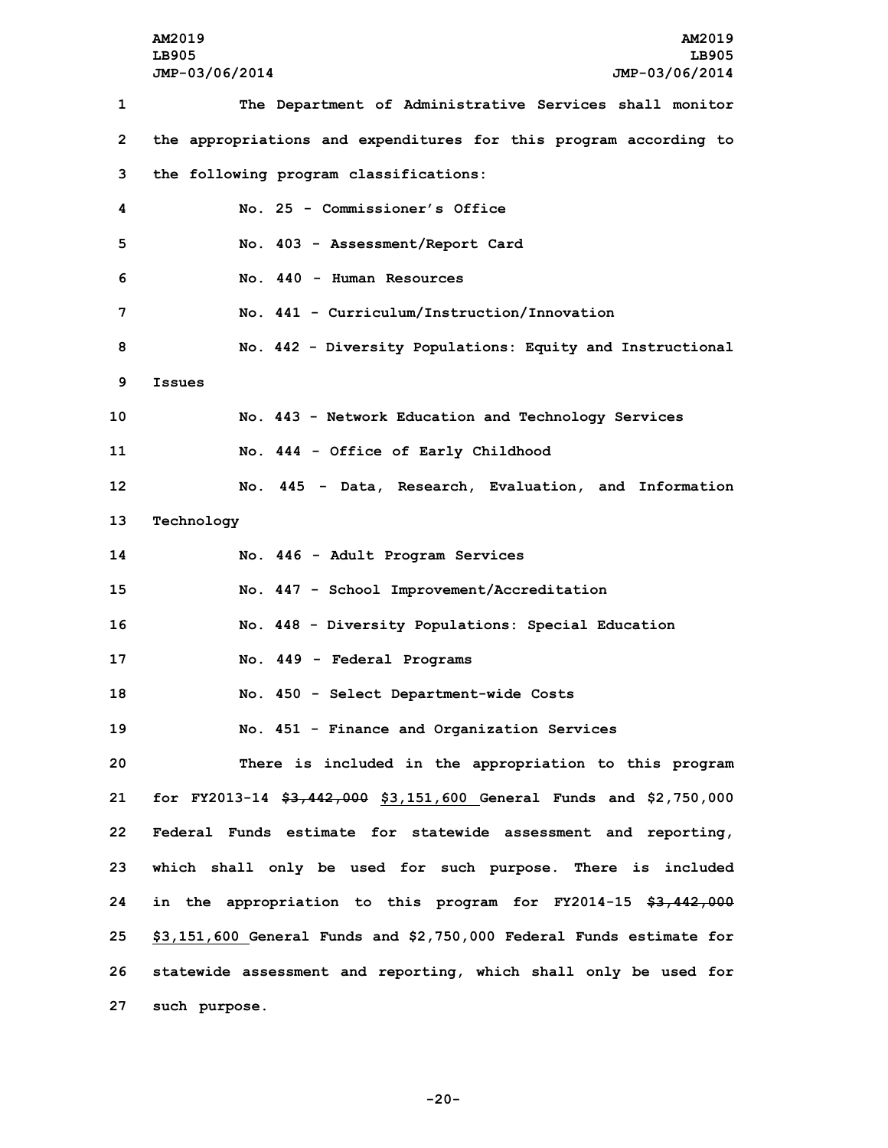**AM2019 AM2019 LB905 LB905 JMP-03/06/2014 JMP-03/06/2014 The Department of Administrative Services shall monitor the appropriations and expenditures for this program according to the following program classifications: No. 25 - Commissioner's Office No. 403 - Assessment/Report Card No. 440 - Human Resources No. 441 - Curriculum/Instruction/Innovation No. 442 - Diversity Populations: Equity and Instructional 9 Issues No. 443 - Network Education and Technology Services No. 444 - Office of Early Childhood No. 445 - Data, Research, Evaluation, and Information Technology No. 446 - Adult Program Services No. <sup>447</sup> - School Improvement/Accreditation No. 448 - Diversity Populations: Special Education No. 449 - Federal Programs No. 450 - Select Department-wide Costs No. 451 - Finance and Organization Services There is included in the appropriation to this program for FY2013-14 \$3,442,000 \$3,151,600 General Funds and \$2,750,000 Federal Funds estimate for statewide assessment and reporting, which shall only be used for such purpose. There is included in the appropriation to this program for FY2014-15 \$3,442,000 \$3,151,600 General Funds and \$2,750,000 Federal Funds estimate for statewide assessment and reporting, which shall only be used for such purpose.**

**-20-**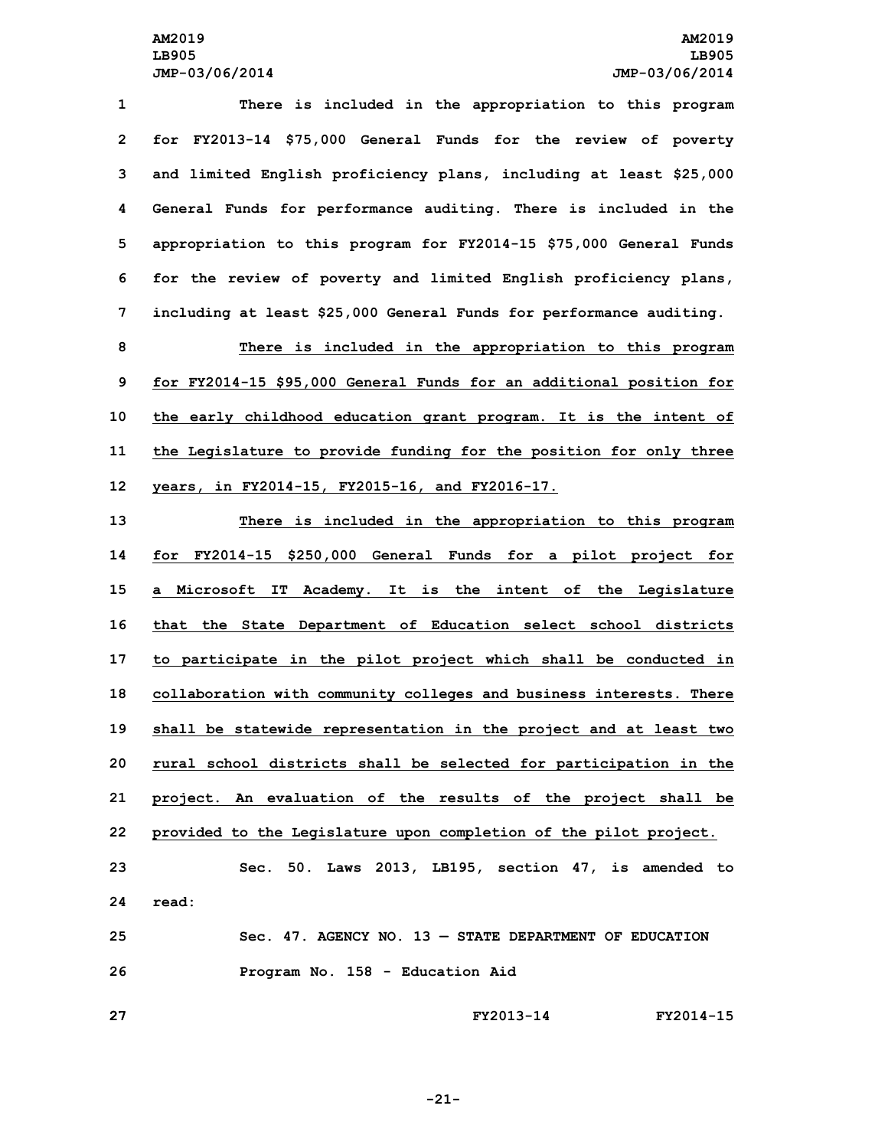**There is included in the appropriation to this program for FY2013-14 \$75,000 General Funds for the review of poverty and limited English proficiency plans, including at least \$25,000 General Funds for performance auditing. There is included in the appropriation to this program for FY2014-15 \$75,000 General Funds for the review of poverty and limited English proficiency plans, including at least \$25,000 General Funds for performance auditing.**

 **There is included in the appropriation to this program for FY2014-15 \$95,000 General Funds for an additional position for the early childhood education grant program. It is the intent of the Legislature to provide funding for the position for only three years, in FY2014-15, FY2015-16, and FY2016-17.**

 **There is included in the appropriation to this program for FY2014-15 \$250,000 General Funds for <sup>a</sup> pilot project for <sup>a</sup> Microsoft IT Academy. It is the intent of the Legislature that the State Department of Education select school districts to participate in the pilot project which shall be conducted in collaboration with community colleges and business interests. There shall be statewide representation in the project and at least two rural school districts shall be selected for participation in the project. An evaluation of the results of the project shall be provided to the Legislature upon completion of the pilot project. Sec. 50. Laws 2013, LB195, section 47, is amended to 24 read: Sec. 47. AGENCY NO. 13 — STATE DEPARTMENT OF EDUCATION**

**26 Program No. 158 - Education Aid**

**27 FY2013-14 FY2014-15**

**-21-**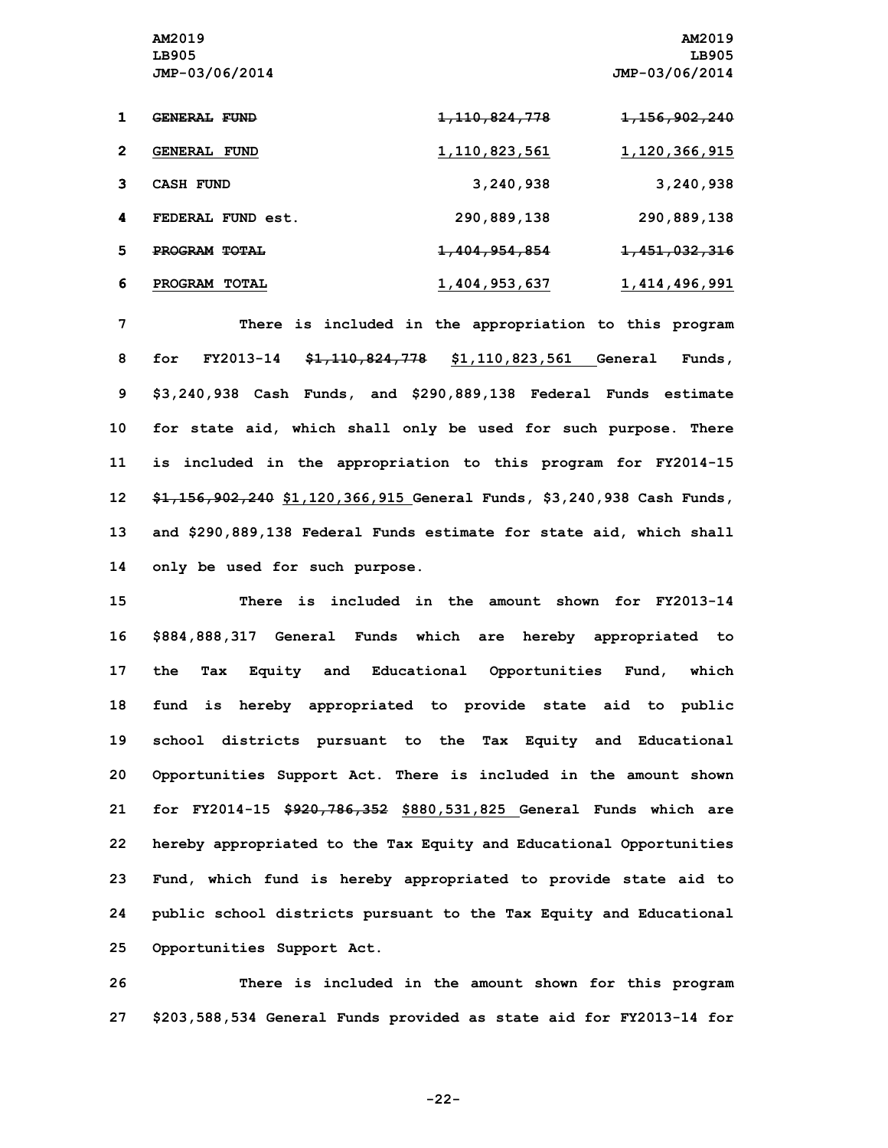|   | GENERAL FUND         | <del>1, 110, 824, 778</del> | <del>1,156,902,240</del> |
|---|----------------------|-----------------------------|--------------------------|
| 2 | <b>GENERAL FUND</b>  | 1,110,823,561               | 1,120,366,915            |
| з | CASH FUND            | 3,240,938                   | 3,240,938                |
| 4 | FEDERAL FUND est.    | 290,889,138                 | 290,889,138              |
| 5 | <b>PROGRAM TOTAL</b> | <del>1,404,954,854</del>    | 1,451,032,316            |
| 6 | PROGRAM TOTAL        | 1,404,953,637               | 1,414,496,991            |

 **There is included in the appropriation to this program for FY2013-14 \$1,110,824,778 \$1,110,823,561 General Funds, \$3,240,938 Cash Funds, and \$290,889,138 Federal Funds estimate for state aid, which shall only be used for such purpose. There is included in the appropriation to this program for FY2014-15 \$1,156,902,240 \$1,120,366,915 General Funds, \$3,240,938 Cash Funds, and \$290,889,138 Federal Funds estimate for state aid, which shall only be used for such purpose.**

 **There is included in the amount shown for FY2013-14 \$884,888,317 General Funds which are hereby appropriated to the Tax Equity and Educational Opportunities Fund, which fund is hereby appropriated to provide state aid to public school districts pursuant to the Tax Equity and Educational Opportunities Support Act. There is included in the amount shown for FY2014-15 \$920,786,352 \$880,531,825 General Funds which are hereby appropriated to the Tax Equity and Educational Opportunities Fund, which fund is hereby appropriated to provide state aid to public school districts pursuant to the Tax Equity and Educational Opportunities Support Act.**

**26 There is included in the amount shown for this program 27 \$203,588,534 General Funds provided as state aid for FY2013-14 for**

**-22-**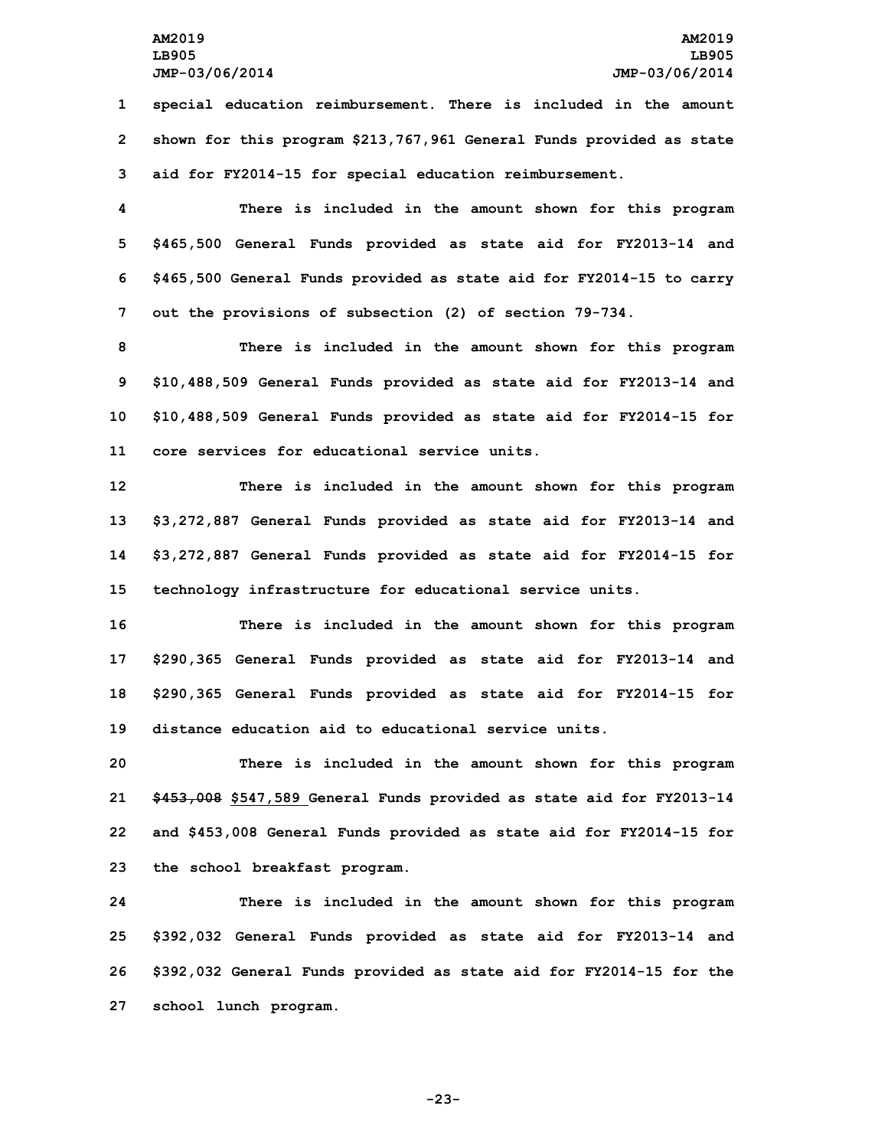**1 special education reimbursement. There is included in the amount 2 shown for this program \$213,767,961 General Funds provided as state 3 aid for FY2014-15 for special education reimbursement.**

 **There is included in the amount shown for this program \$465,500 General Funds provided as state aid for FY2013-14 and \$465,500 General Funds provided as state aid for FY2014-15 to carry out the provisions of subsection (2) of section 79-734.**

 **There is included in the amount shown for this program \$10,488,509 General Funds provided as state aid for FY2013-14 and \$10,488,509 General Funds provided as state aid for FY2014-15 for core services for educational service units.**

 **There is included in the amount shown for this program \$3,272,887 General Funds provided as state aid for FY2013-14 and \$3,272,887 General Funds provided as state aid for FY2014-15 for technology infrastructure for educational service units.**

 **There is included in the amount shown for this program \$290,365 General Funds provided as state aid for FY2013-14 and \$290,365 General Funds provided as state aid for FY2014-15 for distance education aid to educational service units.**

 **There is included in the amount shown for this program \$453,008 \$547,589 General Funds provided as state aid for FY2013-14 and \$453,008 General Funds provided as state aid for FY2014-15 for the school breakfast program.**

 **There is included in the amount shown for this program \$392,032 General Funds provided as state aid for FY2013-14 and \$392,032 General Funds provided as state aid for FY2014-15 for the school lunch program.**

**-23-**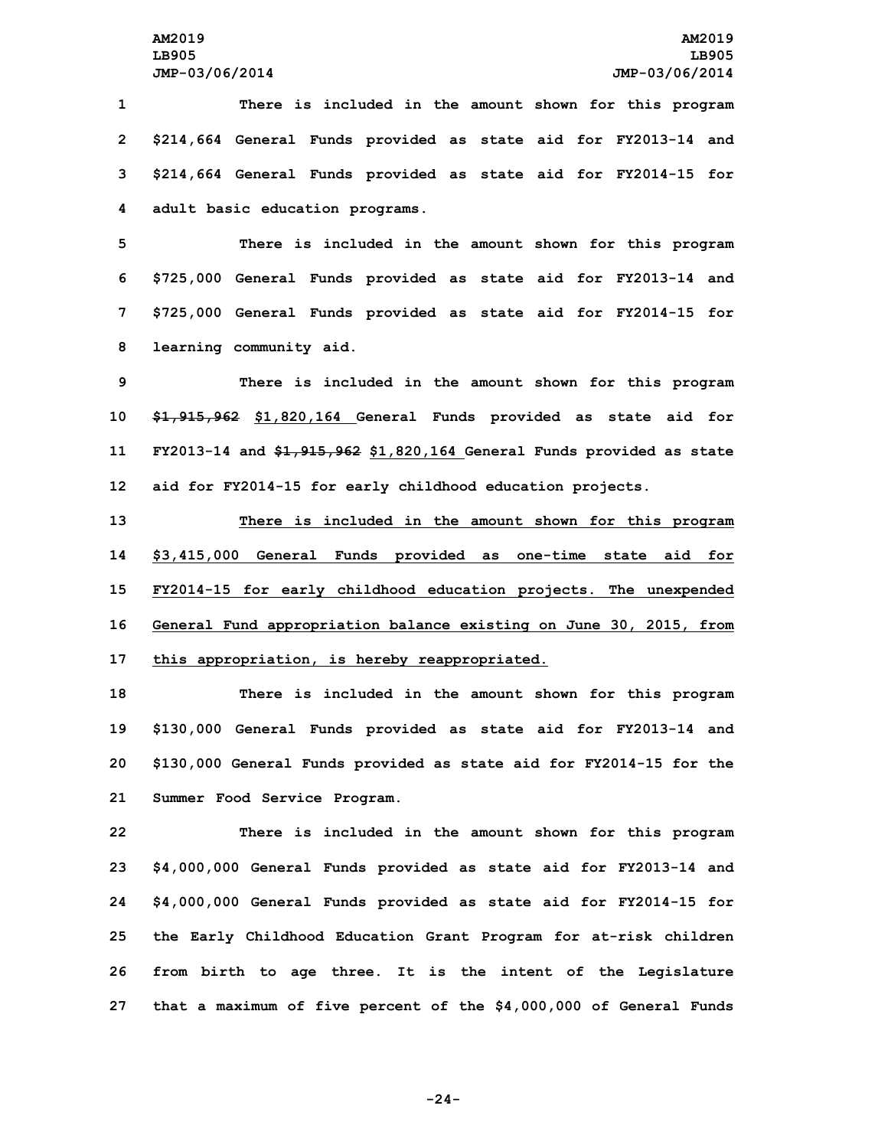**There is included in the amount shown for this program \$214,664 General Funds provided as state aid for FY2013-14 and \$214,664 General Funds provided as state aid for FY2014-15 for adult basic education programs.**

 **There is included in the amount shown for this program \$725,000 General Funds provided as state aid for FY2013-14 and \$725,000 General Funds provided as state aid for FY2014-15 for learning community aid.**

 **There is included in the amount shown for this program \$1,915,962 \$1,820,164 General Funds provided as state aid for FY2013-14 and \$1,915,962 \$1,820,164 General Funds provided as state aid for FY2014-15 for early childhood education projects.**

 **There is included in the amount shown for this program \$3,415,000 General Funds provided as one-time state aid for FY2014-15 for early childhood education projects. The unexpended General Fund appropriation balance existing on June 30, 2015, from this appropriation, is hereby reappropriated.**

 **There is included in the amount shown for this program \$130,000 General Funds provided as state aid for FY2013-14 and \$130,000 General Funds provided as state aid for FY2014-15 for the Summer Food Service Program.**

 **There is included in the amount shown for this program \$4,000,000 General Funds provided as state aid for FY2013-14 and \$4,000,000 General Funds provided as state aid for FY2014-15 for the Early Childhood Education Grant Program for at-risk children from birth to age three. It is the intent of the Legislature that <sup>a</sup> maximum of five percent of the \$4,000,000 of General Funds**

**-24-**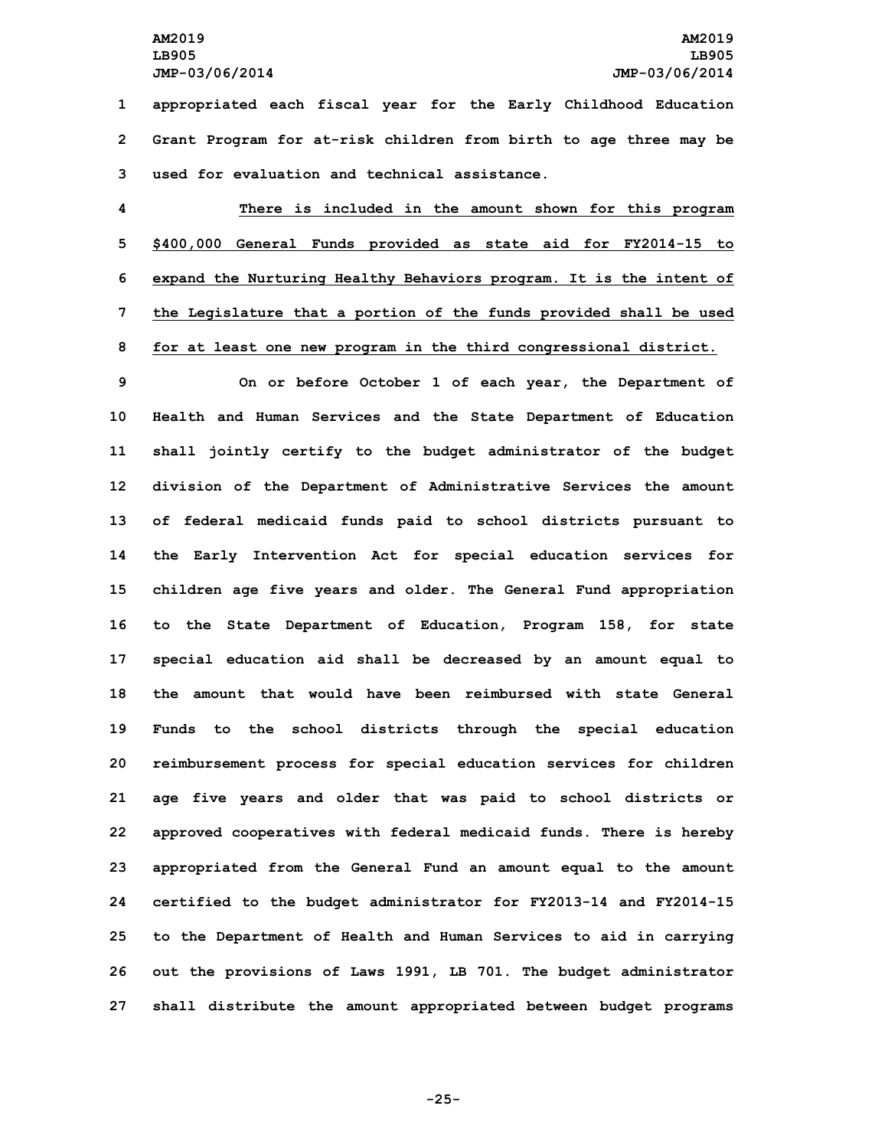**1 appropriated each fiscal year for the Early Childhood Education 2 Grant Program for at-risk children from birth to age three may be 3 used for evaluation and technical assistance.**

 **There is included in the amount shown for this program \$400,000 General Funds provided as state aid for FY2014-15 to expand the Nurturing Healthy Behaviors program. It is the intent of the Legislature that <sup>a</sup> portion of the funds provided shall be used for at least one new program in the third congressional district.**

 **On or before October 1 of each year, the Department of Health and Human Services and the State Department of Education shall jointly certify to the budget administrator of the budget division of the Department of Administrative Services the amount of federal medicaid funds paid to school districts pursuant to the Early Intervention Act for special education services for children age five years and older. The General Fund appropriation to the State Department of Education, Program 158, for state special education aid shall be decreased by an amount equal to the amount that would have been reimbursed with state General Funds to the school districts through the special education reimbursement process for special education services for children age five years and older that was paid to school districts or approved cooperatives with federal medicaid funds. There is hereby appropriated from the General Fund an amount equal to the amount certified to the budget administrator for FY2013-14 and FY2014-15 to the Department of Health and Human Services to aid in carrying out the provisions of Laws 1991, LB 701. The budget administrator shall distribute the amount appropriated between budget programs**

**-25-**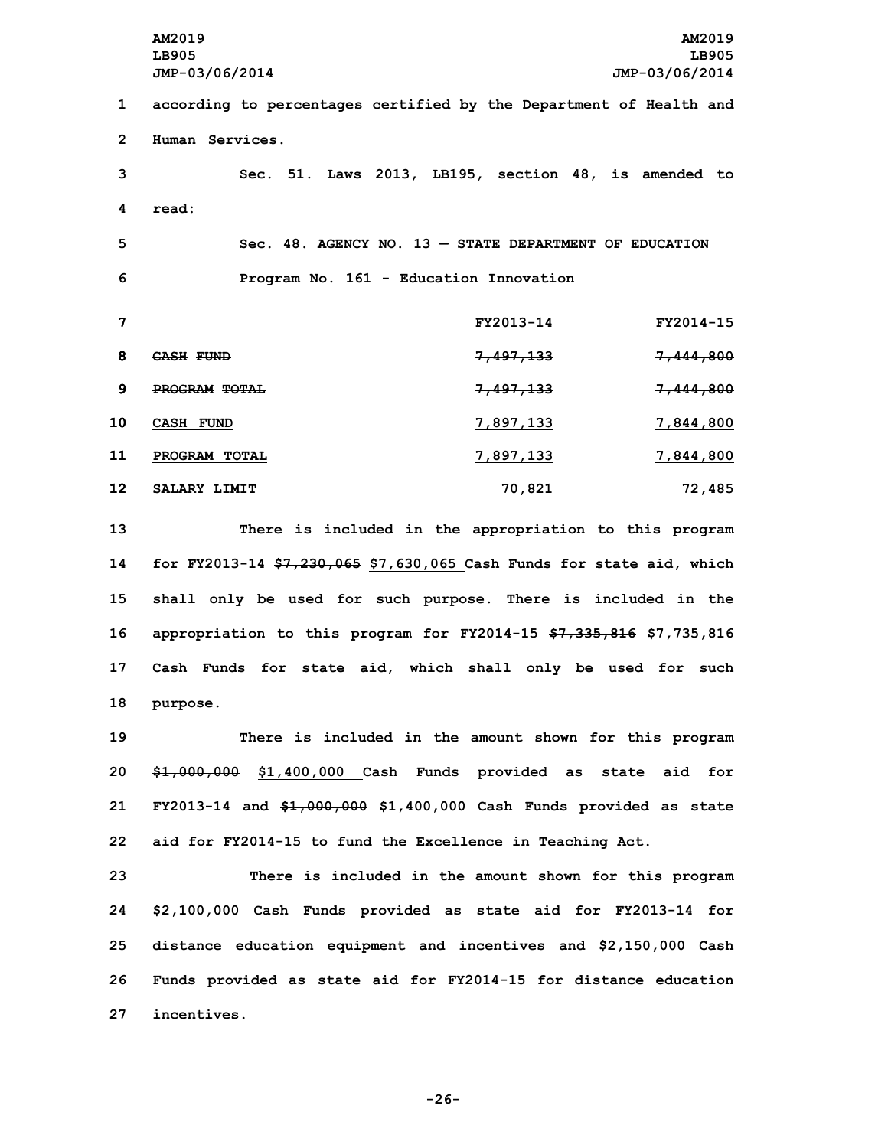**AM2019 AM2019 LB905 LB905 JMP-03/06/2014 JMP-03/06/2014 according to percentages certified by the Department of Health and Human Services. Sec. 51. Laws 2013, LB195, section 48, is amended to 4 read: Sec. 48. AGENCY NO. 13 — STATE DEPARTMENT OF EDUCATION Program No. 161 - Education Innovation FY2013-14 FY2014-15 CASH FUND 7,497,133 7,444,800 PROGRAM TOTAL 7,497,133 7,444,800 CASH FUND 7,897,133 7,844,800 PROGRAM TOTAL 7,897,133 7,844,800 SALARY LIMIT 70,821 72,485 There is included in the appropriation to this program**

 **for FY2013-14 \$7,230,065 \$7,630,065 Cash Funds for state aid, which shall only be used for such purpose. There is included in the appropriation to this program for FY2014-15 \$7,335,816 \$7,735,816 Cash Funds for state aid, which shall only be used for such 18 purpose.**

 **There is included in the amount shown for this program \$1,000,000 \$1,400,000 Cash Funds provided as state aid for FY2013-14 and \$1,000,000 \$1,400,000 Cash Funds provided as state aid for FY2014-15 to fund the Excellence in Teaching Act.**

 **There is included in the amount shown for this program \$2,100,000 Cash Funds provided as state aid for FY2013-14 for distance education equipment and incentives and \$2,150,000 Cash Funds provided as state aid for FY2014-15 for distance education incentives.**

**-26-**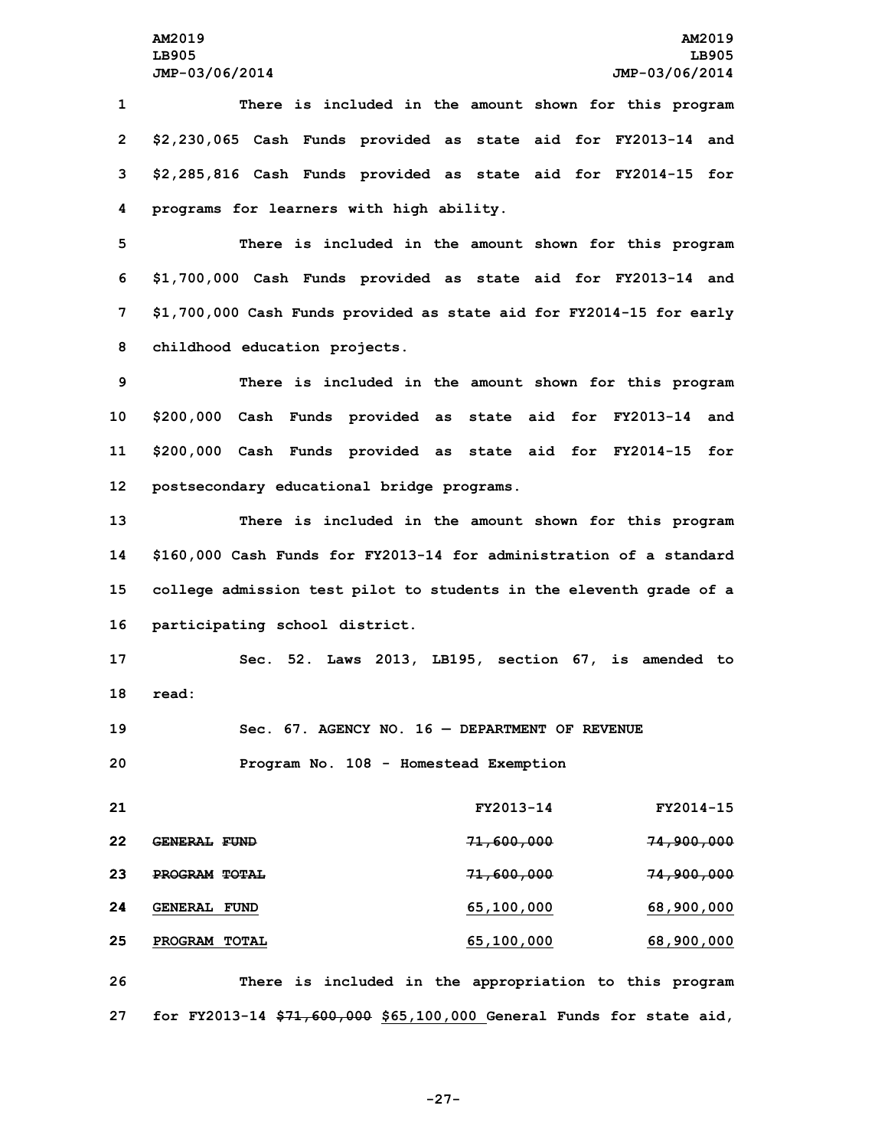**There is included in the amount shown for this program \$2,230,065 Cash Funds provided as state aid for FY2013-14 and \$2,285,816 Cash Funds provided as state aid for FY2014-15 for programs for learners with high ability.**

 **There is included in the amount shown for this program \$1,700,000 Cash Funds provided as state aid for FY2013-14 and \$1,700,000 Cash Funds provided as state aid for FY2014-15 for early childhood education projects.**

 **There is included in the amount shown for this program \$200,000 Cash Funds provided as state aid for FY2013-14 and \$200,000 Cash Funds provided as state aid for FY2014-15 for postsecondary educational bridge programs.**

 **There is included in the amount shown for this program \$160,000 Cash Funds for FY2013-14 for administration of <sup>a</sup> standard college admission test pilot to students in the eleventh grade of <sup>a</sup> participating school district.**

**17 Sec. 52. Laws 2013, LB195, section 67, is amended to 18 read:**

**19 Sec. 67. AGENCY NO. 16 — DEPARTMENT OF REVENUE 20 Program No. 108 - Homestead Exemption**

 **FY2013-14 FY2014-15 GENERAL FUND 71,600,000 74,900,000 PROGRAM TOTAL 71,600,000 74,900,000 GENERAL FUND 65,100,000 68,900,000 PROGRAM TOTAL 65,100,000 68,900,000 There is included in the appropriation to this program**

**27 for FY2013-14 \$71,600,000 \$65,100,000 General Funds for state aid,**

**-27-**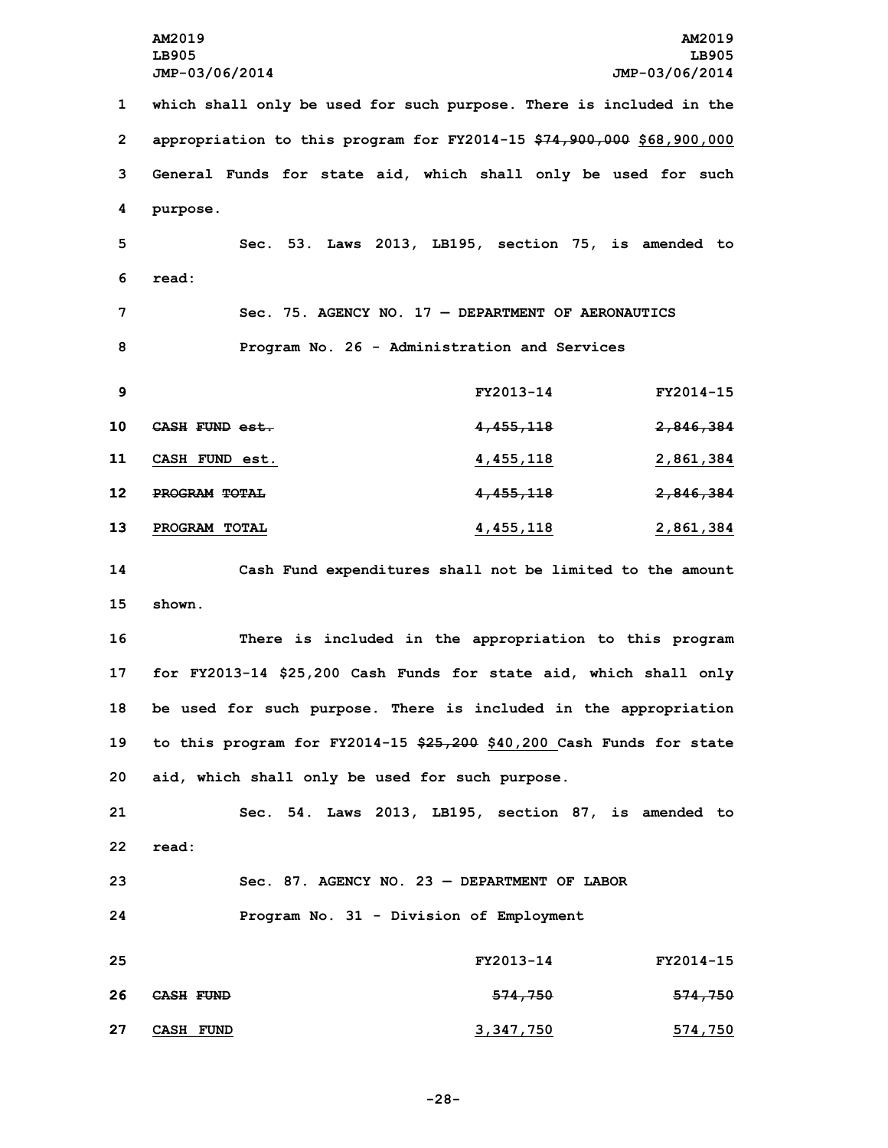**AM2019 AM2019 LB905 LB905 JMP-03/06/2014 JMP-03/06/2014 which shall only be used for such purpose. There is included in the appropriation to this program for FY2014-15 \$74,900,000 \$68,900,000 General Funds for state aid, which shall only be used for such 4 purpose. Sec. 53. Laws 2013, LB195, section 75, is amended to 6 read: Sec. 75. AGENCY NO. 17 — DEPARTMENT OF AERONAUTICS Program No. 26 - Administration and Services FY2013-14 FY2014-15 CASH FUND est. 4,455,118 2,846,384 CASH FUND est. 4,455,118 2,861,384 PROGRAM TOTAL 4,455,118 2,846,384 PROGRAM TOTAL 4,455,118 2,861,384 Cash Fund expenditures shall not be limited to the amount 15 shown. There is included in the appropriation to this program for FY2013-14 \$25,200 Cash Funds for state aid, which shall only be used for such purpose. There is included in the appropriation to this program for FY2014-15 \$25,200 \$40,200 Cash Funds for state aid, which shall only be used for such purpose. Sec. 54. Laws 2013, LB195, section 87, is amended to 22 read: Sec. 87. AGENCY NO. 23 — DEPARTMENT OF LABOR Program No. 31 - Division of Employment FY2013-14 FY2014-15 CASH FUND 574,750 574,750 CASH FUND 3,347,750 574,750**

**-28-**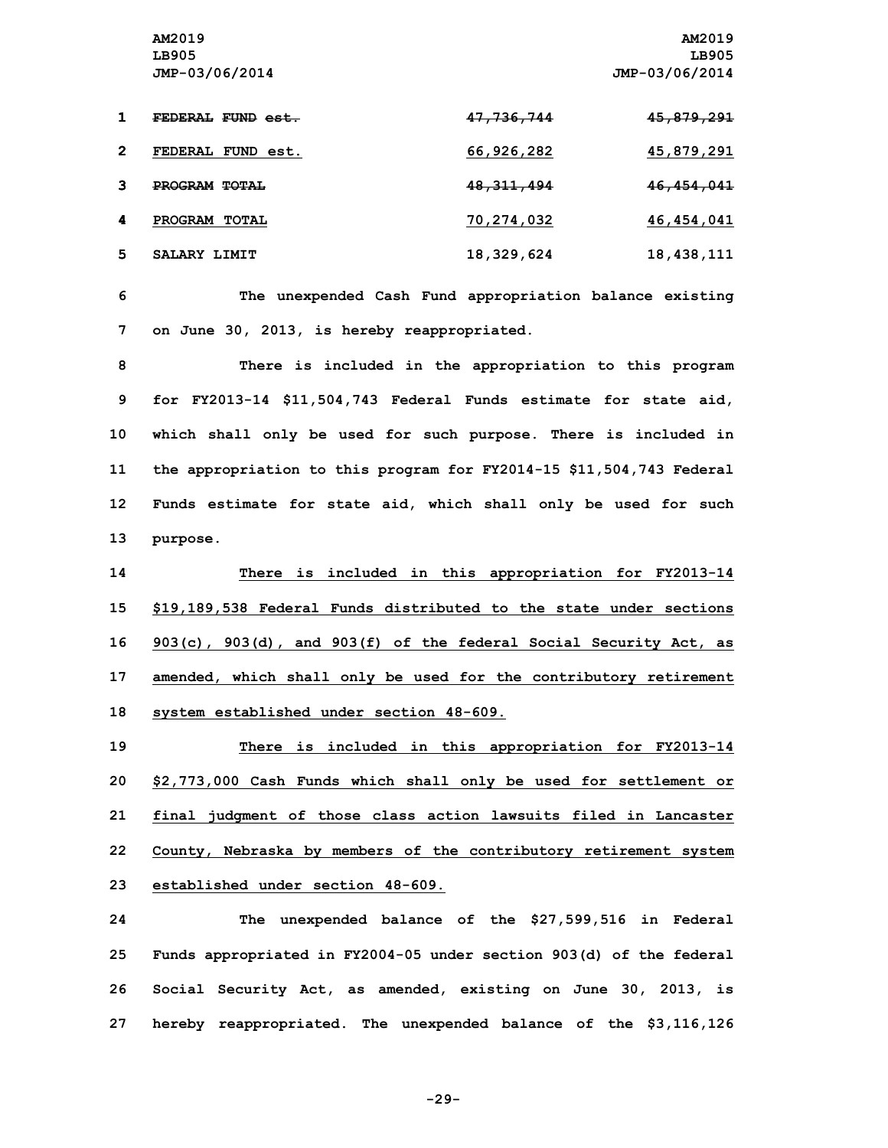|   | FEDERAL FUND est.    | <del>47,736,744</del> | <del>45,879,291</del> |
|---|----------------------|-----------------------|-----------------------|
| 2 | FEDERAL FUND est.    | 66,926,282            | 45,879,291            |
|   | <b>PROGRAM TOTAL</b> | 48, 311, 494          | 46,454,041            |
| 4 | PROGRAM TOTAL        | 70,274,032            | 46,454,041            |
| 5 | SALARY LIMIT         | 18,329,624            | 18,438,111            |

**6 The unexpended Cash Fund appropriation balance existing 7 on June 30, 2013, is hereby reappropriated.**

 **There is included in the appropriation to this program for FY2013-14 \$11,504,743 Federal Funds estimate for state aid, which shall only be used for such purpose. There is included in the appropriation to this program for FY2014-15 \$11,504,743 Federal Funds estimate for state aid, which shall only be used for such 13 purpose.**

 **There is included in this appropriation for FY2013-14 \$19,189,538 Federal Funds distributed to the state under sections 903(c), 903(d), and 903(f) of the federal Social Security Act, as amended, which shall only be used for the contributory retirement system established under section 48-609.**

 **There is included in this appropriation for FY2013-14 \$2,773,000 Cash Funds which shall only be used for settlement or final judgment of those class action lawsuits filed in Lancaster County, Nebraska by members of the contributory retirement system established under section 48-609.**

 **The unexpended balance of the \$27,599,516 in Federal Funds appropriated in FY2004-05 under section 903(d) of the federal Social Security Act, as amended, existing on June 30, 2013, is hereby reappropriated. The unexpended balance of the \$3,116,126**

**-29-**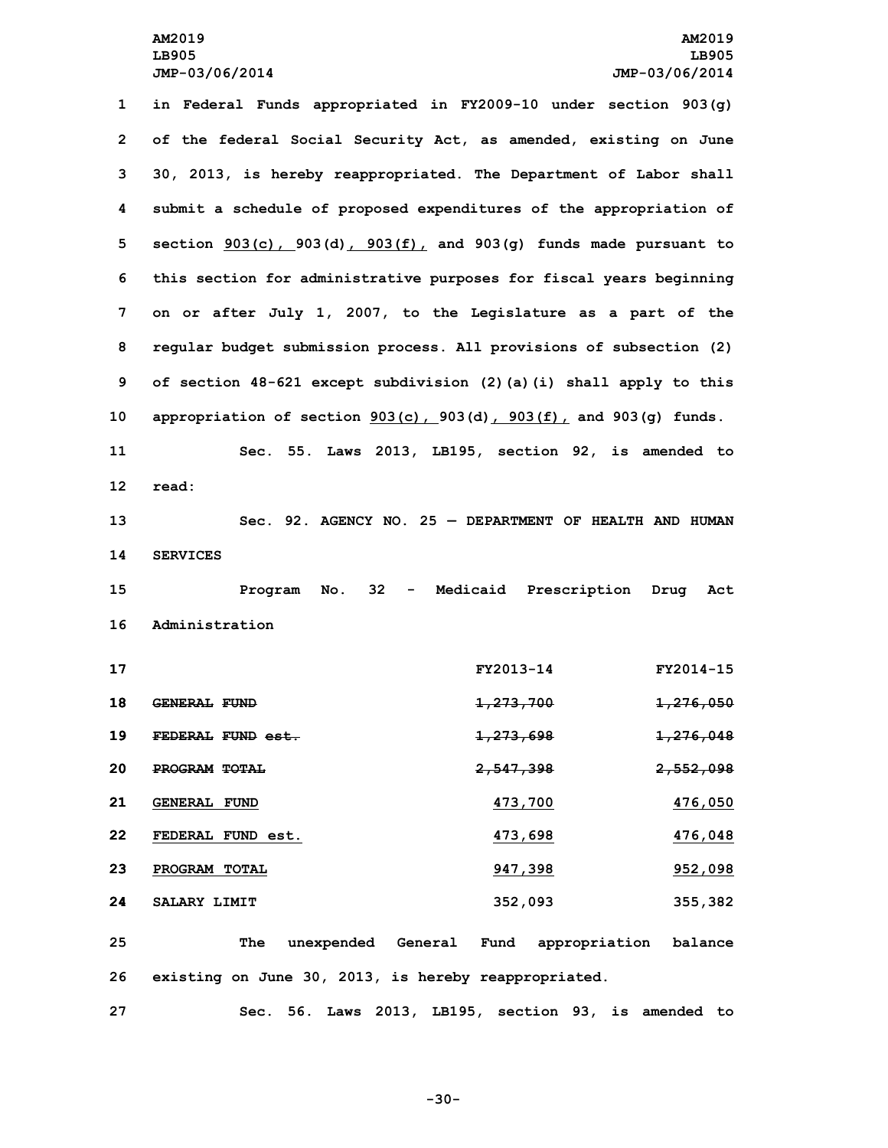**in Federal Funds appropriated in FY2009-10 under section 903(g) of the federal Social Security Act, as amended, existing on June 30, 2013, is hereby reappropriated. The Department of Labor shall submit <sup>a</sup> schedule of proposed expenditures of the appropriation of section 903(c), 903(d), 903(f), and 903(g) funds made pursuant to this section for administrative purposes for fiscal years beginning on or after July 1, 2007, to the Legislature as <sup>a</sup> part of the regular budget submission process. All provisions of subsection (2) of section 48-621 except subdivision (2)(a)(i) shall apply to this appropriation of section 903(c), 903(d), 903(f), and 903(g) funds. Sec. 55. Laws 2013, LB195, section 92, is amended to 12 read: Sec. 92. AGENCY NO. 25 — DEPARTMENT OF HEALTH AND HUMAN 14 SERVICES Program No. 32 - Medicaid Prescription Drug Act Administration FY2013-14 FY2014-15 GENERAL FUND 1,273,700 1,276,050 FEDERAL FUND est. 1,273,698 1,276,048 PROGRAM TOTAL 2,547,398 2,552,098 GENERAL FUND 473,700 476,050 FEDERAL FUND est. 473,698 476,048 PROGRAM TOTAL 947,398 952,098 SALARY LIMIT 352,093 355,382 The unexpended General Fund appropriation balance existing on June 30, 2013, is hereby reappropriated.**

**27 Sec. 56. Laws 2013, LB195, section 93, is amended to**

**-30-**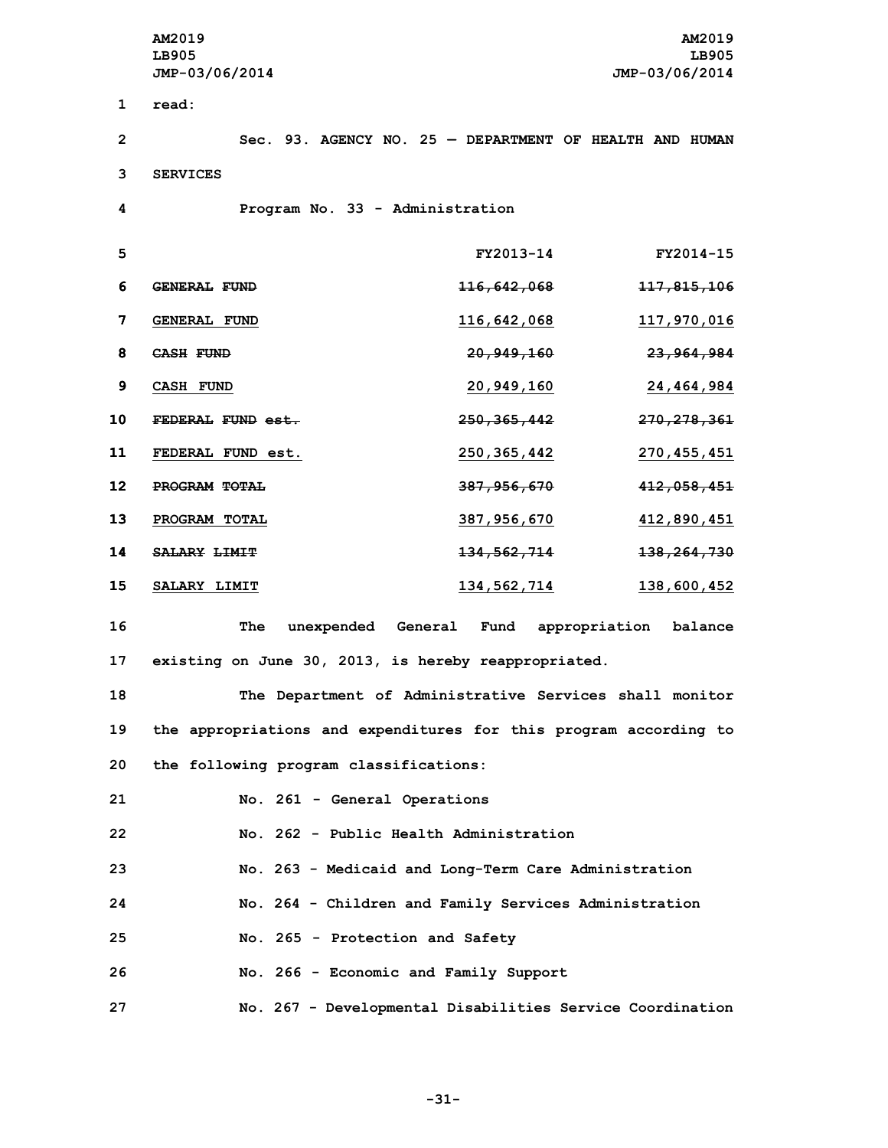**AM2019 AM2019 LB905 LB905 JMP-03/06/2014 JMP-03/06/2014 1 read: Sec. 93. AGENCY NO. 25 — DEPARTMENT OF HEALTH AND HUMAN 3 SERVICES Program No. 33 - Administration FY2013-14 FY2014-15 GENERAL FUND 116,642,068 117,815,106 GENERAL FUND 116,642,068 117,970,016 CASH FUND 20,949,160 23,964,984 CASH FUND 20,949,160 24,464,984 FEDERAL FUND est. 250,365,442 270,278,361 FEDERAL FUND est. 250,365,442 270,455,451 PROGRAM TOTAL 387,956,670 412,058,451 PROGRAM TOTAL 387,956,670 412,890,451 SALARY LIMIT 134,562,714 138,264,730 SALARY LIMIT 134,562,714 138,600,452 The unexpended General Fund appropriation balance**

**17 existing on June 30, 2013, is hereby reappropriated.**

**18 The Department of Administrative Services shall monitor 19 the appropriations and expenditures for this program according to 20 the following program classifications:**

 **No. 261 - General Operations No. 262 - Public Health Administration No. 263 - Medicaid and Long-Term Care Administration No. 264 - Children and Family Services Administration No. 265 - Protection and Safety No. 266 - Economic and Family Support No. 267 - Developmental Disabilities Service Coordination**

**-31-**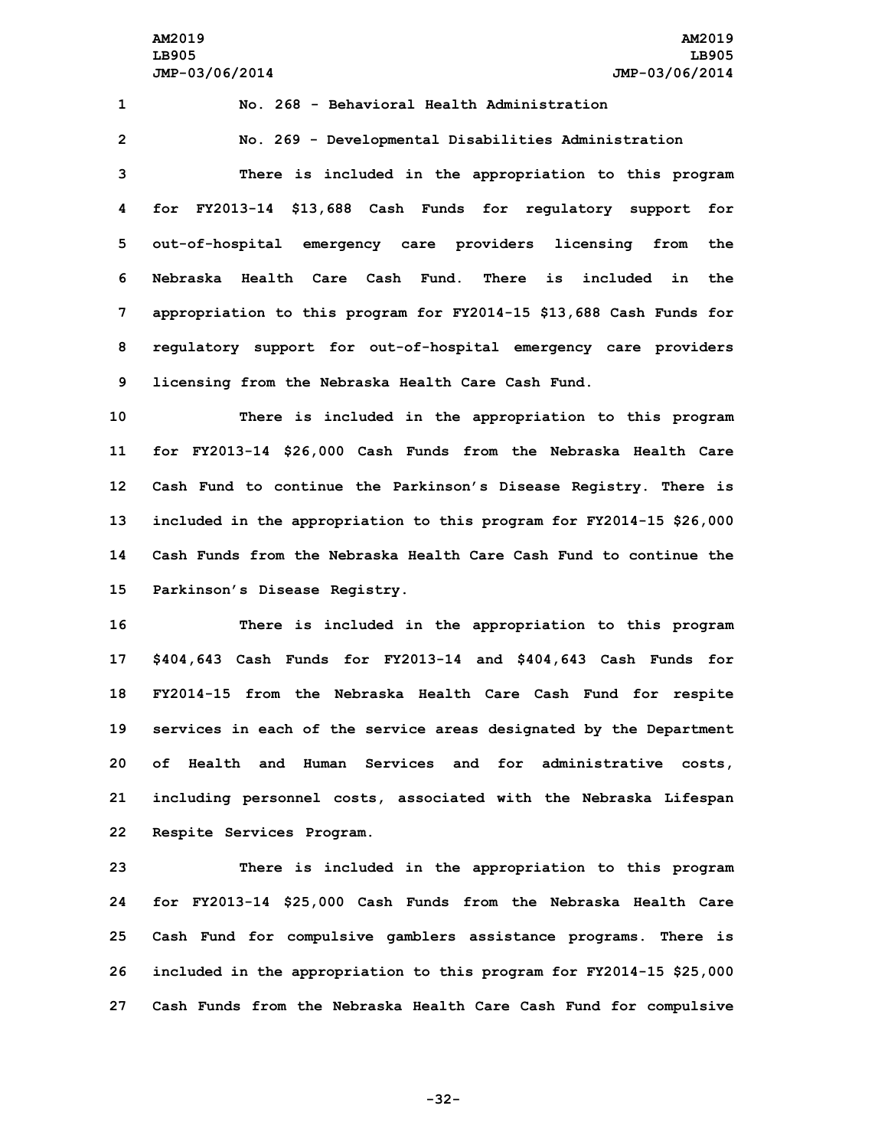**No. 268 - Behavioral Health Administration No. 269 - Developmental Disabilities Administration There is included in the appropriation to this program for FY2013-14 \$13,688 Cash Funds for regulatory support for out-of-hospital emergency care providers licensing from the Nebraska Health Care Cash Fund. There is included in the appropriation to this program for FY2014-15 \$13,688 Cash Funds for regulatory support for out-of-hospital emergency care providers**

**9 licensing from the Nebraska Health Care Cash Fund.**

 **There is included in the appropriation to this program for FY2013-14 \$26,000 Cash Funds from the Nebraska Health Care Cash Fund to continue the Parkinson's Disease Registry. There is included in the appropriation to this program for FY2014-15 \$26,000 Cash Funds from the Nebraska Health Care Cash Fund to continue the Parkinson's Disease Registry.**

 **There is included in the appropriation to this program \$404,643 Cash Funds for FY2013-14 and \$404,643 Cash Funds for FY2014-15 from the Nebraska Health Care Cash Fund for respite services in each of the service areas designated by the Department of Health and Human Services and for administrative costs, including personnel costs, associated with the Nebraska Lifespan Respite Services Program.**

 **There is included in the appropriation to this program for FY2013-14 \$25,000 Cash Funds from the Nebraska Health Care Cash Fund for compulsive gamblers assistance programs. There is included in the appropriation to this program for FY2014-15 \$25,000 Cash Funds from the Nebraska Health Care Cash Fund for compulsive**

**-32-**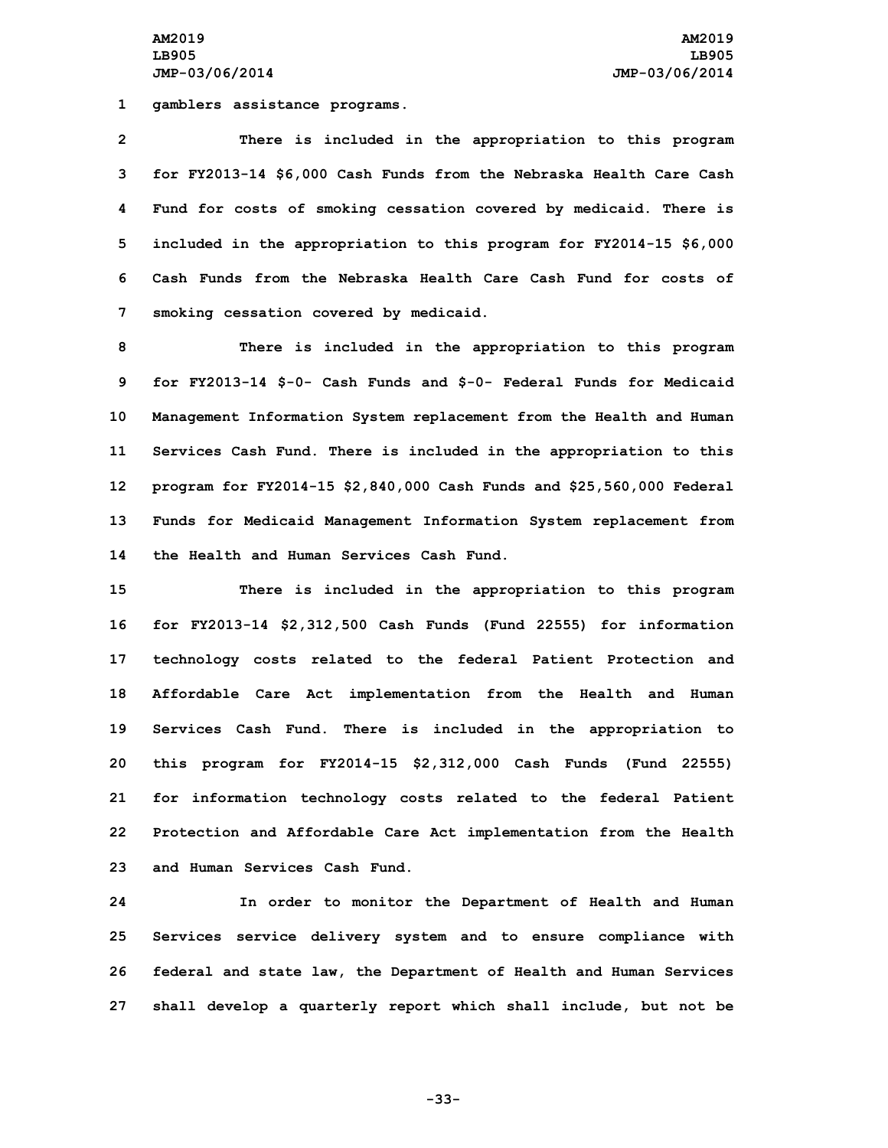**1 gamblers assistance programs.**

 **There is included in the appropriation to this program for FY2013-14 \$6,000 Cash Funds from the Nebraska Health Care Cash Fund for costs of smoking cessation covered by medicaid. There is included in the appropriation to this program for FY2014-15 \$6,000 Cash Funds from the Nebraska Health Care Cash Fund for costs of smoking cessation covered by medicaid.**

 **There is included in the appropriation to this program for FY2013-14 \$-0- Cash Funds and \$-0- Federal Funds for Medicaid Management Information System replacement from the Health and Human Services Cash Fund. There is included in the appropriation to this program for FY2014-15 \$2,840,000 Cash Funds and \$25,560,000 Federal Funds for Medicaid Management Information System replacement from the Health and Human Services Cash Fund.**

 **There is included in the appropriation to this program for FY2013-14 \$2,312,500 Cash Funds (Fund 22555) for information technology costs related to the federal Patient Protection and Affordable Care Act implementation from the Health and Human Services Cash Fund. There is included in the appropriation to this program for FY2014-15 \$2,312,000 Cash Funds (Fund 22555) for information technology costs related to the federal Patient Protection and Affordable Care Act implementation from the Health and Human Services Cash Fund.**

 **In order to monitor the Department of Health and Human Services service delivery system and to ensure compliance with federal and state law, the Department of Health and Human Services shall develop <sup>a</sup> quarterly report which shall include, but not be**

**-33-**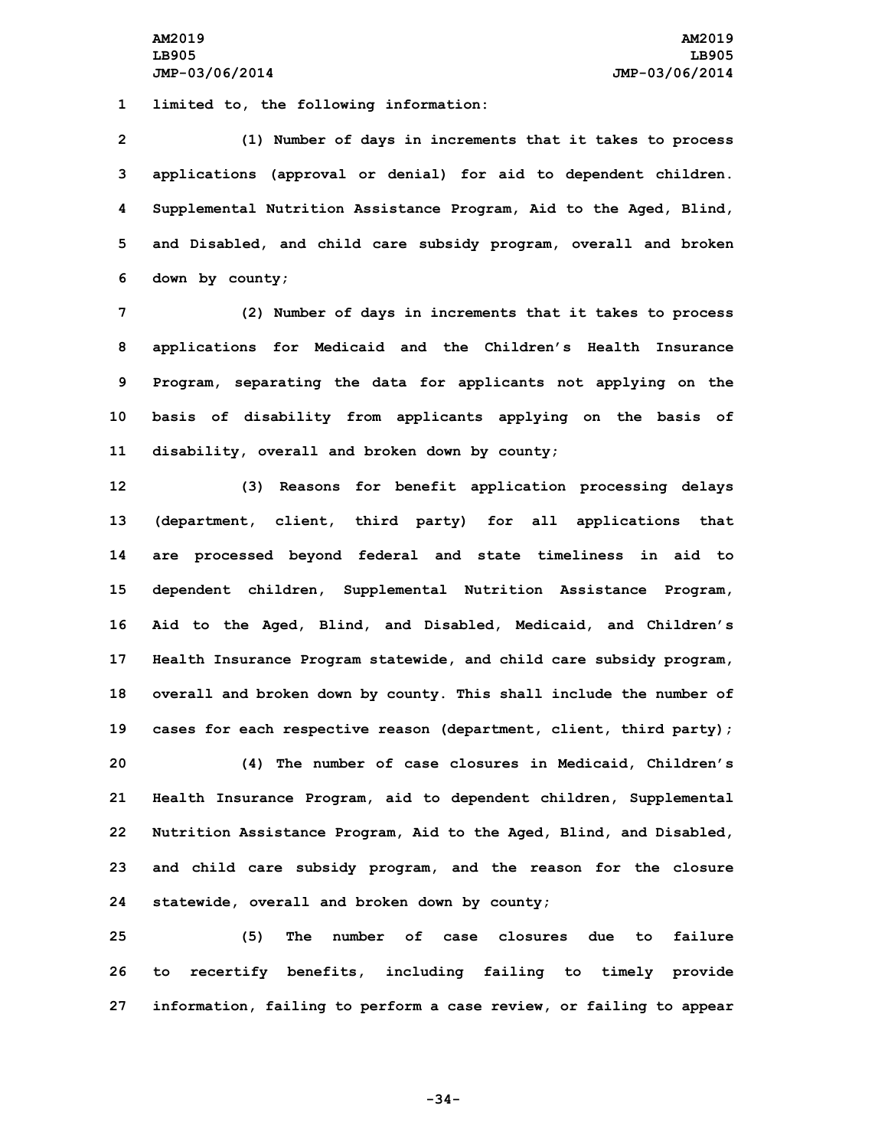**1 limited to, the following information:**

 **(1) Number of days in increments that it takes to process applications (approval or denial) for aid to dependent children. Supplemental Nutrition Assistance Program, Aid to the Aged, Blind, and Disabled, and child care subsidy program, overall and broken down by county;**

 **(2) Number of days in increments that it takes to process applications for Medicaid and the Children's Health Insurance Program, separating the data for applicants not applying on the basis of disability from applicants applying on the basis of disability, overall and broken down by county;**

 **(3) Reasons for benefit application processing delays (department, client, third party) for all applications that are processed beyond federal and state timeliness in aid to dependent children, Supplemental Nutrition Assistance Program, Aid to the Aged, Blind, and Disabled, Medicaid, and Children's Health Insurance Program statewide, and child care subsidy program, overall and broken down by county. This shall include the number of cases for each respective reason (department, client, third party); (4) The number of case closures in Medicaid, Children's Health Insurance Program, aid to dependent children, Supplemental Nutrition Assistance Program, Aid to the Aged, Blind, and Disabled, and child care subsidy program, and the reason for the closure statewide, overall and broken down by county;**

**25 (5) The number of case closures due to failure 26 to recertify benefits, including failing to timely provide 27 information, failing to perform <sup>a</sup> case review, or failing to appear**

**-34-**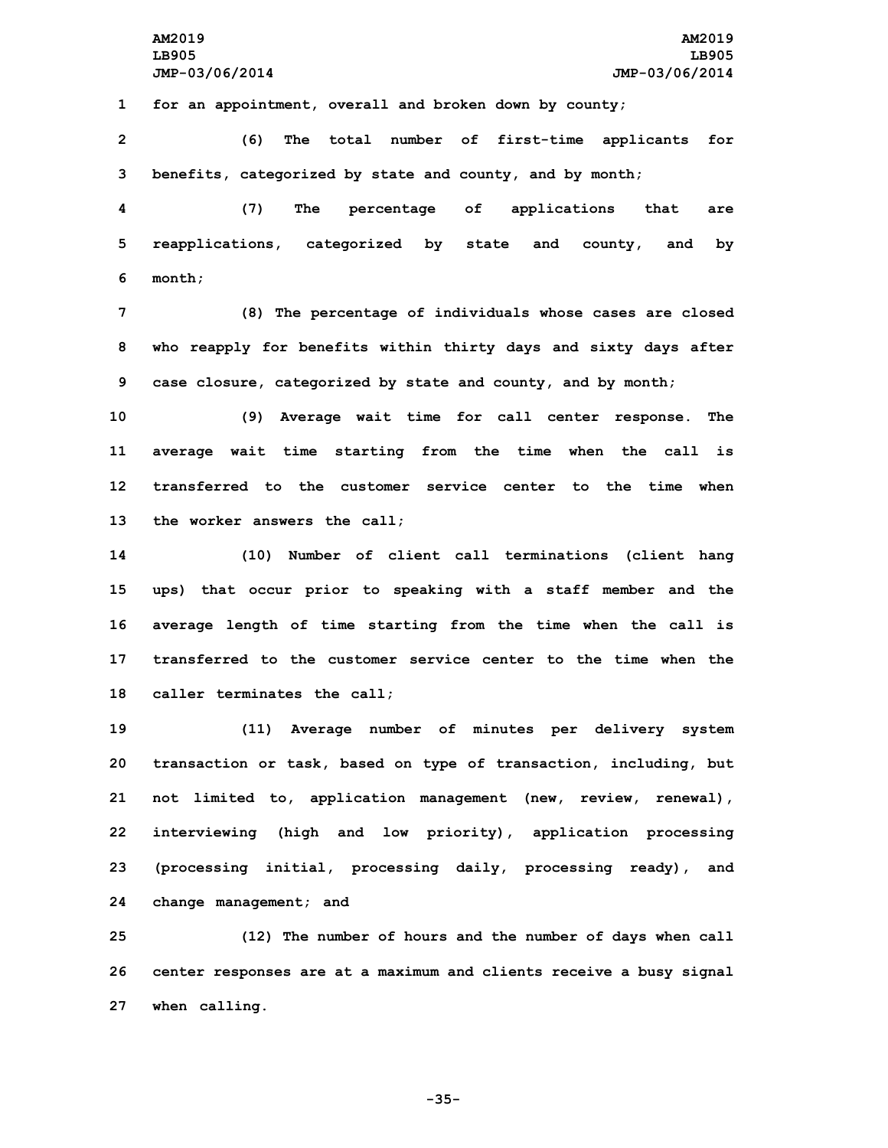**1 for an appointment, overall and broken down by county;**

**2 (6) The total number of first-time applicants for 3 benefits, categorized by state and county, and by month;**

**4 (7) The percentage of applications that are 5 reapplications, categorized by state and county, and by 6 month;**

**7 (8) The percentage of individuals whose cases are closed 8 who reapply for benefits within thirty days and sixty days after 9 case closure, categorized by state and county, and by month;**

 **(9) Average wait time for call center response. The average wait time starting from the time when the call is transferred to the customer service center to the time when the worker answers the call;**

 **(10) Number of client call terminations (client hang ups) that occur prior to speaking with <sup>a</sup> staff member and the average length of time starting from the time when the call is transferred to the customer service center to the time when the caller terminates the call;**

 **(11) Average number of minutes per delivery system transaction or task, based on type of transaction, including, but not limited to, application management (new, review, renewal), interviewing (high and low priority), application processing (processing initial, processing daily, processing ready), and change management; and**

**25 (12) The number of hours and the number of days when call 26 center responses are at <sup>a</sup> maximum and clients receive <sup>a</sup> busy signal 27 when calling.**

**-35-**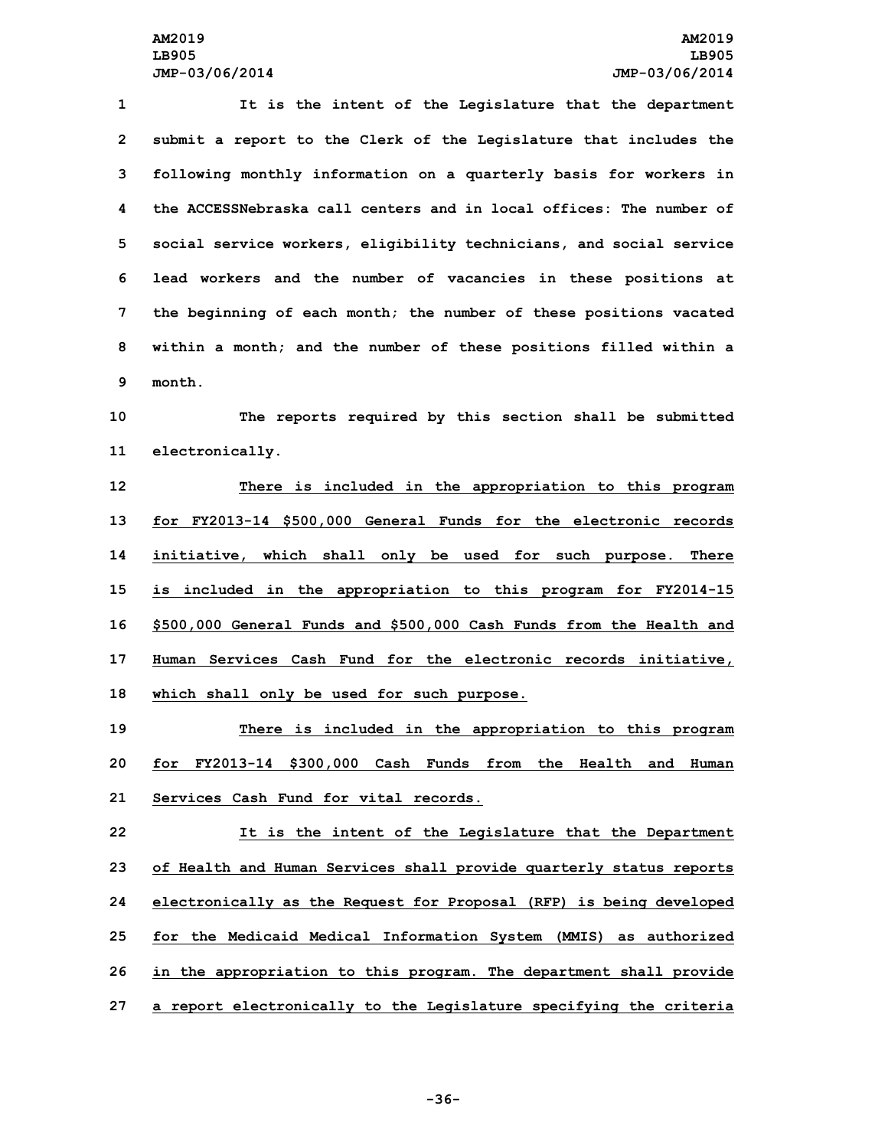**It is the intent of the Legislature that the department submit <sup>a</sup> report to the Clerk of the Legislature that includes the following monthly information on <sup>a</sup> quarterly basis for workers in the ACCESSNebraska call centers and in local offices: The number of social service workers, eligibility technicians, and social service lead workers and the number of vacancies in these positions at the beginning of each month; the number of these positions vacated within <sup>a</sup> month; and the number of these positions filled within <sup>a</sup> 9 month.**

**10 The reports required by this section shall be submitted 11 electronically.**

 **There is included in the appropriation to this program for FY2013-14 \$500,000 General Funds for the electronic records initiative, which shall only be used for such purpose. There is included in the appropriation to this program for FY2014-15 \$500,000 General Funds and \$500,000 Cash Funds from the Health and Human Services Cash Fund for the electronic records initiative, which shall only be used for such purpose.**

**19 There is included in the appropriation to this program 20 for FY2013-14 \$300,000 Cash Funds from the Health and Human 21 Services Cash Fund for vital records.**

 **It is the intent of the Legislature that the Department of Health and Human Services shall provide quarterly status reports electronically as the Request for Proposal (RFP) is being developed for the Medicaid Medical Information System (MMIS) as authorized in the appropriation to this program. The department shall provide <sup>a</sup> report electronically to the Legislature specifying the criteria**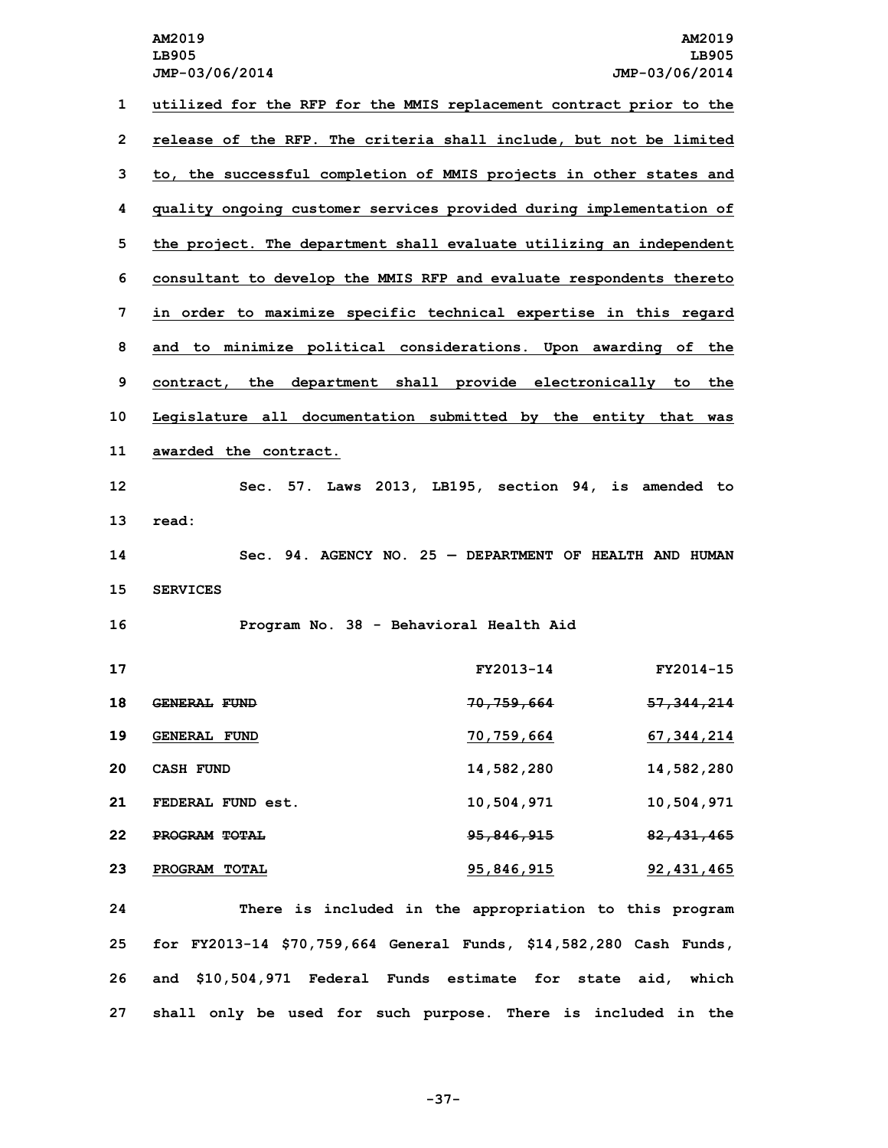**utilized for the RFP for the MMIS replacement contract prior to the release of the RFP. The criteria shall include, but not be limited to, the successful completion of MMIS projects in other states and quality ongoing customer services provided during implementation of the project. The department shall evaluate utilizing an independent consultant to develop the MMIS RFP and evaluate respondents thereto in order to maximize specific technical expertise in this regard and to minimize political considerations. Upon awarding of the contract, the department shall provide electronically to the Legislature all documentation submitted by the entity that was awarded the contract. Sec. 57. Laws 2013, LB195, section 94, is amended to 13 read: Sec. 94. AGENCY NO. 25 — DEPARTMENT OF HEALTH AND HUMAN 15 SERVICES Program No. 38 - Behavioral Health Aid FY2013-14 FY2014-15 GENERAL FUND 70,759,664 57,344,214 GENERAL FUND 70,759,664 67,344,214 CASH FUND 14,582,280 14,582,280 FEDERAL FUND est. 10,504,971 10,504,971 PROGRAM TOTAL 95,846,915 82,431,465 PROGRAM TOTAL 95,846,915 92,431,465**

 **There is included in the appropriation to this program for FY2013-14 \$70,759,664 General Funds, \$14,582,280 Cash Funds, and \$10,504,971 Federal Funds estimate for state aid, which shall only be used for such purpose. There is included in the**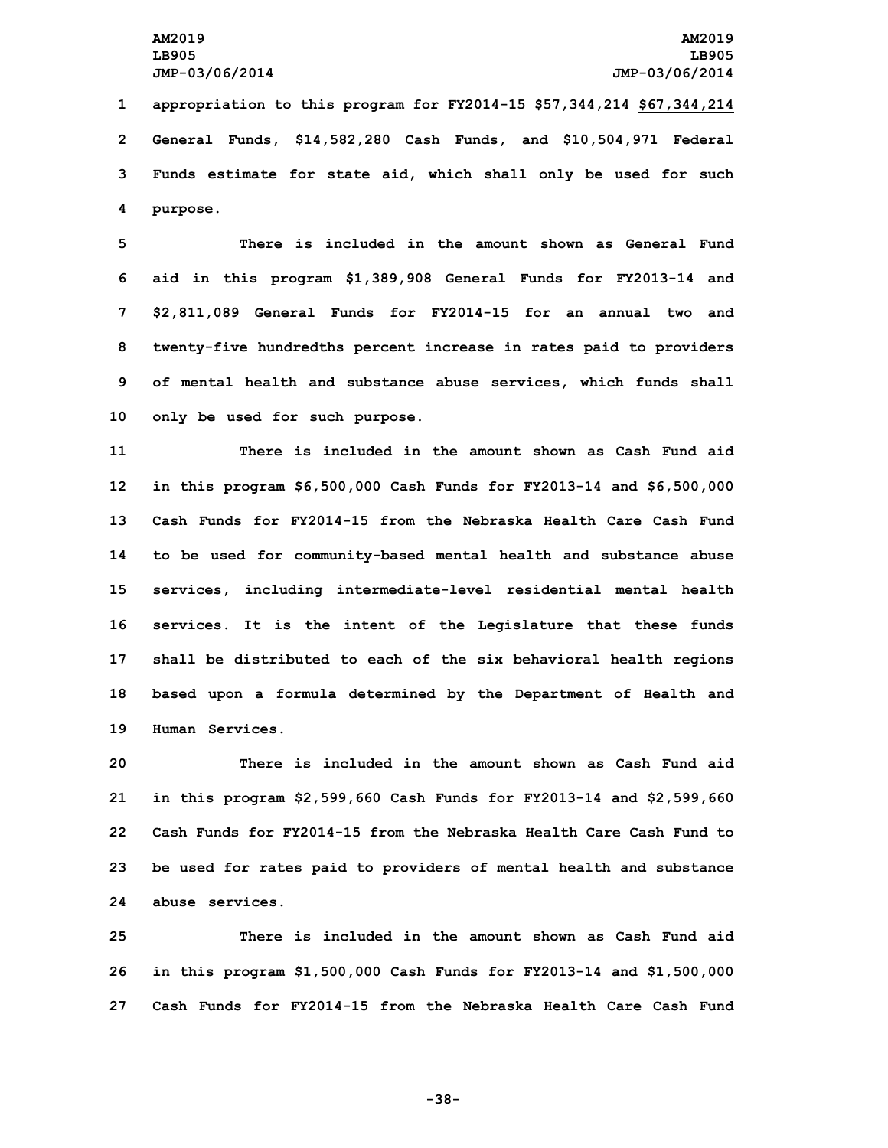**appropriation to this program for FY2014-15 \$57,344,214 \$67,344,214 General Funds, \$14,582,280 Cash Funds, and \$10,504,971 Federal Funds estimate for state aid, which shall only be used for such 4 purpose.**

 **There is included in the amount shown as General Fund aid in this program \$1,389,908 General Funds for FY2013-14 and \$2,811,089 General Funds for FY2014-15 for an annual two and twenty-five hundredths percent increase in rates paid to providers of mental health and substance abuse services, which funds shall only be used for such purpose.**

 **There is included in the amount shown as Cash Fund aid in this program \$6,500,000 Cash Funds for FY2013-14 and \$6,500,000 Cash Funds for FY2014-15 from the Nebraska Health Care Cash Fund to be used for community-based mental health and substance abuse services, including intermediate-level residential mental health services. It is the intent of the Legislature that these funds shall be distributed to each of the six behavioral health regions based upon <sup>a</sup> formula determined by the Department of Health and Human Services.**

 **There is included in the amount shown as Cash Fund aid in this program \$2,599,660 Cash Funds for FY2013-14 and \$2,599,660 Cash Funds for FY2014-15 from the Nebraska Health Care Cash Fund to be used for rates paid to providers of mental health and substance abuse services.**

**25 There is included in the amount shown as Cash Fund aid 26 in this program \$1,500,000 Cash Funds for FY2013-14 and \$1,500,000 27 Cash Funds for FY2014-15 from the Nebraska Health Care Cash Fund**

**-38-**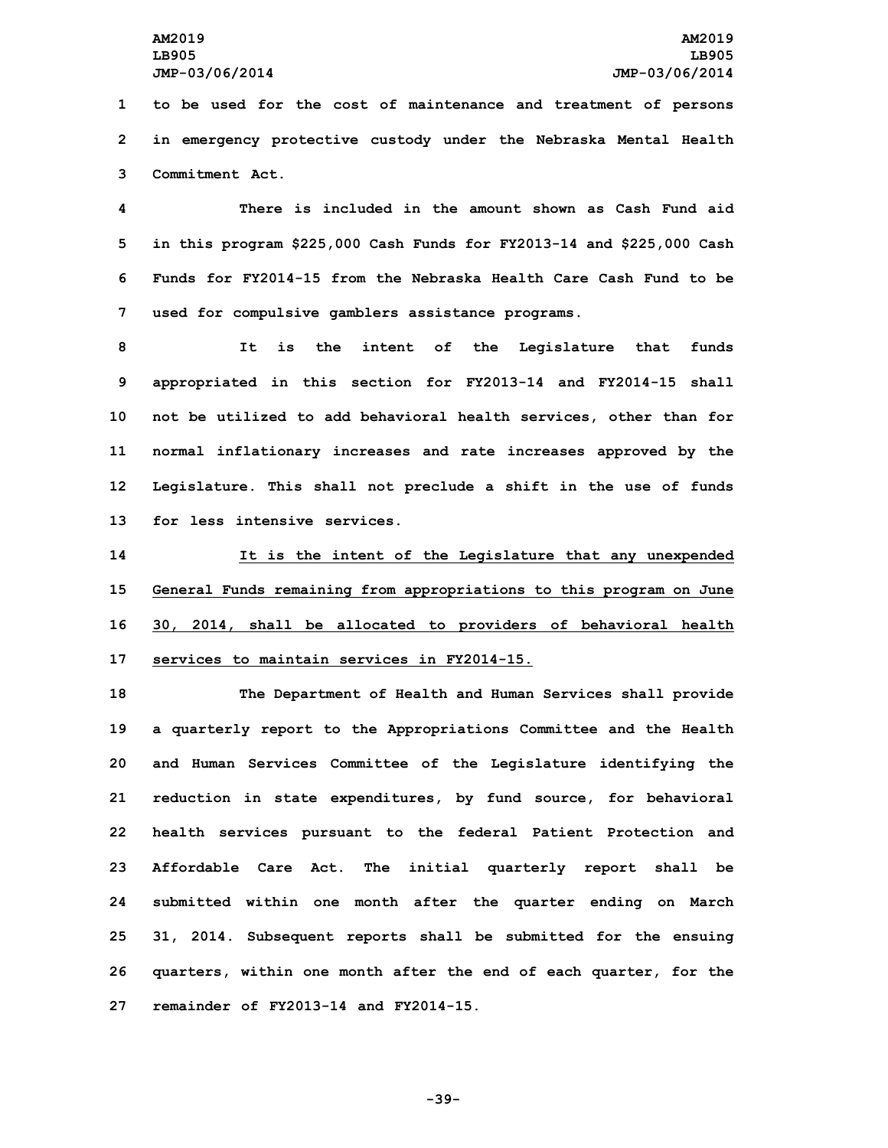**1 to be used for the cost of maintenance and treatment of persons 2 in emergency protective custody under the Nebraska Mental Health 3 Commitment Act.**

 **There is included in the amount shown as Cash Fund aid in this program \$225,000 Cash Funds for FY2013-14 and \$225,000 Cash Funds for FY2014-15 from the Nebraska Health Care Cash Fund to be used for compulsive gamblers assistance programs.**

 **It is the intent of the Legislature that funds appropriated in this section for FY2013-14 and FY2014-15 shall not be utilized to add behavioral health services, other than for normal inflationary increases and rate increases approved by the Legislature. This shall not preclude <sup>a</sup> shift in the use of funds for less intensive services.**

 **It is the intent of the Legislature that any unexpended General Funds remaining from appropriations to this program on June 30, 2014, shall be allocated to providers of behavioral health services to maintain services in FY2014-15.**

 **The Department of Health and Human Services shall provide <sup>a</sup> quarterly report to the Appropriations Committee and the Health and Human Services Committee of the Legislature identifying the reduction in state expenditures, by fund source, for behavioral health services pursuant to the federal Patient Protection and Affordable Care Act. The initial quarterly report shall be submitted within one month after the quarter ending on March 31, 2014. Subsequent reports shall be submitted for the ensuing quarters, within one month after the end of each quarter, for the remainder of FY2013-14 and FY2014-15.**

**-39-**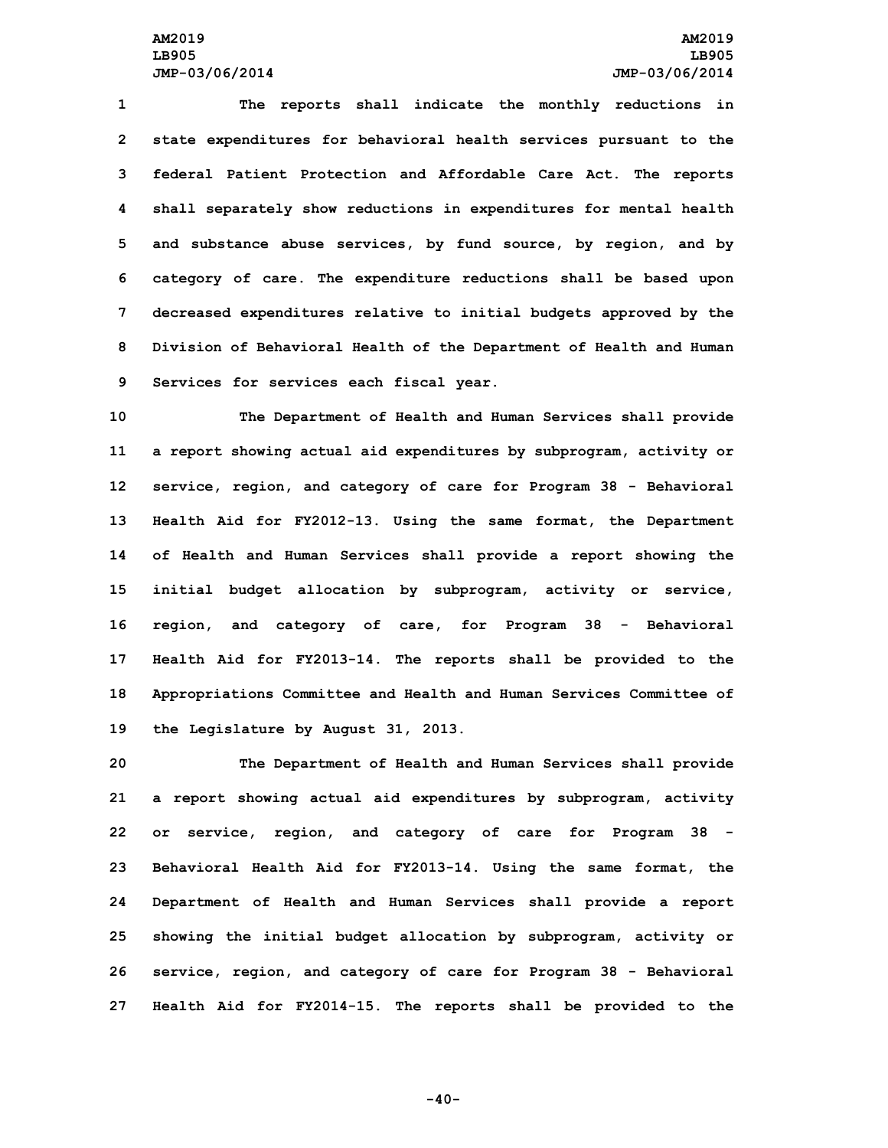**The reports shall indicate the monthly reductions in state expenditures for behavioral health services pursuant to the federal Patient Protection and Affordable Care Act. The reports shall separately show reductions in expenditures for mental health and substance abuse services, by fund source, by region, and by category of care. The expenditure reductions shall be based upon decreased expenditures relative to initial budgets approved by the Division of Behavioral Health of the Department of Health and Human Services for services each fiscal year.**

 **The Department of Health and Human Services shall provide <sup>a</sup> report showing actual aid expenditures by subprogram, activity or service, region, and category of care for Program 38 - Behavioral Health Aid for FY2012-13. Using the same format, the Department of Health and Human Services shall provide <sup>a</sup> report showing the initial budget allocation by subprogram, activity or service, region, and category of care, for Program 38 - Behavioral Health Aid for FY2013-14. The reports shall be provided to the Appropriations Committee and Health and Human Services Committee of the Legislature by August 31, 2013.**

 **The Department of Health and Human Services shall provide <sup>a</sup> report showing actual aid expenditures by subprogram, activity or service, region, and category of care for Program 38 - Behavioral Health Aid for FY2013-14. Using the same format, the Department of Health and Human Services shall provide <sup>a</sup> report showing the initial budget allocation by subprogram, activity or service, region, and category of care for Program 38 - Behavioral Health Aid for FY2014-15. The reports shall be provided to the**

**-40-**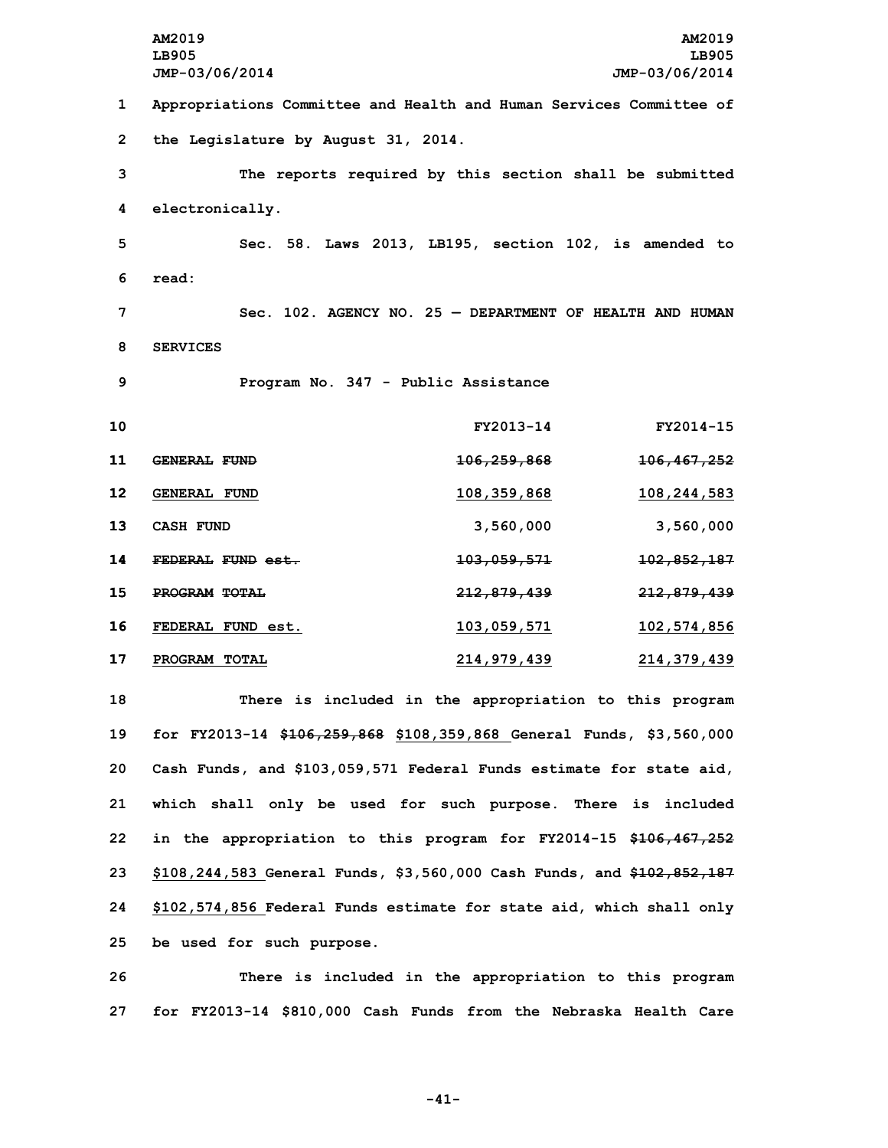**AM2019 AM2019 LB905 LB905 JMP-03/06/2014 JMP-03/06/2014 Appropriations Committee and Health and Human Services Committee of the Legislature by August 31, 2014. The reports required by this section shall be submitted electronically. Sec. 58. Laws 2013, LB195, section 102, is amended to 6 read: Sec. 102. AGENCY NO. 25 — DEPARTMENT OF HEALTH AND HUMAN 8 SERVICES Program No. 347 - Public Assistance FY2013-14 FY2014-15 GENERAL FUND 106,259,868 106,467,252 GENERAL FUND 108,359,868 108,244,583 CASH FUND 3,560,000 3,560,000 FEDERAL FUND est. 103,059,571 102,852,187 PROGRAM TOTAL 212,879,439 212,879,439 FEDERAL FUND est. 103,059,571 102,574,856 PROGRAM TOTAL 214,979,439 214,379,439 There is included in the appropriation to this program for FY2013-14 \$106,259,868 \$108,359,868 General Funds, \$3,560,000 Cash Funds, and \$103,059,571 Federal Funds estimate for state aid, which shall only be used for such purpose. There is included in the appropriation to this program for FY2014-15 \$106,467,252 \$108,244,583 General Funds, \$3,560,000 Cash Funds, and \$102,852,187 \$102,574,856 Federal Funds estimate for state aid, which shall only be used for such purpose.**

**26 There is included in the appropriation to this program 27 for FY2013-14 \$810,000 Cash Funds from the Nebraska Health Care**

**-41-**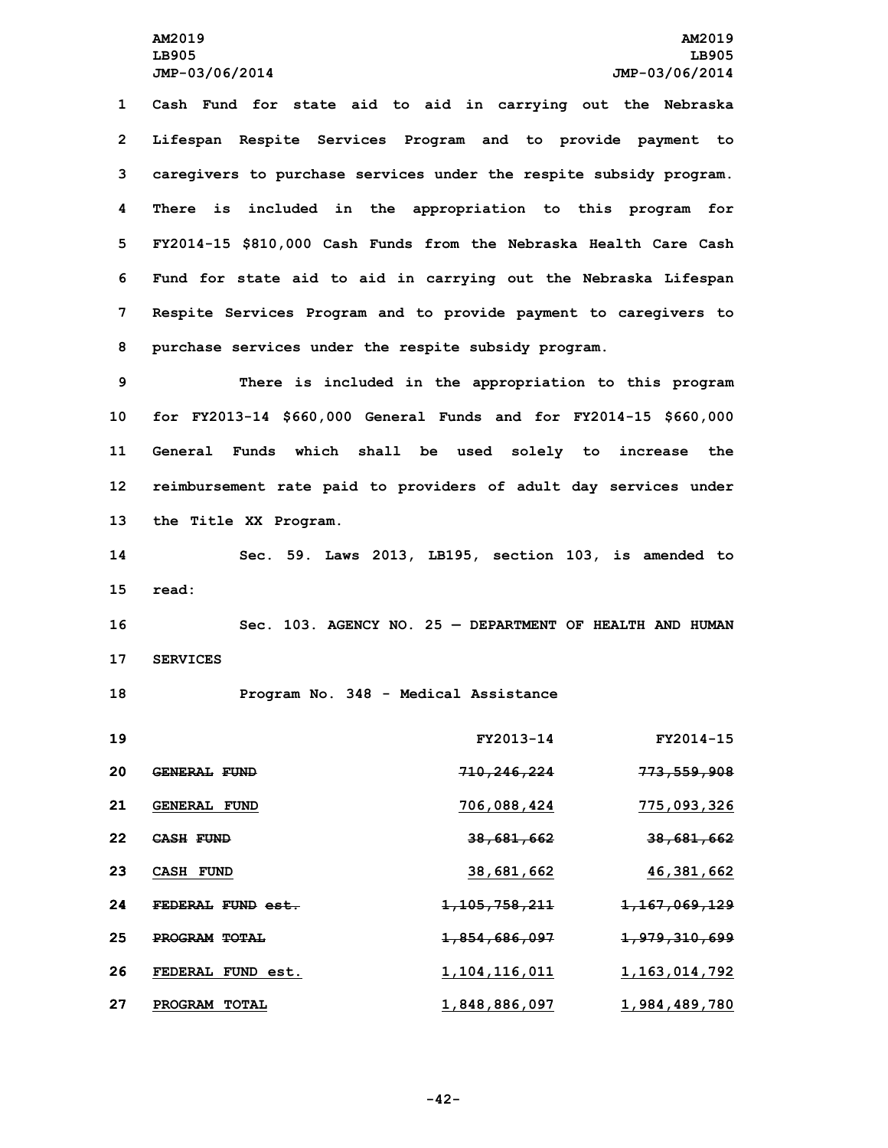**Cash Fund for state aid to aid in carrying out the Nebraska Lifespan Respite Services Program and to provide payment to caregivers to purchase services under the respite subsidy program. There is included in the appropriation to this program for FY2014-15 \$810,000 Cash Funds from the Nebraska Health Care Cash Fund for state aid to aid in carrying out the Nebraska Lifespan Respite Services Program and to provide payment to caregivers to purchase services under the respite subsidy program.**

 **There is included in the appropriation to this program for FY2013-14 \$660,000 General Funds and for FY2014-15 \$660,000 General Funds which shall be used solely to increase the reimbursement rate paid to providers of adult day services under the Title XX Program.**

**14 Sec. 59. Laws 2013, LB195, section 103, is amended to 15 read:**

**16 Sec. 103. AGENCY NO. 25 — DEPARTMENT OF HEALTH AND HUMAN 17 SERVICES**

**18 Program No. 348 - Medical Assistance**

| 19 |                             | FY2013-14                   | FY2014-15                |
|----|-----------------------------|-----------------------------|--------------------------|
| 20 | <b>GENERAL FUND</b>         | <del>710,246,224</del>      | <del>773,559,908</del>   |
| 21 | <b>GENERAL FUND</b>         | 706,088,424                 | 775,093,326              |
| 22 | CASH FUND                   | 38,681,662                  | 38,681,662               |
| 23 | CASH FUND                   | 38,681,662                  | 46,381,662               |
| 24 | FEDERAL FUND est.           | <del>1, 105, 758, 211</del> | <del>1,167,069,129</del> |
| 25 | PROGRAM TOTAL               | <del>1,854,686,097</del>    | <del>1,979,310,699</del> |
| 26 | <b>FEDERAL</b><br>FUND est. | 1, 104, 116, 011            | 1, 163, 014, 792         |
| 27 | PROGRAM TOTAL               | 1,848,886,097               | 1,984,489,780            |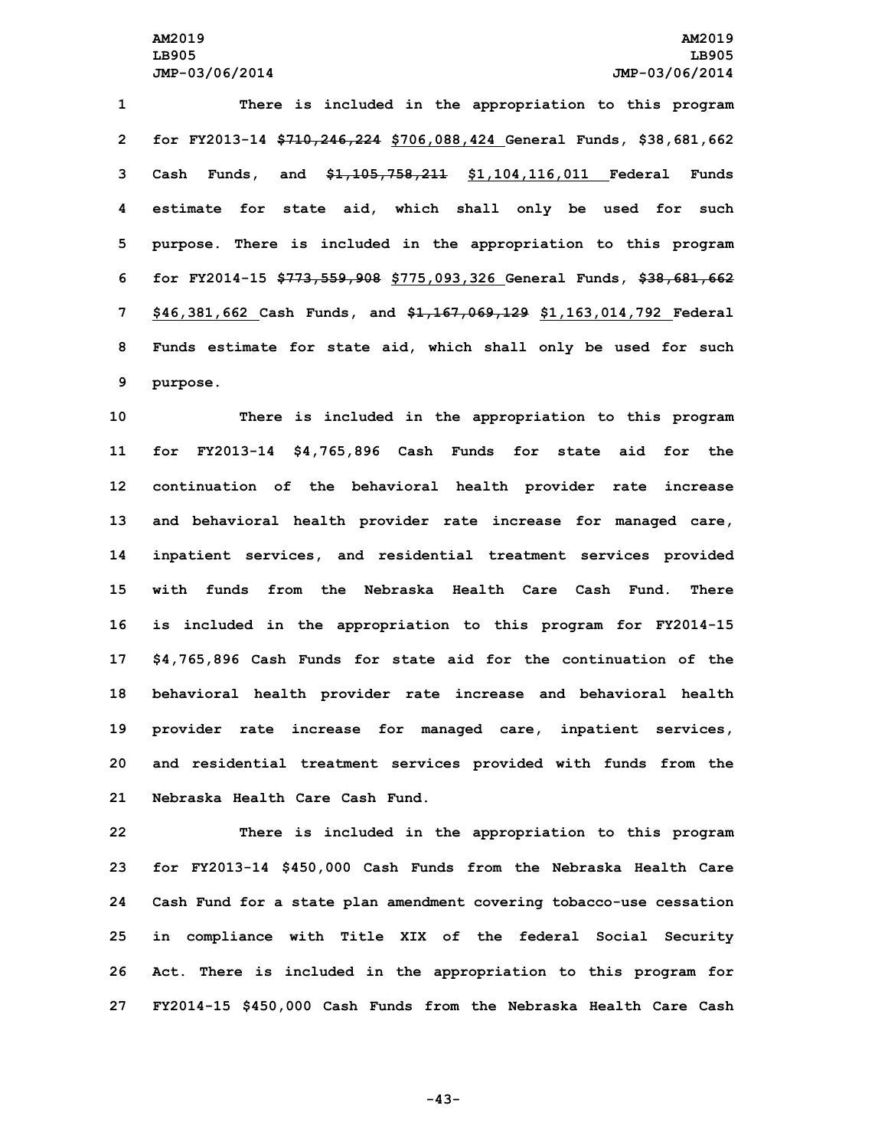**There is included in the appropriation to this program for FY2013-14 \$710,246,224 \$706,088,424 General Funds, \$38,681,662 Cash Funds, and \$1,105,758,211 \$1,104,116,011 Federal Funds estimate for state aid, which shall only be used for such purpose. There is included in the appropriation to this program for FY2014-15 \$773,559,908 \$775,093,326 General Funds, \$38,681,662 \$46,381,662 Cash Funds, and \$1,167,069,129 \$1,163,014,792 Federal Funds estimate for state aid, which shall only be used for such 9 purpose.**

 **There is included in the appropriation to this program for FY2013-14 \$4,765,896 Cash Funds for state aid for the continuation of the behavioral health provider rate increase and behavioral health provider rate increase for managed care, inpatient services, and residential treatment services provided with funds from the Nebraska Health Care Cash Fund. There is included in the appropriation to this program for FY2014-15 \$4,765,896 Cash Funds for state aid for the continuation of the behavioral health provider rate increase and behavioral health provider rate increase for managed care, inpatient services, and residential treatment services provided with funds from the Nebraska Health Care Cash Fund.**

 **There is included in the appropriation to this program for FY2013-14 \$450,000 Cash Funds from the Nebraska Health Care Cash Fund for <sup>a</sup> state plan amendment covering tobacco-use cessation in compliance with Title XIX of the federal Social Security Act. There is included in the appropriation to this program for FY2014-15 \$450,000 Cash Funds from the Nebraska Health Care Cash**

**-43-**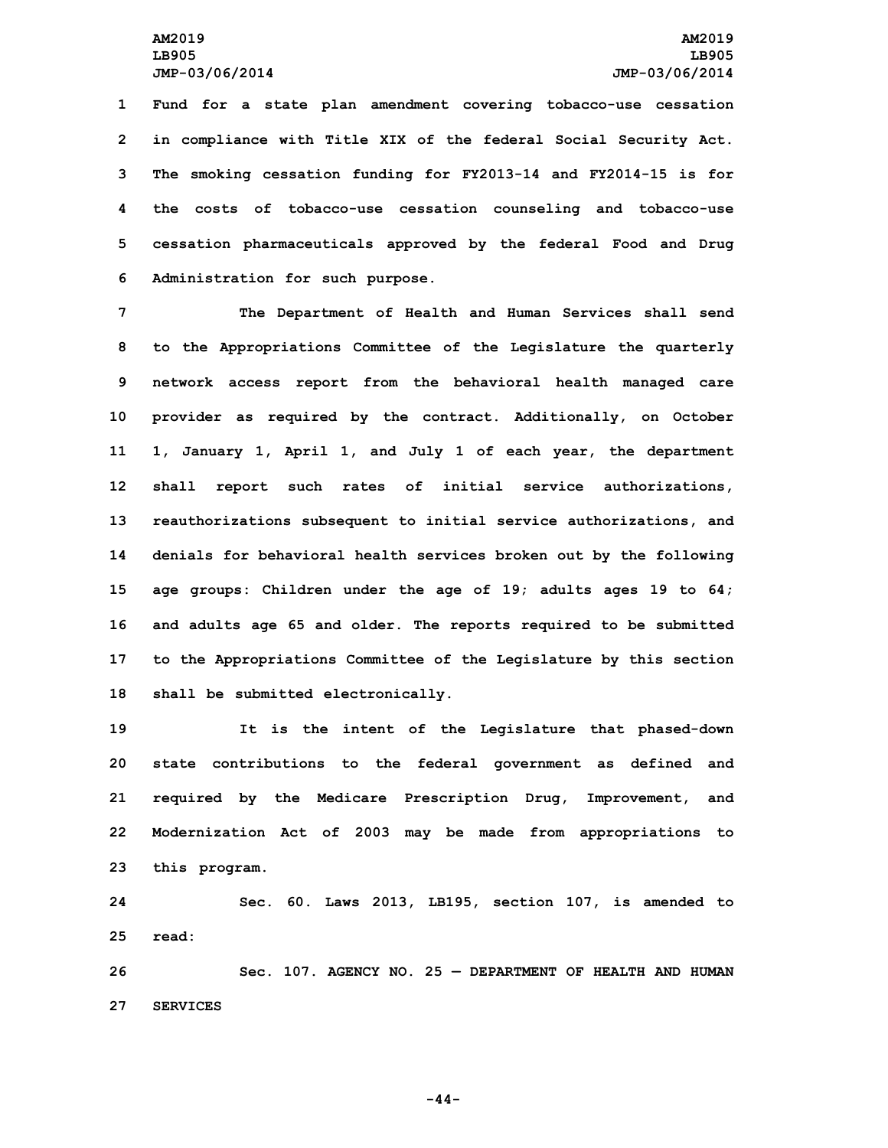**Fund for <sup>a</sup> state plan amendment covering tobacco-use cessation in compliance with Title XIX of the federal Social Security Act. The smoking cessation funding for FY2013-14 and FY2014-15 is for the costs of tobacco-use cessation counseling and tobacco-use cessation pharmaceuticals approved by the federal Food and Drug Administration for such purpose.**

 **The Department of Health and Human Services shall send to the Appropriations Committee of the Legislature the quarterly network access report from the behavioral health managed care provider as required by the contract. Additionally, on October 1, January 1, April 1, and July 1 of each year, the department shall report such rates of initial service authorizations, reauthorizations subsequent to initial service authorizations, and denials for behavioral health services broken out by the following age groups: Children under the age of 19; adults ages 19 to 64; and adults age 65 and older. The reports required to be submitted to the Appropriations Committee of the Legislature by this section shall be submitted electronically.**

 **It is the intent of the Legislature that phased-down state contributions to the federal government as defined and required by the Medicare Prescription Drug, Improvement, and Modernization Act of 2003 may be made from appropriations to this program.**

**24 Sec. 60. Laws 2013, LB195, section 107, is amended to 25 read:**

**26 Sec. 107. AGENCY NO. 25 — DEPARTMENT OF HEALTH AND HUMAN 27 SERVICES**

**-44-**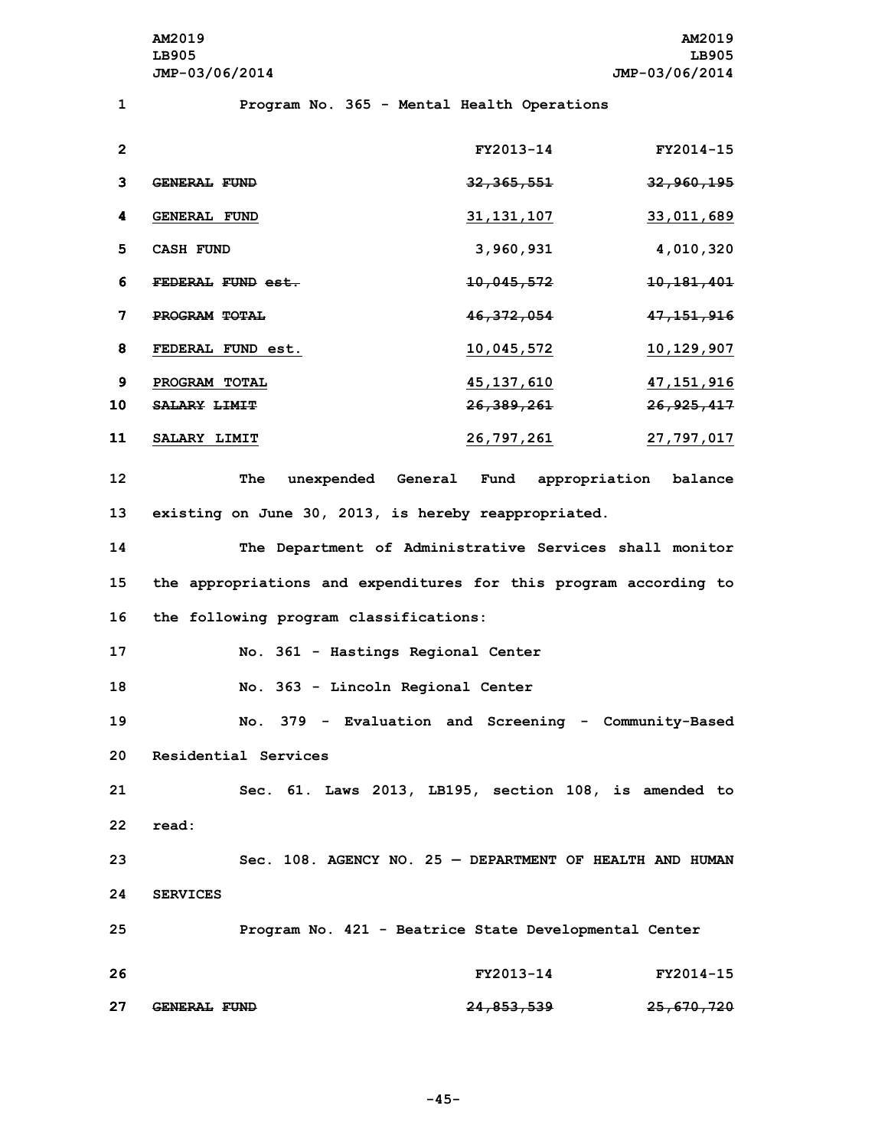**AM2019 AM2019 LB905 LB905 JMP-03/06/2014 JMP-03/06/2014**

**1 Program No. 365 - Mental Health Operations**

| $\mathbf{2}$ |                     | FY2013-14             | FY2014-15             |
|--------------|---------------------|-----------------------|-----------------------|
|              |                     |                       |                       |
| 3            | <b>GENERAL FUND</b> | <del>32,365,551</del> | <del>32,960,195</del> |
| 4            | <b>GENERAL FUND</b> | 31, 131, 107          | 33,011,689            |
| 5            | <b>CASH FUND</b>    | 3,960,931             | 4,010,320             |
| 6            | FEDERAL FUND est.   | <del>10,045,572</del> | <del>10,181,401</del> |
| 7            | PROGRAM TOTAL       | 46, 372, 054          | <del>47,151,916</del> |
| 8            | FEDERAL FUND est.   | <u>10,045,572</u>     | 10,129,907            |
| 9            | PROGRAM TOTAL       | 45, 137, 610          | 47,151,916            |
| 10           | <b>SALARY LIMIT</b> | <del>26,389,261</del> | 26,925,417            |
| 11           | <b>SALARY LIMIT</b> | 26,797,261            | 27, 797, 017          |

**12 The unexpended General Fund appropriation balance 13 existing on June 30, 2013, is hereby reappropriated.**

**14 The Department of Administrative Services shall monitor 15 the appropriations and expenditures for this program according to 16 the following program classifications:**

**17 No. 361 - Hastings Regional Center**

**18 No. 363 - Lincoln Regional Center**

 **No. 379 - Evaluation and Screening - Community-Based Residential Services Sec. 61. Laws 2013, LB195, section 108, is amended to 22 read:**

**23 Sec. 108. AGENCY NO. 25 — DEPARTMENT OF HEALTH AND HUMAN 24 SERVICES 25 Program No. 421 - Beatrice State Developmental Center**

| 26 |                     | FY2013-14             | FY2014-15             |
|----|---------------------|-----------------------|-----------------------|
| 27 | <b>GENERAL FUND</b> | <del>24,853,539</del> | <del>25,670,720</del> |

**-45-**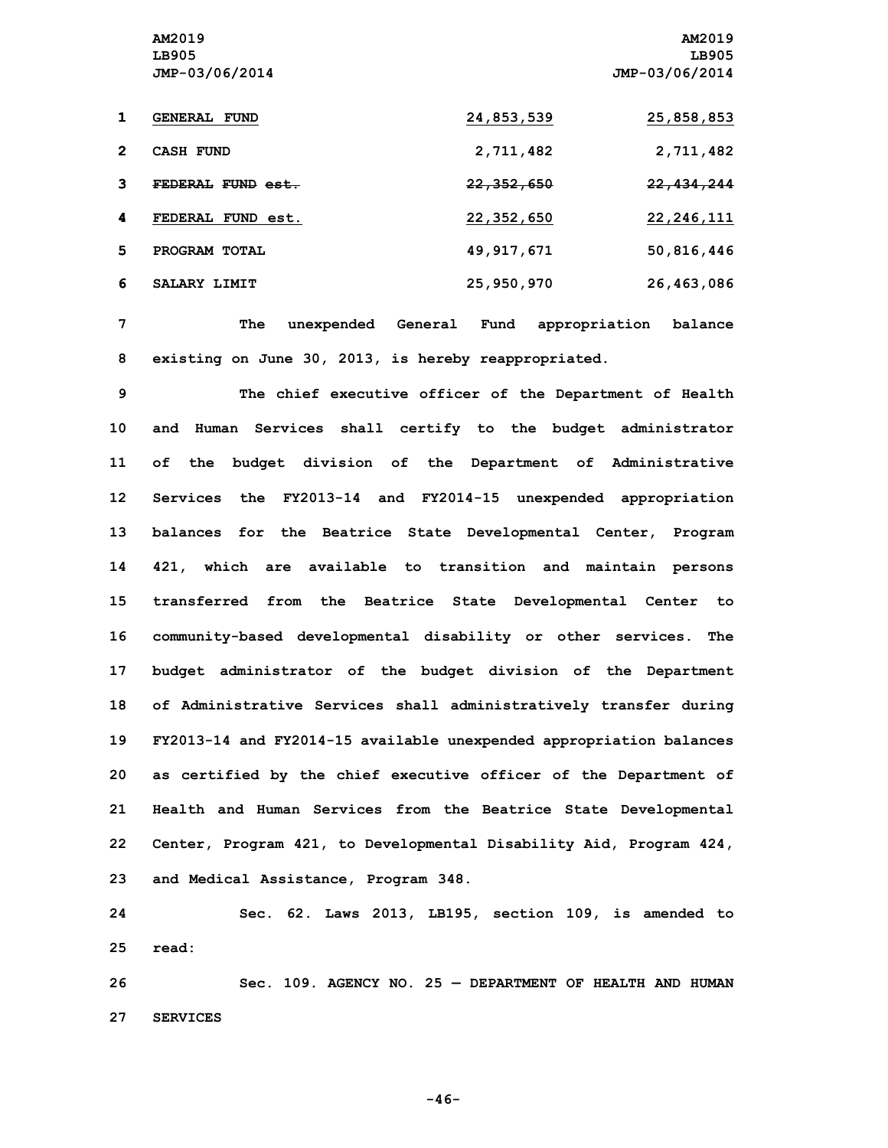**AM2019 AM2019 LB905 LB905 JMP-03/06/2014 JMP-03/06/2014 GENERAL FUND 24,853,539 25,858,853 CASH FUND 2,711,482 2,711,482 FEDERAL FUND est. 22,352,650 22,434,244 FEDERAL FUND est. 22,352,650 22,246,111 PROGRAM TOTAL 49,917,671 50,816,446 SALARY LIMIT 25,950,970 26,463,086**

**7 The unexpended General Fund appropriation balance 8 existing on June 30, 2013, is hereby reappropriated.**

 **The chief executive officer of the Department of Health and Human Services shall certify to the budget administrator of the budget division of the Department of Administrative Services the FY2013-14 and FY2014-15 unexpended appropriation balances for the Beatrice State Developmental Center, Program 421, which are available to transition and maintain persons transferred from the Beatrice State Developmental Center to community-based developmental disability or other services. The budget administrator of the budget division of the Department of Administrative Services shall administratively transfer during FY2013-14 and FY2014-15 available unexpended appropriation balances as certified by the chief executive officer of the Department of Health and Human Services from the Beatrice State Developmental Center, Program 421, to Developmental Disability Aid, Program 424, and Medical Assistance, Program 348.**

**24 Sec. 62. Laws 2013, LB195, section 109, is amended to 25 read:**

**26 Sec. 109. AGENCY NO. 25 — DEPARTMENT OF HEALTH AND HUMAN 27 SERVICES**

**-46-**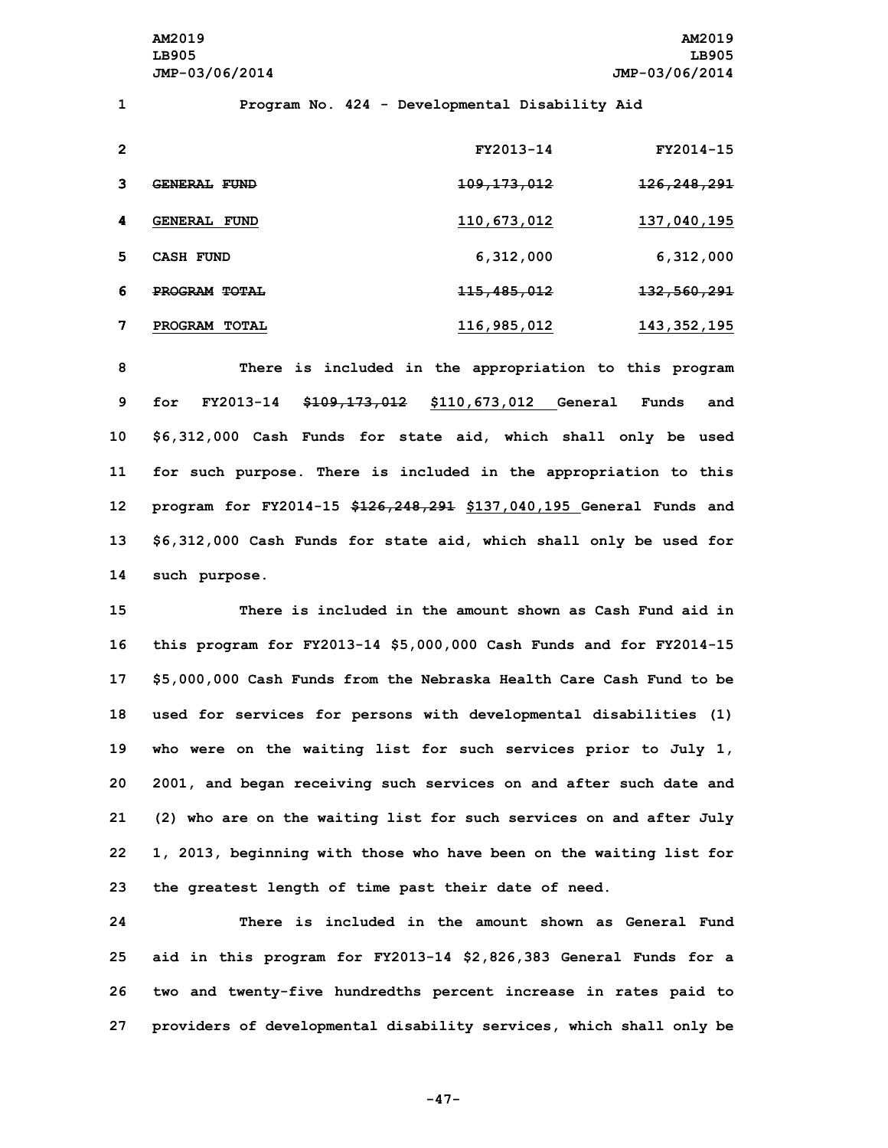**AM2019 AM2019 LB905 LB905 JMP-03/06/2014 JMP-03/06/2014**

**1 Program No. 424 - Developmental Disability Aid**

| $\mathbf 2$ |                                | FY2013-14              | FY2014-15              |
|-------------|--------------------------------|------------------------|------------------------|
| 3           | <b>GENERAL</b><br><b>FUND</b>  | <del>109,173,012</del> | <del>126,248,291</del> |
| 4           | <b>GENERAL FUND</b>            | 110,673,012            | 137,040,195            |
| 5           | CASH FUND                      | 6,312,000              | 6,312,000              |
| 6           | <b>PROGRAM</b><br><b>TOTAL</b> | <del>115,485,012</del> | <del>132,560,291</del> |
|             | PROGRAM<br><b>TOTAL</b>        | 116,985,012            | 143, 352, 195          |

 **There is included in the appropriation to this program for FY2013-14 \$109,173,012 \$110,673,012 General Funds and \$6,312,000 Cash Funds for state aid, which shall only be used for such purpose. There is included in the appropriation to this program for FY2014-15 \$126,248,291 \$137,040,195 General Funds and \$6,312,000 Cash Funds for state aid, which shall only be used for such purpose.**

 **There is included in the amount shown as Cash Fund aid in this program for FY2013-14 \$5,000,000 Cash Funds and for FY2014-15 \$5,000,000 Cash Funds from the Nebraska Health Care Cash Fund to be used for services for persons with developmental disabilities (1) who were on the waiting list for such services prior to July 1, 2001, and began receiving such services on and after such date and (2) who are on the waiting list for such services on and after July 1, 2013, beginning with those who have been on the waiting list for the greatest length of time past their date of need.**

 **There is included in the amount shown as General Fund aid in this program for FY2013-14 \$2,826,383 General Funds for <sup>a</sup> two and twenty-five hundredths percent increase in rates paid to providers of developmental disability services, which shall only be**

**-47-**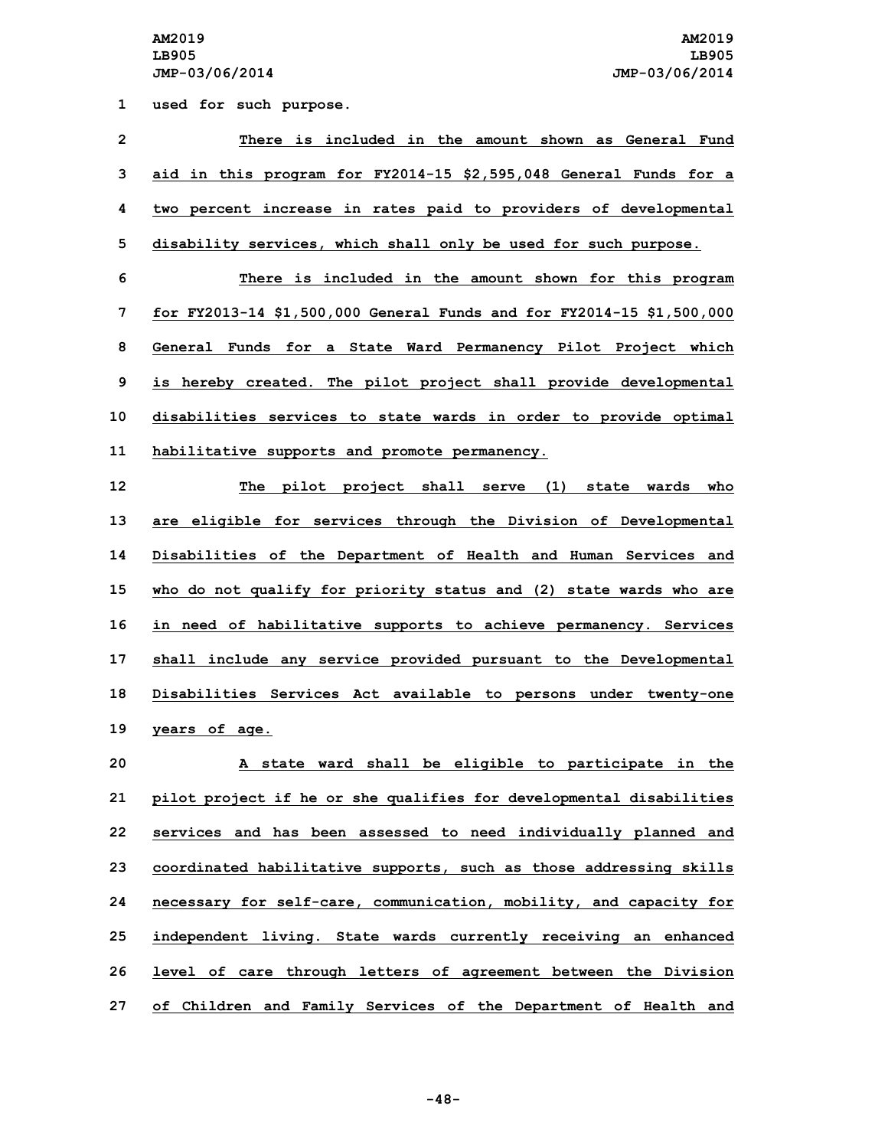**1 used for such purpose.**

 **There is included in the amount shown as General Fund aid in this program for FY2014-15 \$2,595,048 General Funds for <sup>a</sup> two percent increase in rates paid to providers of developmental disability services, which shall only be used for such purpose. There is included in the amount shown for this program for FY2013-14 \$1,500,000 General Funds and for FY2014-15 \$1,500,000 General Funds for <sup>a</sup> State Ward Permanency Pilot Project which is hereby created. The pilot project shall provide developmental disabilities services to state wards in order to provide optimal habilitative supports and promote permanency. The pilot project shall serve (1) state wards who are eligible for services through the Division of Developmental Disabilities of the Department of Health and Human Services and who do not qualify for priority status and (2) state wards who are in need of habilitative supports to achieve permanency. Services shall include any service provided pursuant to the Developmental Disabilities Services Act available to persons under twenty-one years of age. <sup>A</sup> state ward shall be eligible to participate in the pilot project if he or she qualifies for developmental disabilities services and has been assessed to need individually planned and coordinated habilitative supports, such as those addressing skills necessary for self-care, communication, mobility, and capacity for independent living. State wards currently receiving an enhanced**

**26 level of care through letters of agreement between the Division 27 of Children and Family Services of the Department of Health and**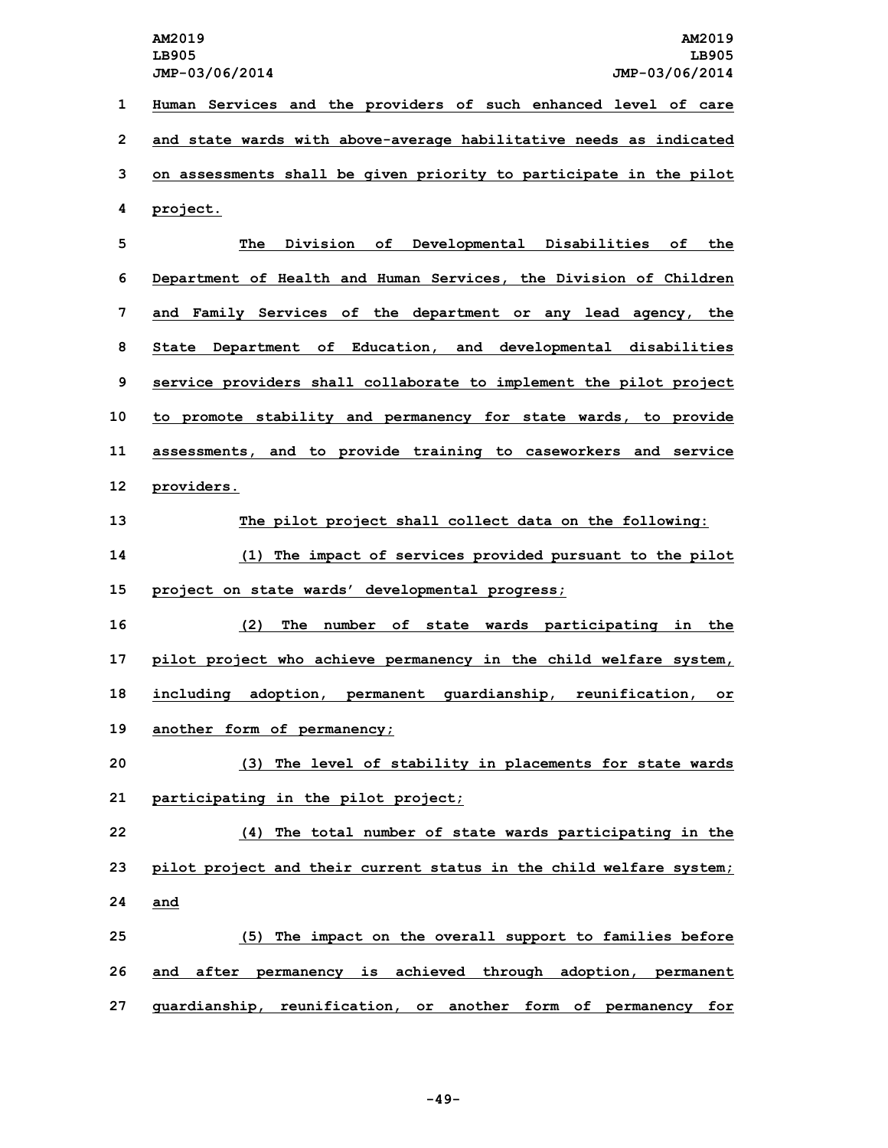**AM2019 AM2019 LB905 LB905 JMP-03/06/2014 JMP-03/06/2014 1 Human Services and the providers of such enhanced level of care**

**2 and state wards with above-average habilitative needs as indicated 3 on assessments shall be given priority to participate in the pilot 4 project.**

 **The Division of Developmental Disabilities of the Department of Health and Human Services, the Division of Children and Family Services of the department or any lead agency, the State Department of Education, and developmental disabilities service providers shall collaborate to implement the pilot project to promote stability and permanency for state wards, to provide assessments, and to provide training to caseworkers and service providers.**

**13 The pilot project shall collect data on the following: 14 (1) The impact of services provided pursuant to the pilot 15 project on state wards' developmental progress;**

 **(2) The number of state wards participating in the pilot project who achieve permanency in the child welfare system, including adoption, permanent guardianship, reunification, or another form of permanency;**

**20 (3) The level of stability in placements for state wards 21 participating in the pilot project;**

**22 (4) The total number of state wards participating in the 23 pilot project and their current status in the child welfare system; 24 and**

**25 (5) The impact on the overall support to families before 26 and after permanency is achieved through adoption, permanent 27 guardianship, reunification, or another form of permanency for**

**-49-**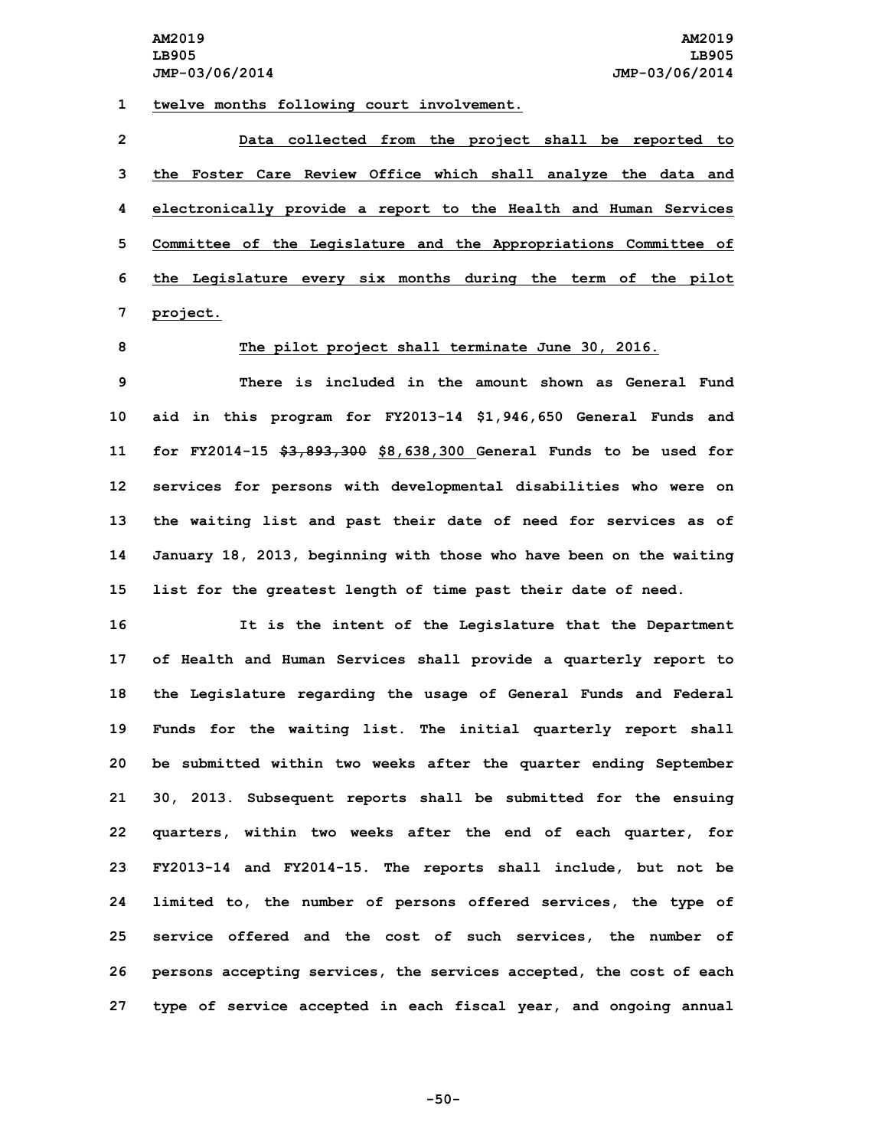**1 twelve months following court involvement.**

 **Data collected from the project shall be reported to the Foster Care Review Office which shall analyze the data and electronically provide <sup>a</sup> report to the Health and Human Services Committee of the Legislature and the Appropriations Committee of the Legislature every six months during the term of the pilot 7 project.**

## **8 The pilot project shall terminate June 30, 2016.**

 **There is included in the amount shown as General Fund aid in this program for FY2013-14 \$1,946,650 General Funds and for FY2014-15 \$3,893,300 \$8,638,300 General Funds to be used for services for persons with developmental disabilities who were on the waiting list and past their date of need for services as of January 18, 2013, beginning with those who have been on the waiting list for the greatest length of time past their date of need.**

 **It is the intent of the Legislature that the Department of Health and Human Services shall provide <sup>a</sup> quarterly report to the Legislature regarding the usage of General Funds and Federal Funds for the waiting list. The initial quarterly report shall be submitted within two weeks after the quarter ending September 30, 2013. Subsequent reports shall be submitted for the ensuing quarters, within two weeks after the end of each quarter, for FY2013-14 and FY2014-15. The reports shall include, but not be limited to, the number of persons offered services, the type of service offered and the cost of such services, the number of persons accepting services, the services accepted, the cost of each type of service accepted in each fiscal year, and ongoing annual**

**-50-**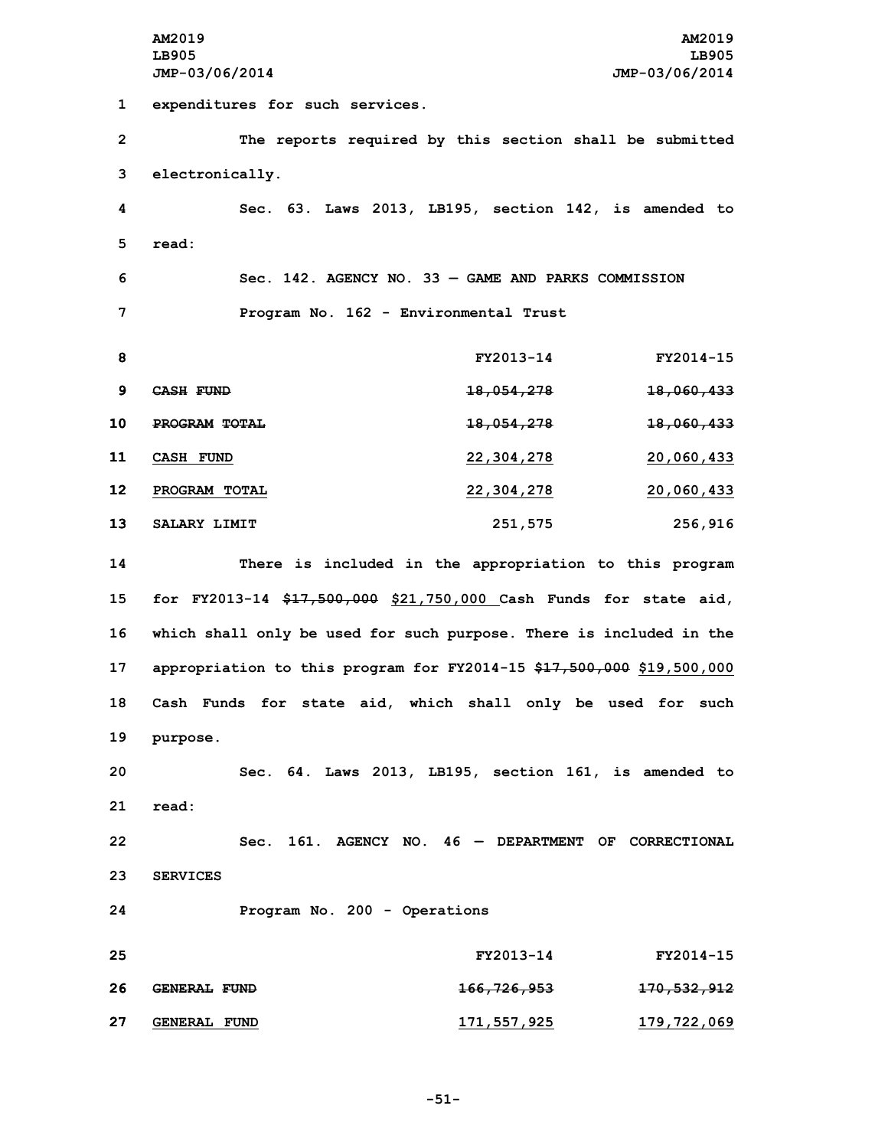**AM2019 AM2019 LB905 LB905 JMP-03/06/2014 JMP-03/06/2014 expenditures for such services. The reports required by this section shall be submitted electronically. Sec. 63. Laws 2013, LB195, section 142, is amended to 5 read: Sec. 142. AGENCY NO. 33 — GAME AND PARKS COMMISSION Program No. 162 - Environmental Trust FY2013-14 FY2014-15 CASH FUND 18,054,278 18,060,433 PROGRAM TOTAL 18,054,278 18,060,433 CASH FUND 22,304,278 20,060,433 PROGRAM TOTAL 22,304,278 20,060,433 SALARY LIMIT 251,575 256,916 There is included in the appropriation to this program for FY2013-14 \$17,500,000 \$21,750,000 Cash Funds for state aid, which shall only be used for such purpose. There is included in the appropriation to this program for FY2014-15 \$17,500,000 \$19,500,000 Cash Funds for state aid, which shall only be used for such 19 purpose. Sec. 64. Laws 2013, LB195, section 161, is amended to 21 read: Sec. 161. AGENCY NO. 46 — DEPARTMENT OF CORRECTIONAL 23 SERVICES Program No. 200 - Operations FY2013-14 FY2014-15 GENERAL FUND 166,726,953 170,532,912 GENERAL FUND 171,557,925 179,722,069**

**-51-**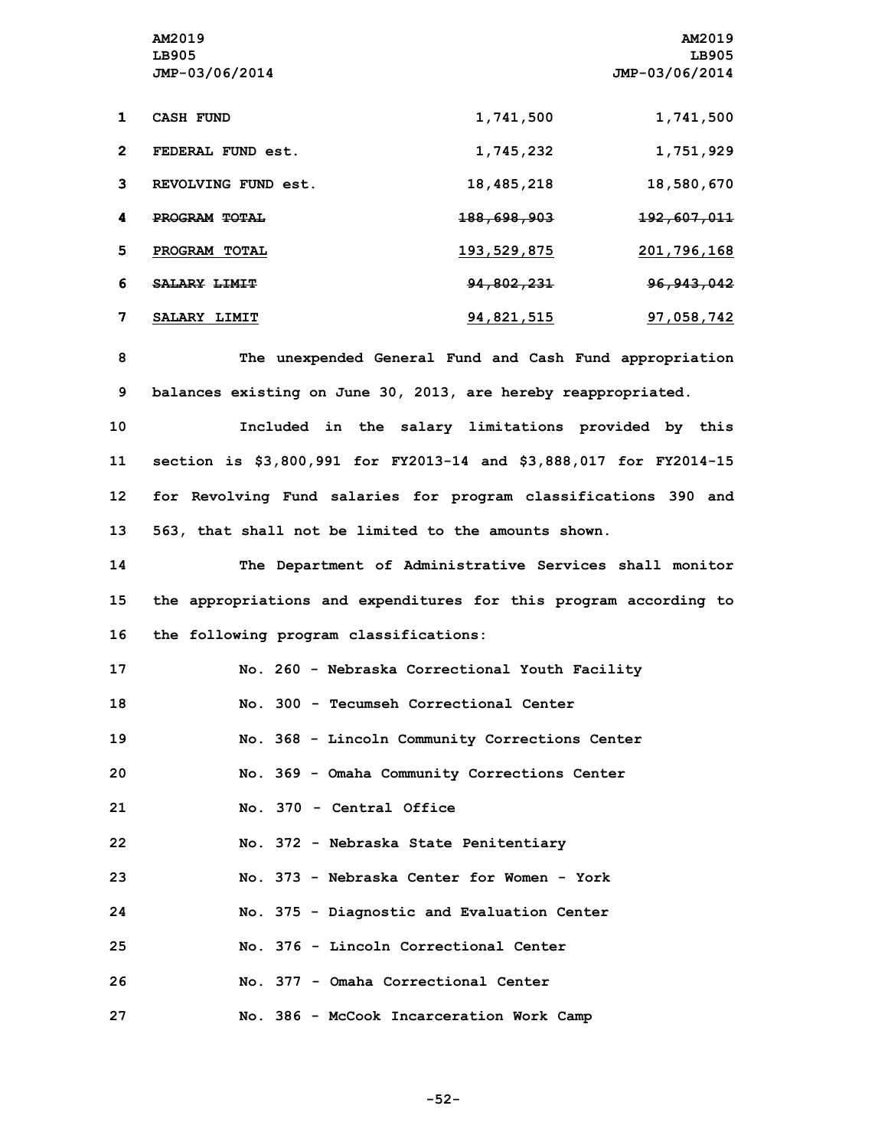|              | AM2019              |                        | AM2019                 |
|--------------|---------------------|------------------------|------------------------|
|              | LB905               |                        | LB905                  |
|              | JMP-03/06/2014      |                        | JMP-03/06/2014         |
|              |                     |                        |                        |
| 1            | <b>CASH FUND</b>    | 1,741,500              | 1,741,500              |
|              |                     |                        |                        |
| $\mathbf{2}$ | FEDERAL FUND est.   | 1,745,232              | 1,751,929              |
| 3            | REVOLVING FUND est. | 18,485,218             | 18,580,670             |
|              |                     |                        |                        |
| 4            | PROGRAM TOTAL       | <del>188,698,903</del> | <del>192,607,011</del> |
|              |                     |                        |                        |
| 5            | PROGRAM TOTAL       | 193,529,875            | 201,796,168            |
| 6            | SALARY LIMIT        | 94,802,231             | 96, 943, 042           |
|              |                     |                        |                        |
| 7            | SALARY LIMIT        | 94,821,515             | 97,058,742             |
|              |                     |                        |                        |

**8 The unexpended General Fund and Cash Fund appropriation 9 balances existing on June 30, 2013, are hereby reappropriated.**

 **Included in the salary limitations provided by this section is \$3,800,991 for FY2013-14 and \$3,888,017 for FY2014-15 for Revolving Fund salaries for program classifications 390 and 563, that shall not be limited to the amounts shown.**

**14 The Department of Administrative Services shall monitor 15 the appropriations and expenditures for this program according to 16 the following program classifications:**

| 17 | No. 260 - Nebraska Correctional Youth Facility |
|----|------------------------------------------------|
| 18 | No. 300 - Tecumseh Correctional Center         |
| 19 | No. 368 - Lincoln Community Corrections Center |
| 20 | No. 369 - Omaha Community Corrections Center   |
| 21 | No. 370 - Central Office                       |
| 22 | No. 372 - Nebraska State Penitentiary          |
| 23 | No. 373 - Nebraska Center for Women - York     |
| 24 | No. 375 - Diagnostic and Evaluation Center     |
| 25 | No. 376 - Lincoln Correctional Center          |
| 26 | No. 377 - Omaha Correctional Center            |
| 27 | No. 386 - McCook Incarceration Work Camp       |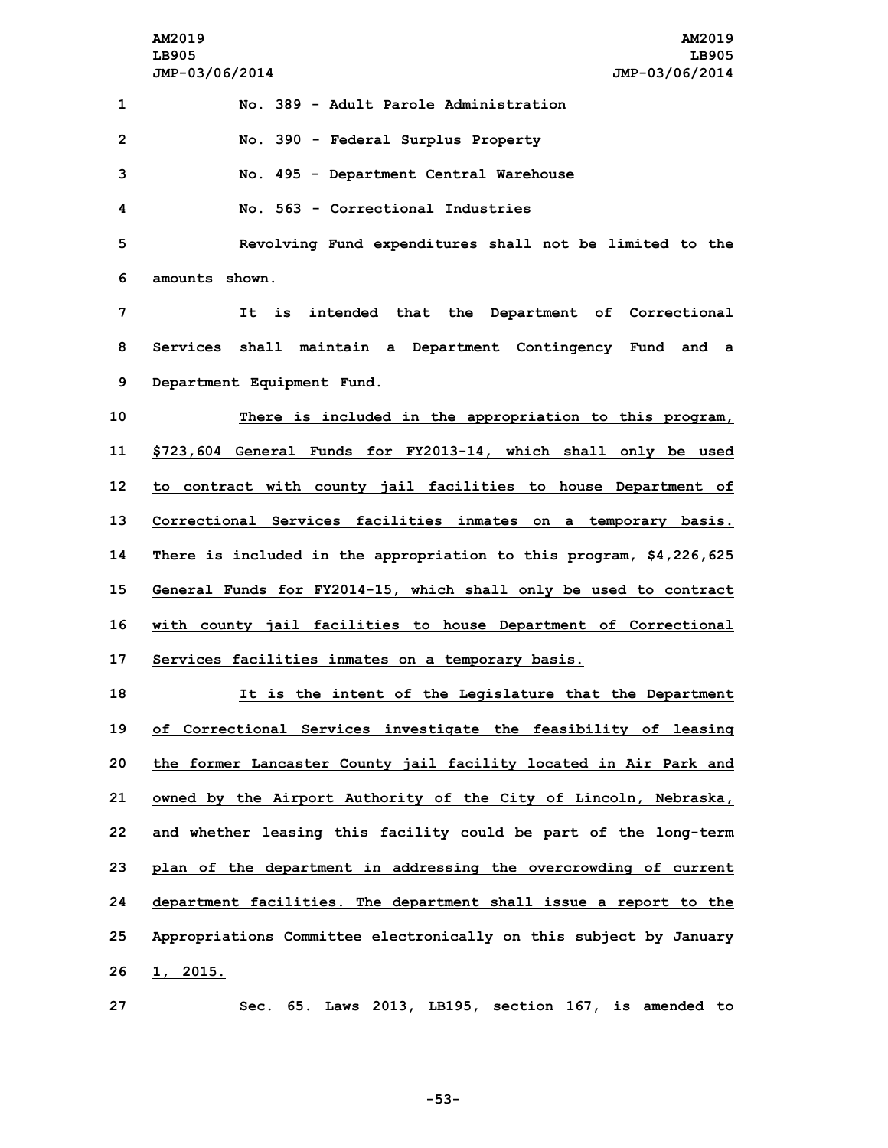|                | AM2019<br>AM2019<br>LB905<br>LB905<br>JMP-03/06/2014<br>JMP-03/06/2014 |
|----------------|------------------------------------------------------------------------|
| 1              | No. 389 - Adult Parole Administration                                  |
| $\overline{2}$ | No. 390 - Federal Surplus Property                                     |
| 3              | No. 495 - Department Central Warehouse                                 |
| 4              | No. 563 - Correctional Industries                                      |
| 5              | Revolving Fund expenditures shall not be limited to the                |
| 6              | amounts shown.                                                         |
| 7              | It is intended that the Department of Correctional                     |
| 8              | Services shall maintain a Department Contingency Fund and a            |
| 9              | Department Equipment Fund.                                             |
| 10             | There is included in the appropriation to this program,                |
| 11             | \$723,604 General Funds for FY2013-14, which shall only be used        |
| 12             | to contract with county jail facilities to house Department of         |
| 13             | Correctional Services facilities inmates on a temporary basis.         |
| 14             | There is included in the appropriation to this program, \$4,226,625    |
| 15             | General Funds for FY2014-15, which shall only be used to contract      |
| 16             | with county jail facilities to house Department of Correctional        |
| 17             | Services facilities inmates on a temporary basis.                      |
| 18             | It is the intent of the Legislature that the Department                |
| 19             | of Correctional Services investigate the feasibility of leasing        |
| 20             | the former Lancaster County jail facility located in Air Park and      |
| 21             | owned by the Airport Authority of the City of Lincoln, Nebraska,       |
| 22             | and whether leasing this facility could be part of the long-term       |
| 23             | plan of the department in addressing the overcrowding of current       |
| 24             | department facilities. The department shall issue a report to the      |
|                |                                                                        |
| 25<br>26       | Appropriations Committee electronically on this subject by January     |
| 27             | 1, 2015.<br>Sec. 65. Laws 2013, LB195, section 167, is amended to      |
|                |                                                                        |

**-53-**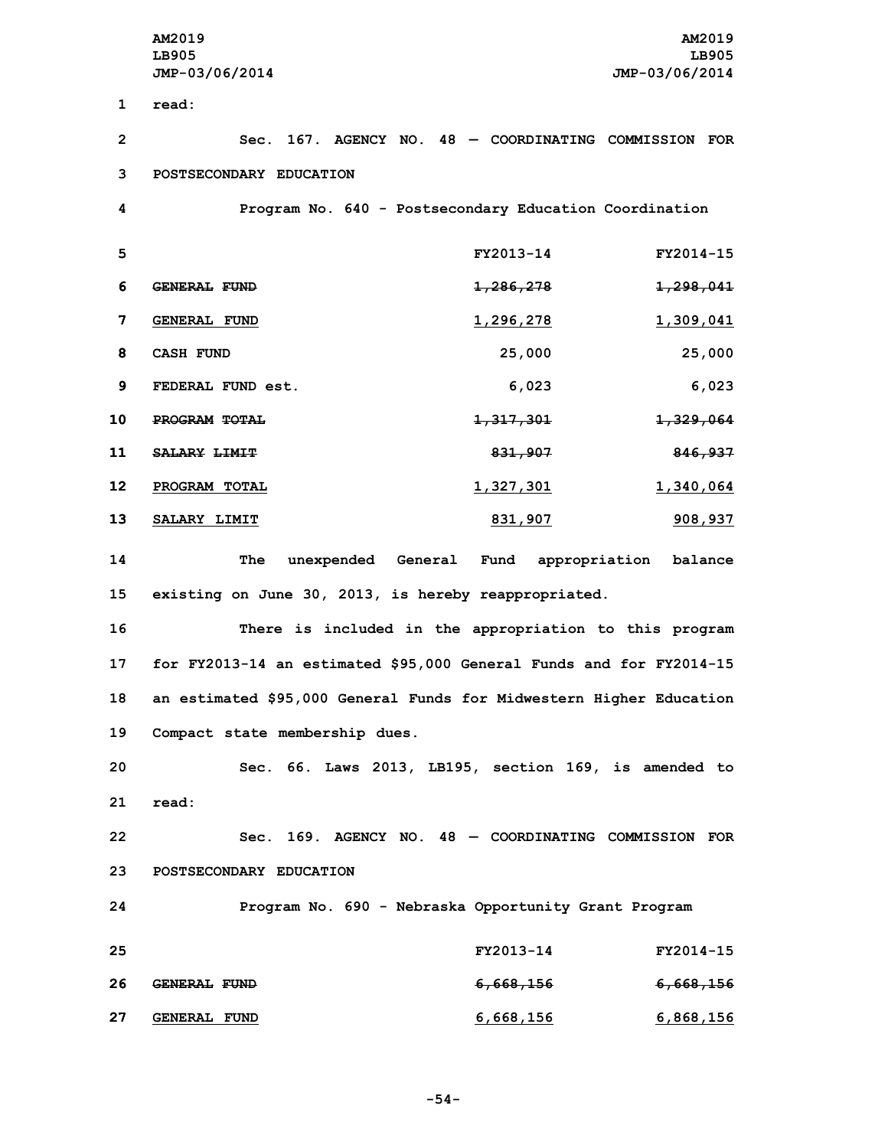**AM2019 AM2019 LB905 LB905 JMP-03/06/2014 JMP-03/06/2014 1 read: Sec. 167. AGENCY NO. 48 — COORDINATING COMMISSION FOR POSTSECONDARY EDUCATION Program No. 640 - Postsecondary Education Coordination FY2013-14 FY2014-15 GENERAL FUND 1,286,278 1,298,041 GENERAL FUND 1,296,278 1,309,041 CASH FUND 25,000 25,000 FEDERAL FUND est. 6,023 6,023 PROGRAM TOTAL 1,317,301 1,329,064 SALARY LIMIT 831,907 846,937 PROGRAM TOTAL 1,327,301 1,340,064 SALARY LIMIT 831,907 908,937 The unexpended General Fund appropriation balance existing on June 30, 2013, is hereby reappropriated. There is included in the appropriation to this program for FY2013-14 an estimated \$95,000 General Funds and for FY2014-15 an estimated \$95,000 General Funds for Midwestern Higher Education Compact state membership dues. Sec. 66. Laws 2013, LB195, section 169, is amended to 21 read:**

**22 Sec. 169. AGENCY NO. 48 — COORDINATING COMMISSION FOR 23 POSTSECONDARY EDUCATION**

**24 Program No. 690 - Nebraska Opportunity Grant Program 25 FY2013-14 FY2014-15 26 GENERAL FUND 6,668,156 6,668,156**

**27 GENERAL FUND 6,668,156 6,868,156**

**-54-**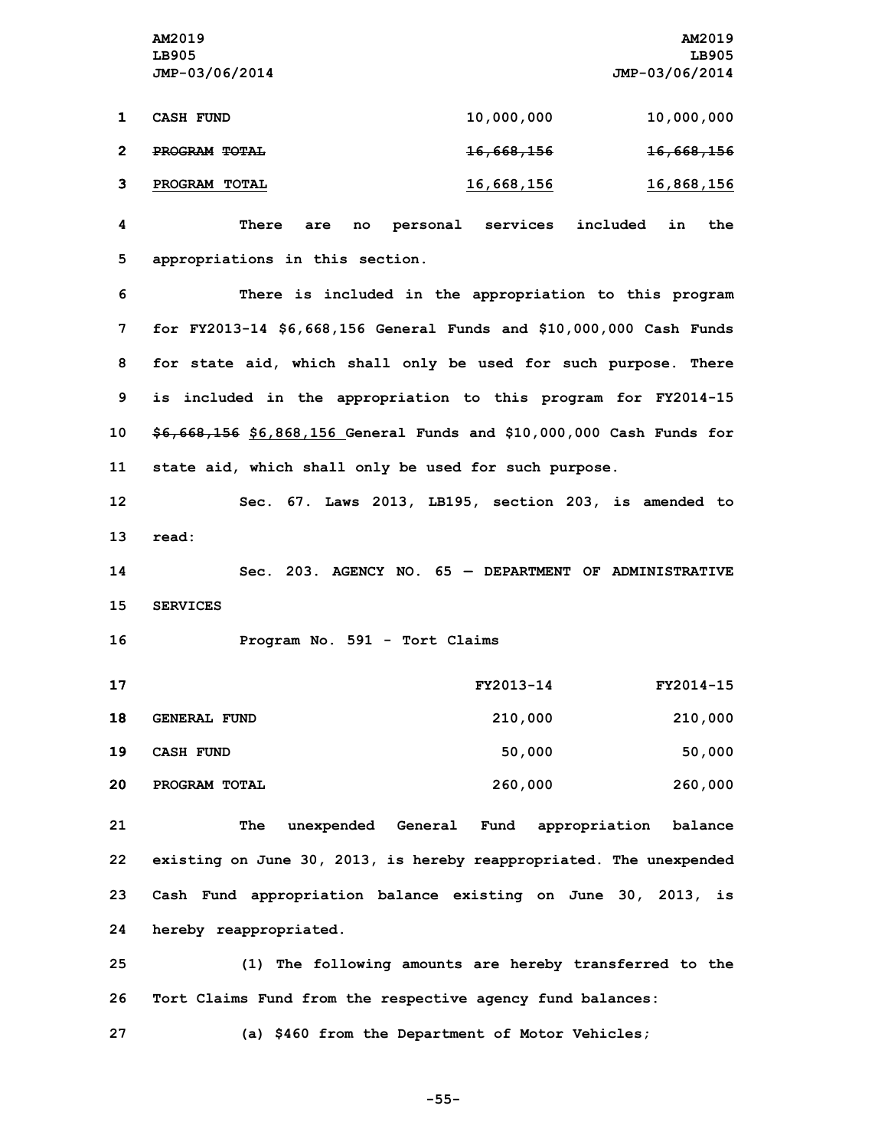**AM2019 AM2019 LB905 LB905 JMP-03/06/2014 JMP-03/06/2014**

| <b>CASH FUND</b> | 10,000,000            | 10,000,000            |
|------------------|-----------------------|-----------------------|
| PROGRAM TOTAL    | <del>16,668,156</del> | <del>16,668,156</del> |
| PROGRAM TOTAL    | 16,668,156            | 16,868,156            |

**4 There are no personal services included in the 5 appropriations in this section.**

 **There is included in the appropriation to this program for FY2013-14 \$6,668,156 General Funds and \$10,000,000 Cash Funds for state aid, which shall only be used for such purpose. There is included in the appropriation to this program for FY2014-15 \$6,668,156 \$6,868,156 General Funds and \$10,000,000 Cash Funds for state aid, which shall only be used for such purpose.**

**12 Sec. 67. Laws 2013, LB195, section 203, is amended to 13 read:**

**14 Sec. 203. AGENCY NO. 65 — DEPARTMENT OF ADMINISTRATIVE 15 SERVICES**

**16 Program No. 591 - Tort Claims**

| 17 |                     | FY2013-14 | FY2014-15 |
|----|---------------------|-----------|-----------|
| 18 | <b>GENERAL FUND</b> | 210,000   | 210,000   |
| 19 | <b>CASH FUND</b>    | 50,000    | 50,000    |
| 20 | PROGRAM TOTAL       | 260,000   | 260,000   |

 **The unexpended General Fund appropriation balance existing on June 30, 2013, is hereby reappropriated. The unexpended Cash Fund appropriation balance existing on June 30, 2013, is hereby reappropriated.**

**25 (1) The following amounts are hereby transferred to the 26 Tort Claims Fund from the respective agency fund balances:**

**27 (a) \$460 from the Department of Motor Vehicles;**

**-55-**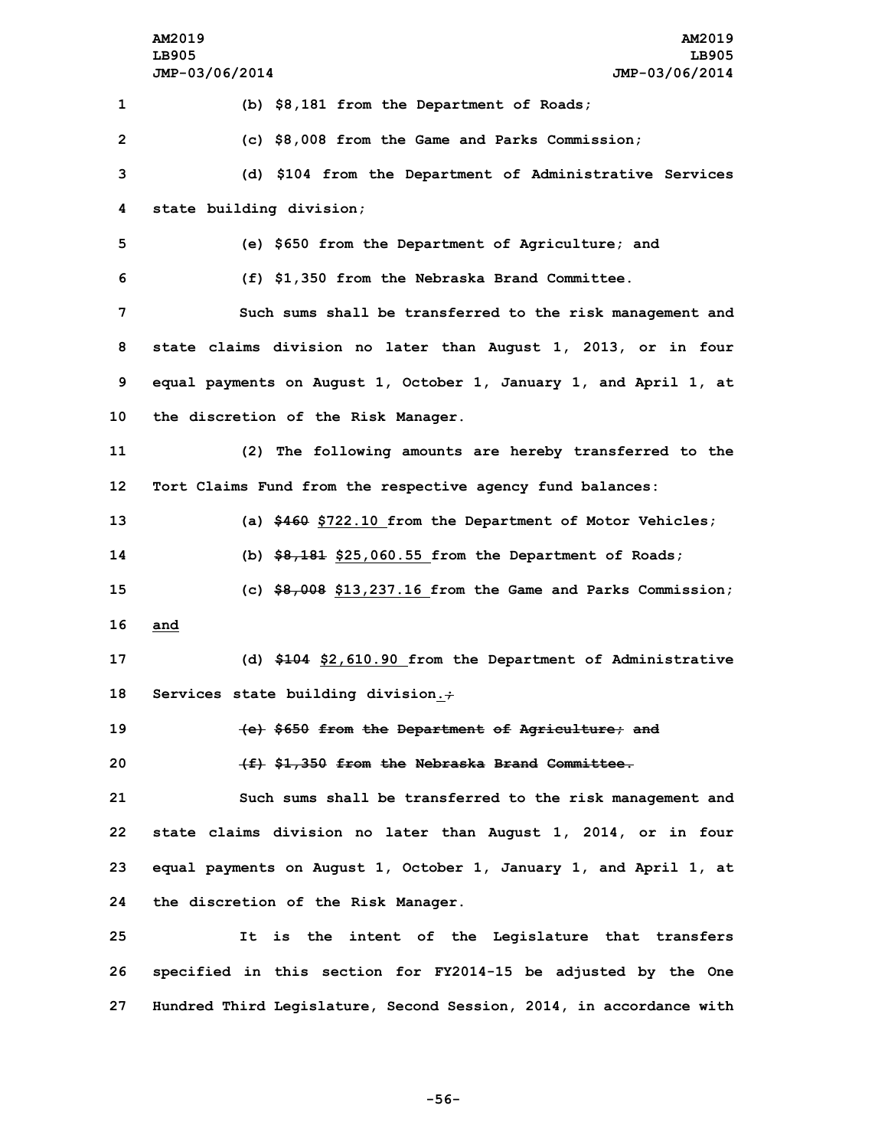|                 | AM2019<br>AM2019<br>LB905<br>LB905                                  |
|-----------------|---------------------------------------------------------------------|
|                 | JMP-03/06/2014<br>JMP-03/06/2014                                    |
| 1               | (b) \$8,181 from the Department of Roads;                           |
| $\overline{2}$  | (c) \$8,008 from the Game and Parks Commission;                     |
| 3               | (d) \$104 from the Department of Administrative Services            |
| 4               | state building division;                                            |
| 5               | (e) \$650 from the Department of Agriculture; and                   |
| 6               | (f) \$1,350 from the Nebraska Brand Committee.                      |
| 7               | Such sums shall be transferred to the risk management and           |
| 8               | state claims division no later than August 1, 2013, or in four      |
| 9               | equal payments on August 1, October 1, January 1, and April 1, at   |
| 10              | the discretion of the Risk Manager.                                 |
| 11              | (2) The following amounts are hereby transferred to the             |
| 12 <sub>2</sub> | Tort Claims Fund from the respective agency fund balances:          |
| 13              | (a) \$460 \$722.10 from the Department of Motor Vehicles;           |
| 14              | (b) $$8,181$ \$25,060.55 from the Department of Roads;              |
| 15              | (c) $$8,008$ \$13,237.16 from the Game and Parks Commission;        |
| 16              | and                                                                 |
| 17              | (d) \$104 \$2,610.90 from the Department of Administrative          |
| 18              | Services state building division.+                                  |
| 19              | (e) \$650 from the Department of Agriculture; and                   |
| 20              | (f) \$1,350 from the Nebraska Brand Committee.                      |
| 21              | Such sums shall be transferred to the risk management and           |
| 22              | state claims division no later than August 1, 2014, or in four      |
| 23              | equal payments on August 1, October 1, January 1, and April 1, at   |
| 24              | the discretion of the Risk Manager.                                 |
| 25              | is the intent of the Legislature that transfers<br>It               |
| 26              | specified in this section for FY2014-15 be adjusted by the One      |
| 27              | Hundred Third Legislature, Second Session, 2014, in accordance with |

**-56-**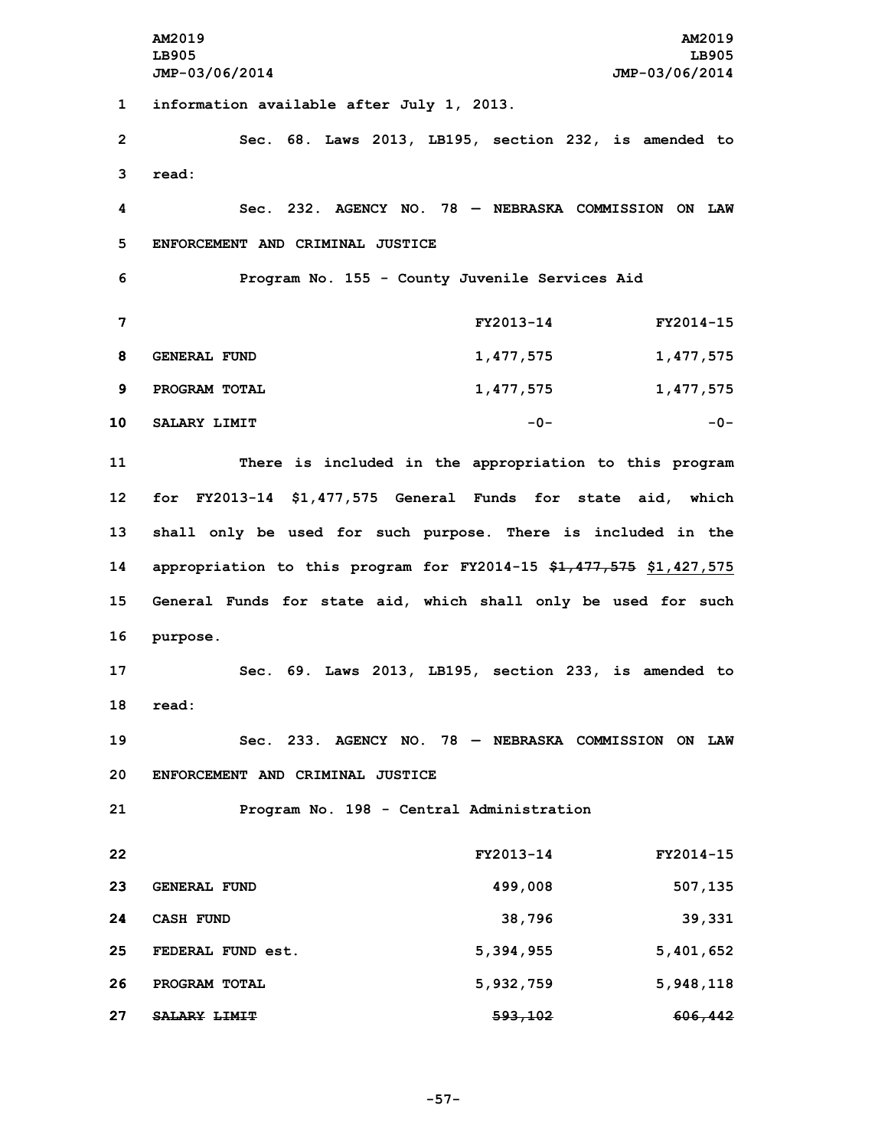**AM2019 AM2019 LB905 LB905 JMP-03/06/2014 JMP-03/06/2014 information available after July 1, 2013. Sec. 68. Laws 2013, LB195, section 232, is amended to 3 read: Sec. 232. AGENCY NO. 78 — NEBRASKA COMMISSION ON LAW ENFORCEMENT AND CRIMINAL JUSTICE Program No. 155 - County Juvenile Services Aid FY2013-14 FY2014-15 GENERAL FUND 1,477,575 1,477,575 PROGRAM TOTAL 1,477,575 1,477,575 SALARY LIMIT -0- -0- There is included in the appropriation to this program for FY2013-14 \$1,477,575 General Funds for state aid, which shall only be used for such purpose. There is included in the appropriation to this program for FY2014-15 \$1,477,575 \$1,427,575 General Funds for state aid, which shall only be used for such 16 purpose. Sec. 69. Laws 2013, LB195, section 233, is amended to 18 read: Sec. 233. AGENCY NO. 78 — NEBRASKA COMMISSION ON LAW ENFORCEMENT AND CRIMINAL JUSTICE Program No. 198 - Central Administration FY2013-14 FY2014-15 GENERAL FUND 499,008 507,135 CASH FUND 38,796 39,331 FEDERAL FUND est. 5,394,955 5,401,652 PROGRAM TOTAL 5,932,759 5,948,118 SALARY LIMIT 593,102 606,442**

**-57-**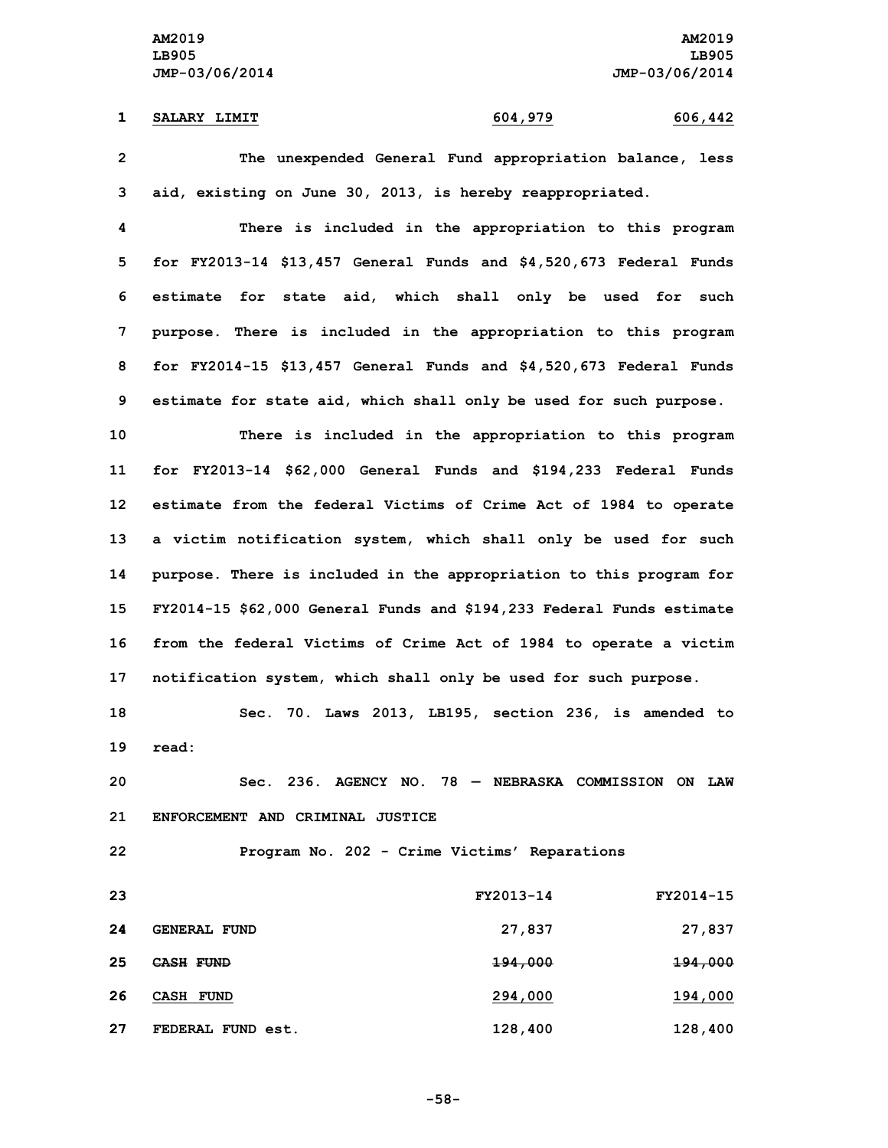### **1 SALARY LIMIT 604,979 606,442**

**2 The unexpended General Fund appropriation balance, less 3 aid, existing on June 30, 2013, is hereby reappropriated.**

 **There is included in the appropriation to this program for FY2013-14 \$13,457 General Funds and \$4,520,673 Federal Funds estimate for state aid, which shall only be used for such purpose. There is included in the appropriation to this program for FY2014-15 \$13,457 General Funds and \$4,520,673 Federal Funds estimate for state aid, which shall only be used for such purpose.**

 **There is included in the appropriation to this program for FY2013-14 \$62,000 General Funds and \$194,233 Federal Funds estimate from the federal Victims of Crime Act of 1984 to operate <sup>a</sup> victim notification system, which shall only be used for such purpose. There is included in the appropriation to this program for FY2014-15 \$62,000 General Funds and \$194,233 Federal Funds estimate from the federal Victims of Crime Act of 1984 to operate <sup>a</sup> victim notification system, which shall only be used for such purpose.**

**18 Sec. 70. Laws 2013, LB195, section 236, is amended to 19 read:**

**20 Sec. 236. AGENCY NO. 78 — NEBRASKA COMMISSION ON LAW 21 ENFORCEMENT AND CRIMINAL JUSTICE**

**22 Program No. 202 - Crime Victims' Reparations**

| 23 |                     | FY2013-14 | FY2014-15          |
|----|---------------------|-----------|--------------------|
| 24 | <b>GENERAL FUND</b> | 27,837    | 27,837             |
| 25 | CASH FUND           | 194,000   | <del>194,000</del> |
| 26 | CASH FUND           | 294,000   | 194,000            |
| 27 | FEDERAL FUND est.   | 128,400   | 128,400            |

**-58-**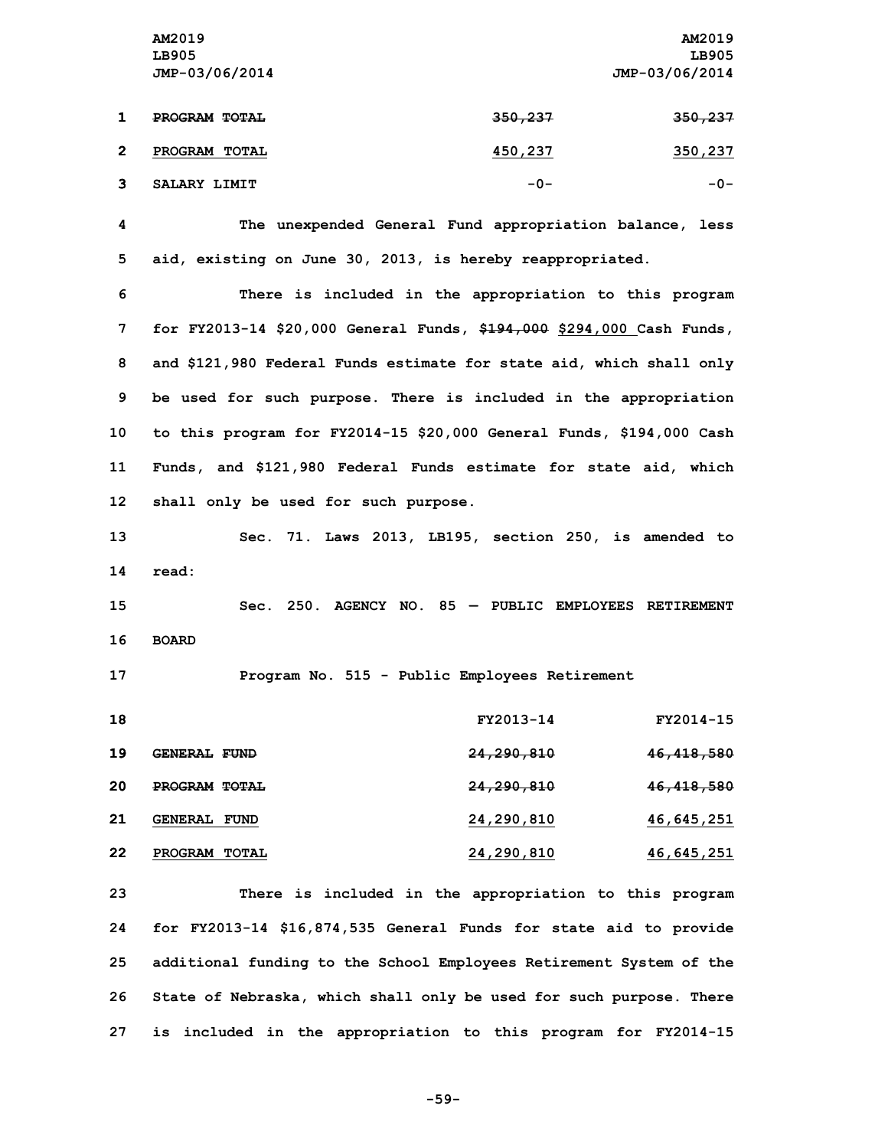|             | AM2019         |         | AM2019             |
|-------------|----------------|---------|--------------------|
|             | LB905          |         | LB905              |
|             | JMP-03/06/2014 |         | JMP-03/06/2014     |
|             |                |         |                    |
|             | PROGRAM TOTAL  | 350,237 | <del>350,237</del> |
|             |                |         |                    |
| $\mathbf 2$ | PROGRAM TOTAL  | 450,237 | 350,237            |
|             |                |         |                    |
|             | SALARY LIMIT   | $-0-$   | -0-                |
|             |                |         |                    |

**4 The unexpended General Fund appropriation balance, less 5 aid, existing on June 30, 2013, is hereby reappropriated.**

 **There is included in the appropriation to this program for FY2013-14 \$20,000 General Funds, \$194,000 \$294,000 Cash Funds, and \$121,980 Federal Funds estimate for state aid, which shall only be used for such purpose. There is included in the appropriation to this program for FY2014-15 \$20,000 General Funds, \$194,000 Cash Funds, and \$121,980 Federal Funds estimate for state aid, which shall only be used for such purpose.**

**13 Sec. 71. Laws 2013, LB195, section 250, is amended to 14 read:**

**15 Sec. 250. AGENCY NO. 85 — PUBLIC EMPLOYEES RETIREMENT 16 BOARD**

**17 Program No. 515 - Public Employees Retirement**

| 18 |                                | FY2013-14             | FY2014-15             |
|----|--------------------------------|-----------------------|-----------------------|
| 19 | <b>GENERAL</b><br><b>FUND</b>  | <del>24,290,810</del> | 46,418,580            |
| 20 | PROGRAM TOTAL                  | <del>24,290,810</del> | <del>46,418,580</del> |
| 21 | <b>GENERAL</b><br><b>FUND</b>  | 24,290,810            | 46,645,251            |
| 22 | <b>PROGRAM</b><br><b>TOTAL</b> | 24,290,810            | 46,645,251            |

 **There is included in the appropriation to this program for FY2013-14 \$16,874,535 General Funds for state aid to provide additional funding to the School Employees Retirement System of the State of Nebraska, which shall only be used for such purpose. There is included in the appropriation to this program for FY2014-15**

```
-59-
```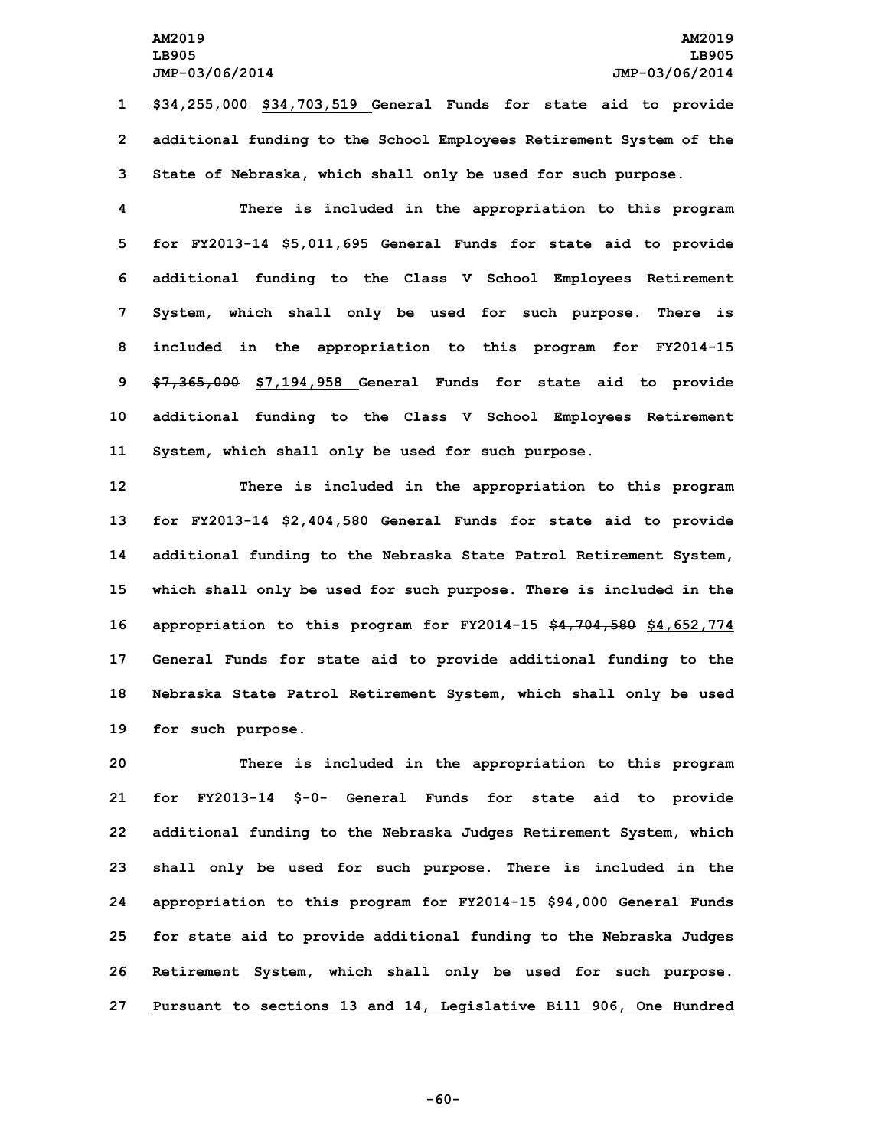**1 \$34,255,000 \$34,703,519 General Funds for state aid to provide 2 additional funding to the School Employees Retirement System of the 3 State of Nebraska, which shall only be used for such purpose.**

 **There is included in the appropriation to this program for FY2013-14 \$5,011,695 General Funds for state aid to provide additional funding to the Class <sup>V</sup> School Employees Retirement System, which shall only be used for such purpose. There is included in the appropriation to this program for FY2014-15 \$7,365,000 \$7,194,958 General Funds for state aid to provide additional funding to the Class <sup>V</sup> School Employees Retirement System, which shall only be used for such purpose.**

 **There is included in the appropriation to this program for FY2013-14 \$2,404,580 General Funds for state aid to provide additional funding to the Nebraska State Patrol Retirement System, which shall only be used for such purpose. There is included in the appropriation to this program for FY2014-15 \$4,704,580 \$4,652,774 General Funds for state aid to provide additional funding to the Nebraska State Patrol Retirement System, which shall only be used for such purpose.**

 **There is included in the appropriation to this program for FY2013-14 \$-0- General Funds for state aid to provide additional funding to the Nebraska Judges Retirement System, which shall only be used for such purpose. There is included in the appropriation to this program for FY2014-15 \$94,000 General Funds for state aid to provide additional funding to the Nebraska Judges Retirement System, which shall only be used for such purpose. Pursuant to sections 13 and 14, Legislative Bill 906, One Hundred**

**-60-**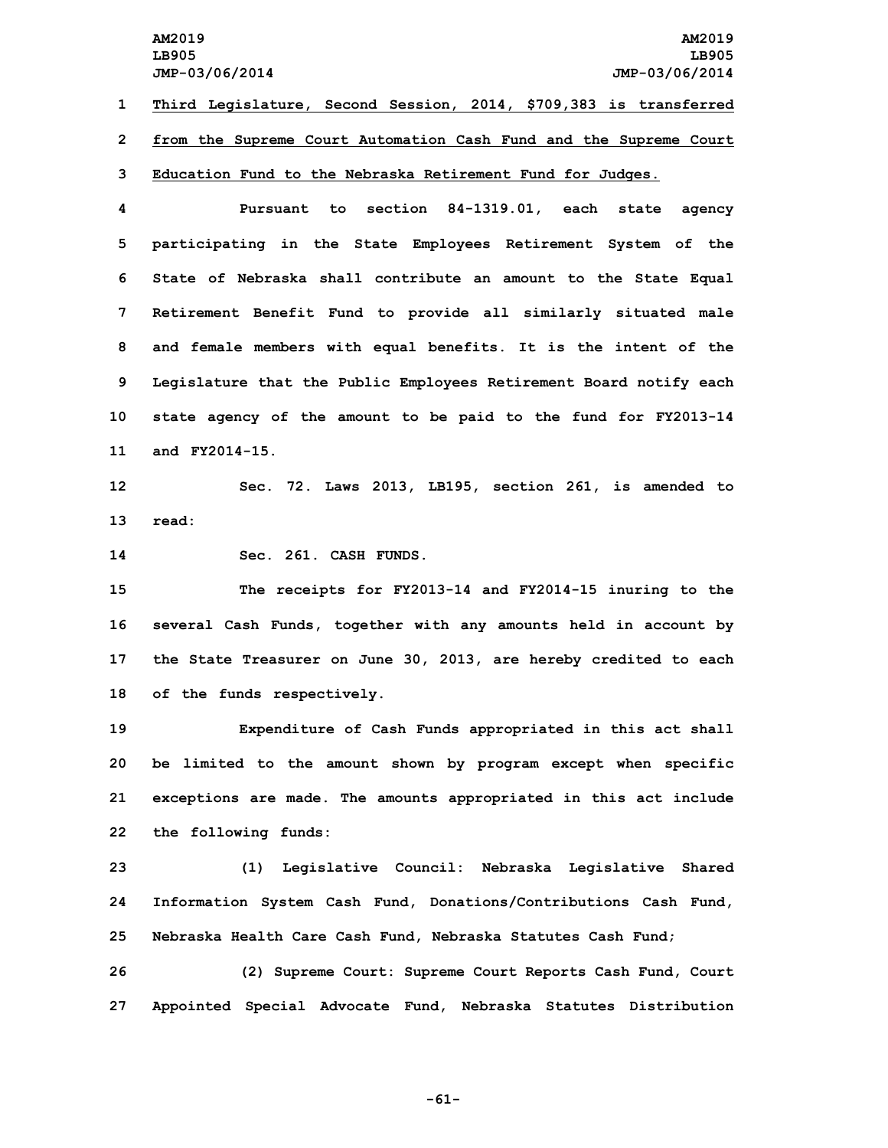**AM2019 AM2019 LB905 LB905 JMP-03/06/2014 JMP-03/06/2014 Third Legislature, Second Session, 2014, \$709,383 is transferred from the Supreme Court Automation Cash Fund and the Supreme Court Education Fund to the Nebraska Retirement Fund for Judges. Pursuant to section 84-1319.01, each state agency participating in the State Employees Retirement System of the State of Nebraska shall contribute an amount to the State Equal Retirement Benefit Fund to provide all similarly situated male and female members with equal benefits. It is the intent of the Legislature that the Public Employees Retirement Board notify each state agency of the amount to be paid to the fund for FY2013-14**

**11 and FY2014-15.**

**12 Sec. 72. Laws 2013, LB195, section 261, is amended to 13 read:**

**14 Sec. 261. CASH FUNDS.**

 **The receipts for FY2013-14 and FY2014-15 inuring to the several Cash Funds, together with any amounts held in account by the State Treasurer on June 30, 2013, are hereby credited to each of the funds respectively.**

 **Expenditure of Cash Funds appropriated in this act shall be limited to the amount shown by program except when specific exceptions are made. The amounts appropriated in this act include the following funds:**

**23 (1) Legislative Council: Nebraska Legislative Shared 24 Information System Cash Fund, Donations/Contributions Cash Fund, 25 Nebraska Health Care Cash Fund, Nebraska Statutes Cash Fund;**

**26 (2) Supreme Court: Supreme Court Reports Cash Fund, Court 27 Appointed Special Advocate Fund, Nebraska Statutes Distribution**

**-61-**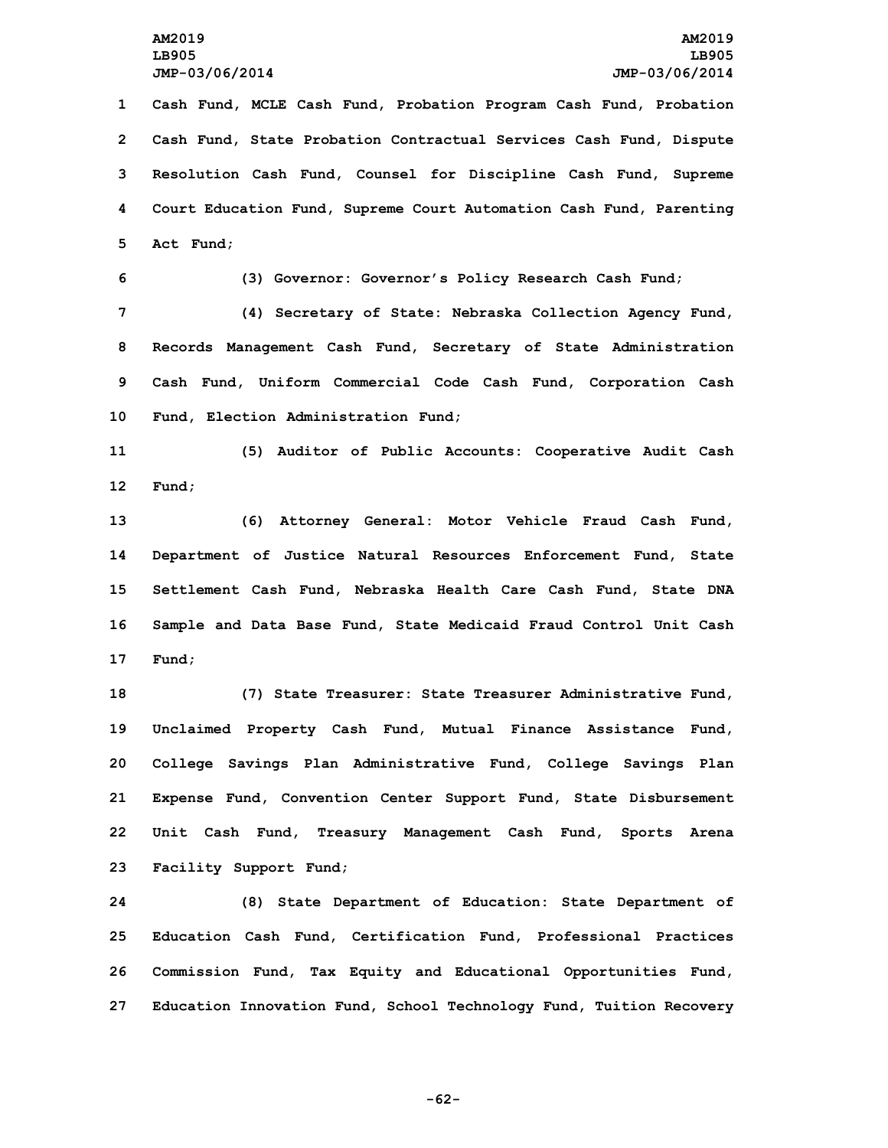**Cash Fund, MCLE Cash Fund, Probation Program Cash Fund, Probation Cash Fund, State Probation Contractual Services Cash Fund, Dispute Resolution Cash Fund, Counsel for Discipline Cash Fund, Supreme Court Education Fund, Supreme Court Automation Cash Fund, Parenting Act Fund;**

**6 (3) Governor: Governor's Policy Research Cash Fund;**

 **(4) Secretary of State: Nebraska Collection Agency Fund, Records Management Cash Fund, Secretary of State Administration Cash Fund, Uniform Commercial Code Cash Fund, Corporation Cash Fund, Election Administration Fund;**

**11 (5) Auditor of Public Accounts: Cooperative Audit Cash 12 Fund;**

 **(6) Attorney General: Motor Vehicle Fraud Cash Fund, Department of Justice Natural Resources Enforcement Fund, State Settlement Cash Fund, Nebraska Health Care Cash Fund, State DNA Sample and Data Base Fund, State Medicaid Fraud Control Unit Cash 17 Fund;**

 **(7) State Treasurer: State Treasurer Administrative Fund, Unclaimed Property Cash Fund, Mutual Finance Assistance Fund, College Savings Plan Administrative Fund, College Savings Plan Expense Fund, Convention Center Support Fund, State Disbursement Unit Cash Fund, Treasury Management Cash Fund, Sports Arena Facility Support Fund;**

 **(8) State Department of Education: State Department of Education Cash Fund, Certification Fund, Professional Practices Commission Fund, Tax Equity and Educational Opportunities Fund, Education Innovation Fund, School Technology Fund, Tuition Recovery**

**-62-**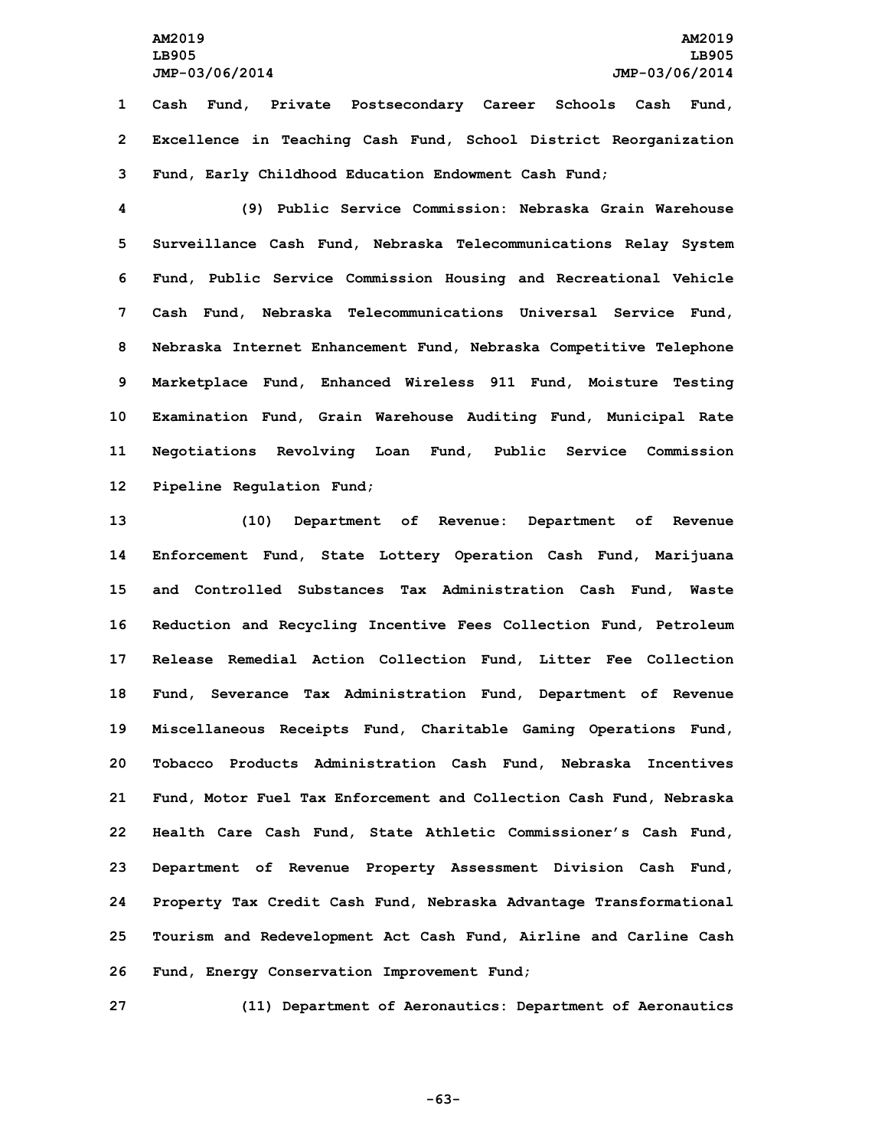**1 Cash Fund, Private Postsecondary Career Schools Cash Fund, 2 Excellence in Teaching Cash Fund, School District Reorganization 3 Fund, Early Childhood Education Endowment Cash Fund;**

 **(9) Public Service Commission: Nebraska Grain Warehouse Surveillance Cash Fund, Nebraska Telecommunications Relay System Fund, Public Service Commission Housing and Recreational Vehicle Cash Fund, Nebraska Telecommunications Universal Service Fund, Nebraska Internet Enhancement Fund, Nebraska Competitive Telephone Marketplace Fund, Enhanced Wireless 911 Fund, Moisture Testing Examination Fund, Grain Warehouse Auditing Fund, Municipal Rate Negotiations Revolving Loan Fund, Public Service Commission Pipeline Regulation Fund;**

 **(10) Department of Revenue: Department of Revenue Enforcement Fund, State Lottery Operation Cash Fund, Marijuana and Controlled Substances Tax Administration Cash Fund, Waste Reduction and Recycling Incentive Fees Collection Fund, Petroleum Release Remedial Action Collection Fund, Litter Fee Collection Fund, Severance Tax Administration Fund, Department of Revenue Miscellaneous Receipts Fund, Charitable Gaming Operations Fund, Tobacco Products Administration Cash Fund, Nebraska Incentives Fund, Motor Fuel Tax Enforcement and Collection Cash Fund, Nebraska Health Care Cash Fund, State Athletic Commissioner's Cash Fund, Department of Revenue Property Assessment Division Cash Fund, Property Tax Credit Cash Fund, Nebraska Advantage Transformational Tourism and Redevelopment Act Cash Fund, Airline and Carline Cash Fund, Energy Conservation Improvement Fund;**

**27 (11) Department of Aeronautics: Department of Aeronautics**

**-63-**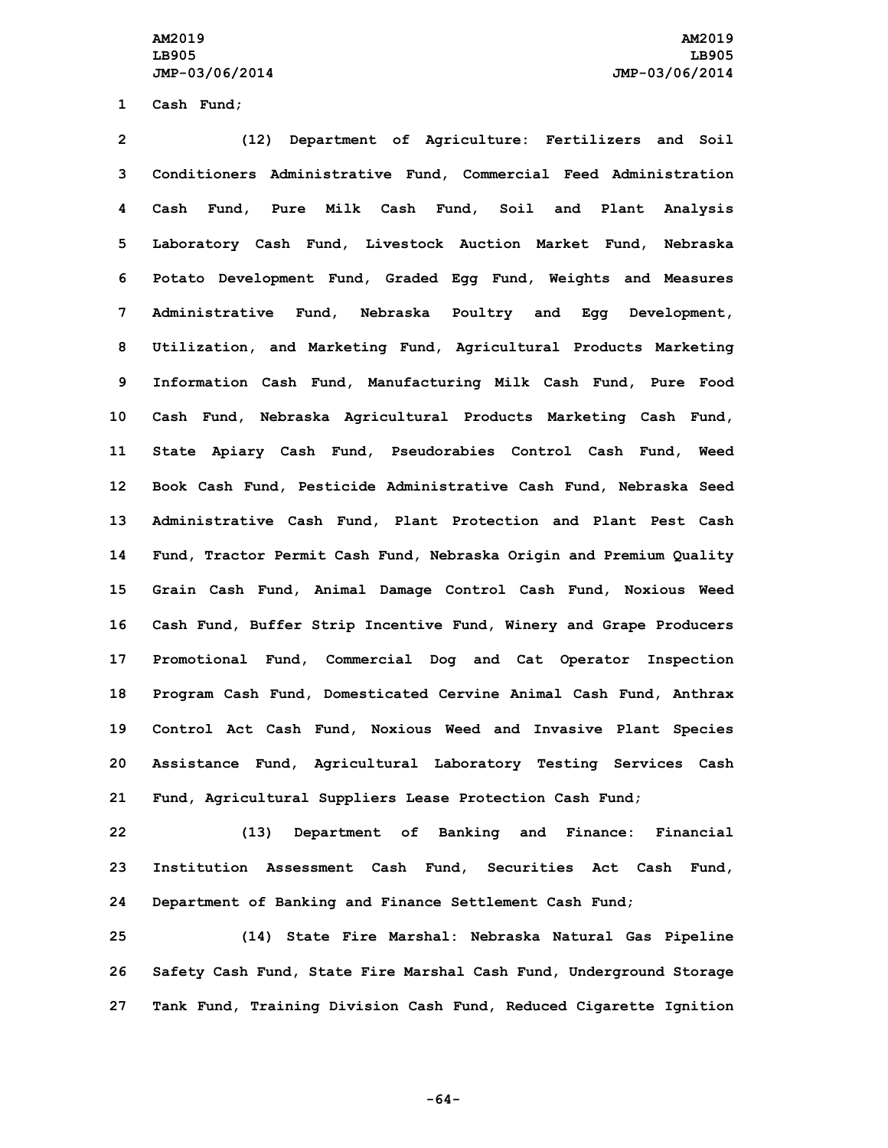**1 Cash Fund;**

 **(12) Department of Agriculture: Fertilizers and Soil Conditioners Administrative Fund, Commercial Feed Administration Cash Fund, Pure Milk Cash Fund, Soil and Plant Analysis Laboratory Cash Fund, Livestock Auction Market Fund, Nebraska Potato Development Fund, Graded Egg Fund, Weights and Measures Administrative Fund, Nebraska Poultry and Egg Development, Utilization, and Marketing Fund, Agricultural Products Marketing Information Cash Fund, Manufacturing Milk Cash Fund, Pure Food Cash Fund, Nebraska Agricultural Products Marketing Cash Fund, State Apiary Cash Fund, Pseudorabies Control Cash Fund, Weed Book Cash Fund, Pesticide Administrative Cash Fund, Nebraska Seed Administrative Cash Fund, Plant Protection and Plant Pest Cash Fund, Tractor Permit Cash Fund, Nebraska Origin and Premium Quality Grain Cash Fund, Animal Damage Control Cash Fund, Noxious Weed Cash Fund, Buffer Strip Incentive Fund, Winery and Grape Producers Promotional Fund, Commercial Dog and Cat Operator Inspection Program Cash Fund, Domesticated Cervine Animal Cash Fund, Anthrax Control Act Cash Fund, Noxious Weed and Invasive Plant Species Assistance Fund, Agricultural Laboratory Testing Services Cash Fund, Agricultural Suppliers Lease Protection Cash Fund;**

**22 (13) Department of Banking and Finance: Financial 23 Institution Assessment Cash Fund, Securities Act Cash Fund, 24 Department of Banking and Finance Settlement Cash Fund;**

**25 (14) State Fire Marshal: Nebraska Natural Gas Pipeline 26 Safety Cash Fund, State Fire Marshal Cash Fund, Underground Storage 27 Tank Fund, Training Division Cash Fund, Reduced Cigarette Ignition**

**-64-**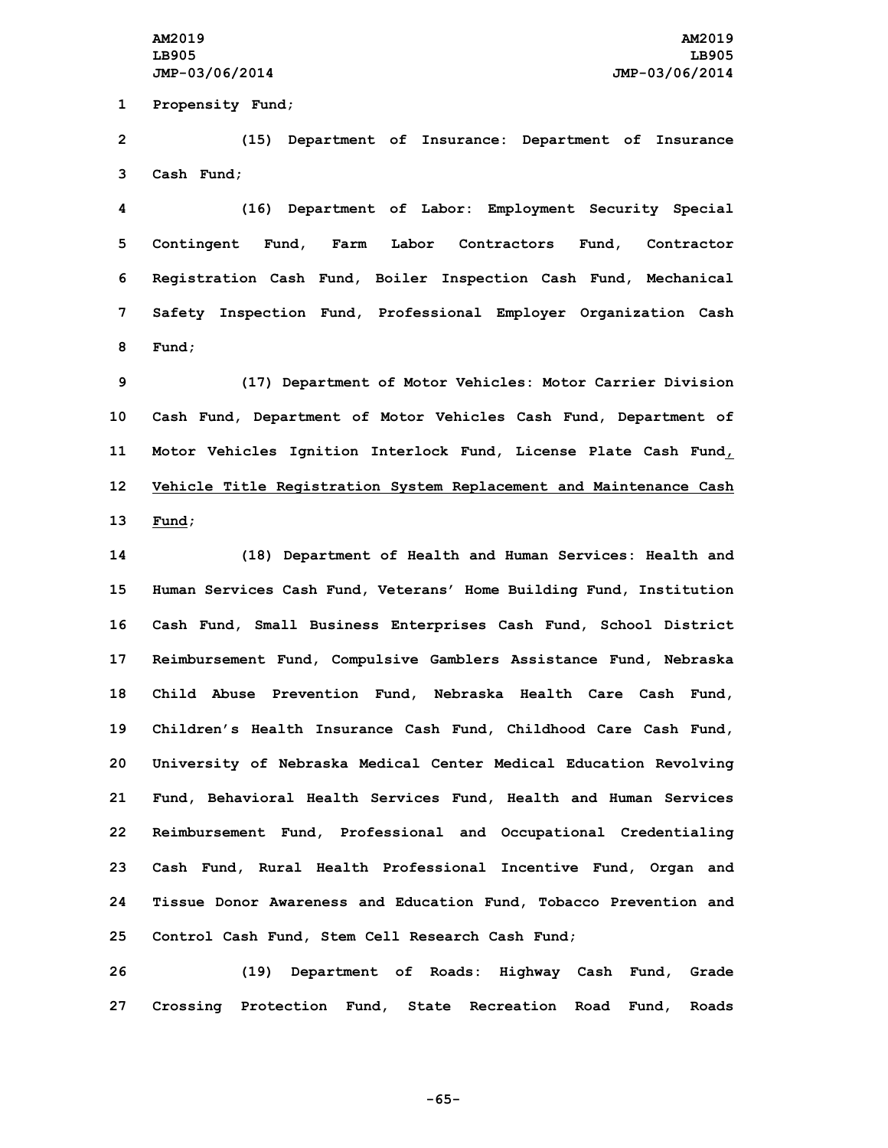**1 Propensity Fund;**

**2 (15) Department of Insurance: Department of Insurance 3 Cash Fund;**

 **(16) Department of Labor: Employment Security Special Contingent Fund, Farm Labor Contractors Fund, Contractor Registration Cash Fund, Boiler Inspection Cash Fund, Mechanical Safety Inspection Fund, Professional Employer Organization Cash 8 Fund;**

 **(17) Department of Motor Vehicles: Motor Carrier Division Cash Fund, Department of Motor Vehicles Cash Fund, Department of Motor Vehicles Ignition Interlock Fund, License Plate Cash Fund, Vehicle Title Registration System Replacement and Maintenance Cash 13 Fund;**

 **(18) Department of Health and Human Services: Health and Human Services Cash Fund, Veterans' Home Building Fund, Institution Cash Fund, Small Business Enterprises Cash Fund, School District Reimbursement Fund, Compulsive Gamblers Assistance Fund, Nebraska Child Abuse Prevention Fund, Nebraska Health Care Cash Fund, Children's Health Insurance Cash Fund, Childhood Care Cash Fund, University of Nebraska Medical Center Medical Education Revolving Fund, Behavioral Health Services Fund, Health and Human Services Reimbursement Fund, Professional and Occupational Credentialing Cash Fund, Rural Health Professional Incentive Fund, Organ and Tissue Donor Awareness and Education Fund, Tobacco Prevention and Control Cash Fund, Stem Cell Research Cash Fund;**

**26 (19) Department of Roads: Highway Cash Fund, Grade 27 Crossing Protection Fund, State Recreation Road Fund, Roads**

**-65-**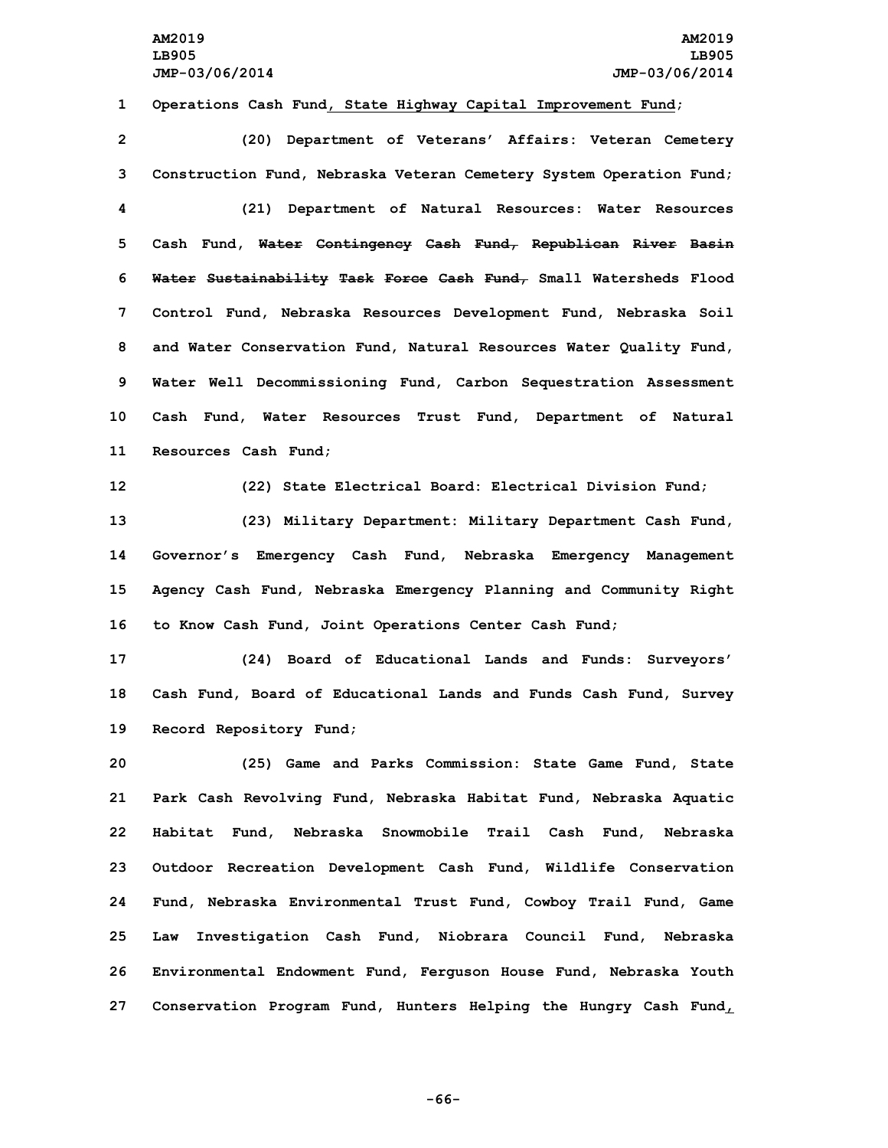**1 Operations Cash Fund, State Highway Capital Improvement Fund;**

 **(20) Department of Veterans' Affairs: Veteran Cemetery Construction Fund, Nebraska Veteran Cemetery System Operation Fund; (21) Department of Natural Resources: Water Resources Cash Fund, Water Contingency Cash Fund, Republican River Basin Water Sustainability Task Force Cash Fund, Small Watersheds Flood Control Fund, Nebraska Resources Development Fund, Nebraska Soil and Water Conservation Fund, Natural Resources Water Quality Fund, Water Well Decommissioning Fund, Carbon Sequestration Assessment Cash Fund, Water Resources Trust Fund, Department of Natural Resources Cash Fund;**

**12 (22) State Electrical Board: Electrical Division Fund;**

 **(23) Military Department: Military Department Cash Fund, Governor's Emergency Cash Fund, Nebraska Emergency Management Agency Cash Fund, Nebraska Emergency Planning and Community Right to Know Cash Fund, Joint Operations Center Cash Fund;**

**17 (24) Board of Educational Lands and Funds: Surveyors' 18 Cash Fund, Board of Educational Lands and Funds Cash Fund, Survey 19 Record Repository Fund;**

 **(25) Game and Parks Commission: State Game Fund, State Park Cash Revolving Fund, Nebraska Habitat Fund, Nebraska Aquatic Habitat Fund, Nebraska Snowmobile Trail Cash Fund, Nebraska Outdoor Recreation Development Cash Fund, Wildlife Conservation Fund, Nebraska Environmental Trust Fund, Cowboy Trail Fund, Game Law Investigation Cash Fund, Niobrara Council Fund, Nebraska Environmental Endowment Fund, Ferguson House Fund, Nebraska Youth Conservation Program Fund, Hunters Helping the Hungry Cash Fund,**

**-66-**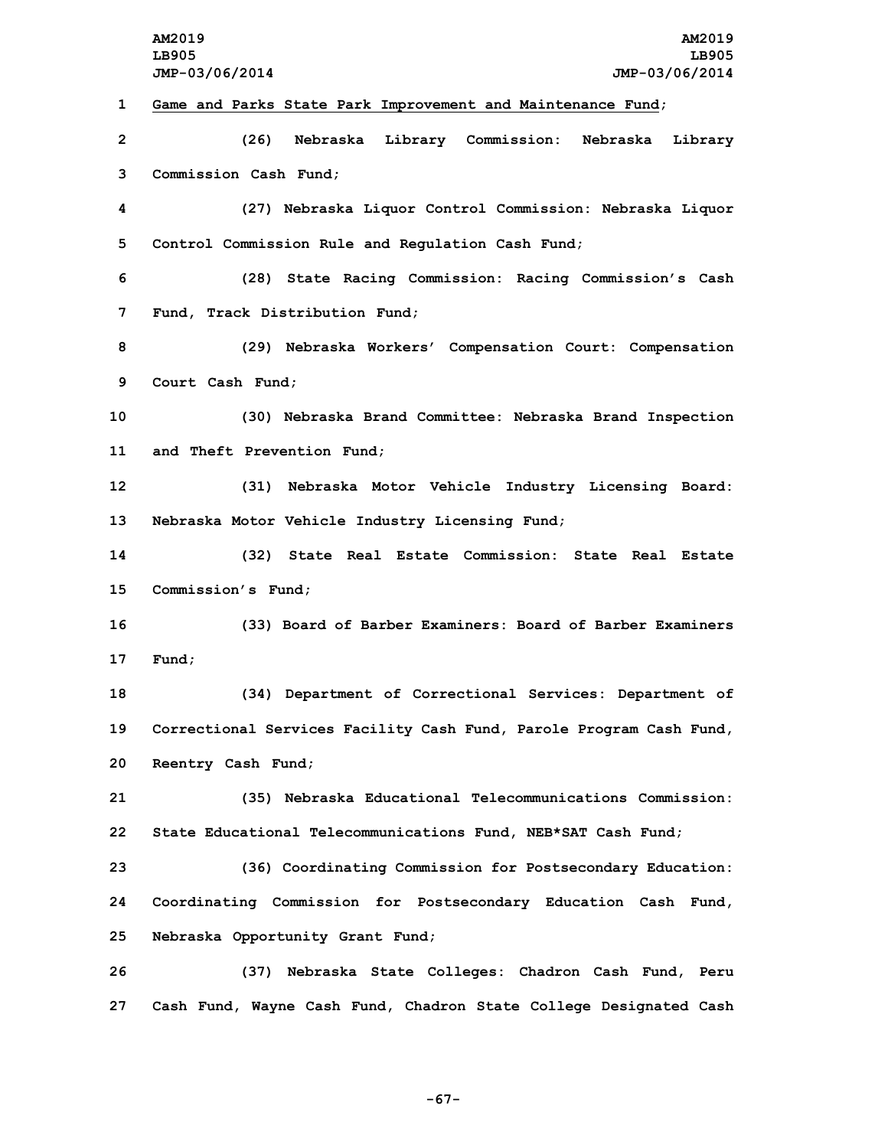**AM2019 AM2019 LB905 LB905 JMP-03/06/2014 JMP-03/06/2014 Game and Parks State Park Improvement and Maintenance Fund; (26) Nebraska Library Commission: Nebraska Library Commission Cash Fund; (27) Nebraska Liquor Control Commission: Nebraska Liquor Control Commission Rule and Regulation Cash Fund; (28) State Racing Commission: Racing Commission's Cash Fund, Track Distribution Fund; (29) Nebraska Workers' Compensation Court: Compensation Court Cash Fund; (30) Nebraska Brand Committee: Nebraska Brand Inspection and Theft Prevention Fund; (31) Nebraska Motor Vehicle Industry Licensing Board: Nebraska Motor Vehicle Industry Licensing Fund; (32) State Real Estate Commission: State Real Estate Commission's Fund; (33) Board of Barber Examiners: Board of Barber Examiners 17 Fund; (34) Department of Correctional Services: Department of Correctional Services Facility Cash Fund, Parole Program Cash Fund, Reentry Cash Fund; (35) Nebraska Educational Telecommunications Commission: State Educational Telecommunications Fund, NEB\*SAT Cash Fund; (36) Coordinating Commission for Postsecondary Education: Coordinating Commission for Postsecondary Education Cash Fund, Nebraska Opportunity Grant Fund; (37) Nebraska State Colleges: Chadron Cash Fund, Peru Cash Fund, Wayne Cash Fund, Chadron State College Designated Cash**

**-67-**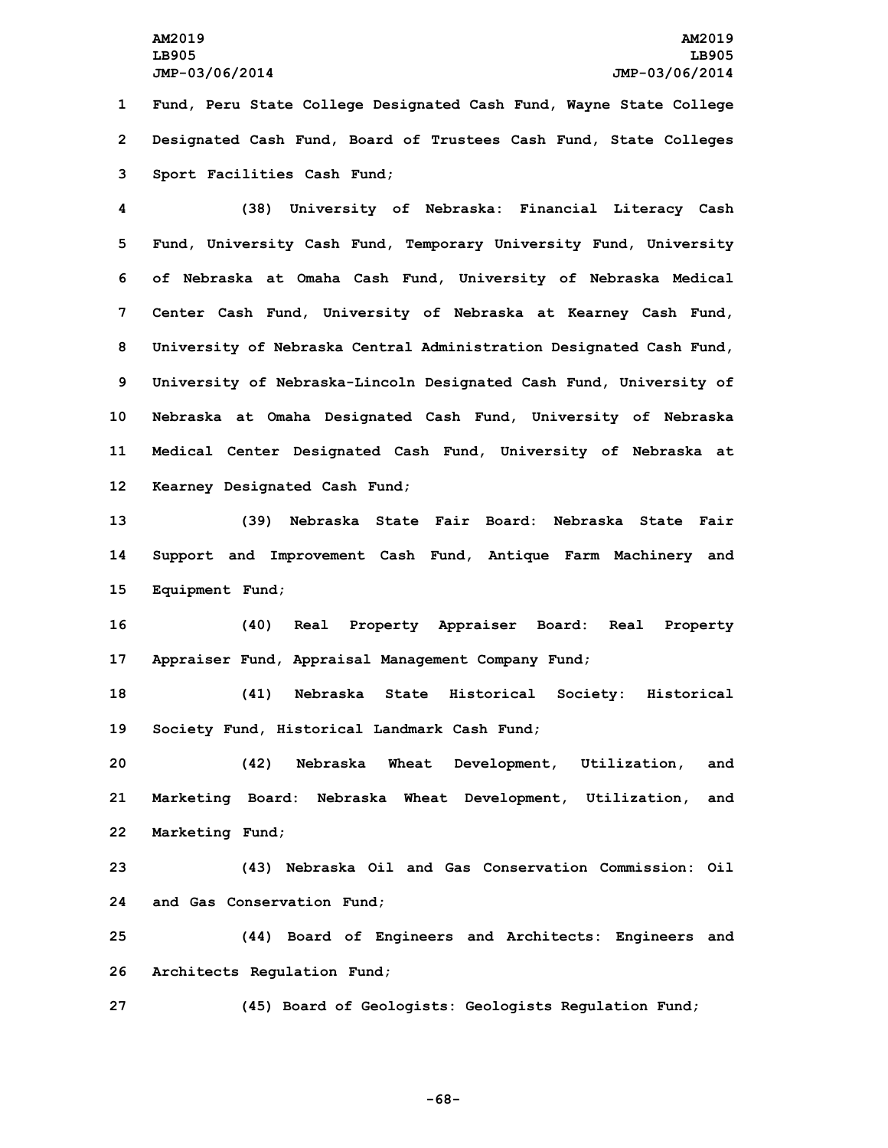# **AM2019 AM2019 LB905 LB905 JMP-03/06/2014 JMP-03/06/2014**

**1 Fund, Peru State College Designated Cash Fund, Wayne State College 2 Designated Cash Fund, Board of Trustees Cash Fund, State Colleges 3 Sport Facilities Cash Fund;**

 **(38) University of Nebraska: Financial Literacy Cash Fund, University Cash Fund, Temporary University Fund, University of Nebraska at Omaha Cash Fund, University of Nebraska Medical Center Cash Fund, University of Nebraska at Kearney Cash Fund, University of Nebraska Central Administration Designated Cash Fund, University of Nebraska-Lincoln Designated Cash Fund, University of Nebraska at Omaha Designated Cash Fund, University of Nebraska Medical Center Designated Cash Fund, University of Nebraska at Kearney Designated Cash Fund;**

**13 (39) Nebraska State Fair Board: Nebraska State Fair 14 Support and Improvement Cash Fund, Antique Farm Machinery and 15 Equipment Fund;**

**16 (40) Real Property Appraiser Board: Real Property 17 Appraiser Fund, Appraisal Management Company Fund;**

**18 (41) Nebraska State Historical Society: Historical 19 Society Fund, Historical Landmark Cash Fund;**

**20 (42) Nebraska Wheat Development, Utilization, and 21 Marketing Board: Nebraska Wheat Development, Utilization, and 22 Marketing Fund;**

**23 (43) Nebraska Oil and Gas Conservation Commission: Oil 24 and Gas Conservation Fund;**

**25 (44) Board of Engineers and Architects: Engineers and 26 Architects Regulation Fund;**

**27 (45) Board of Geologists: Geologists Regulation Fund;**

**-68-**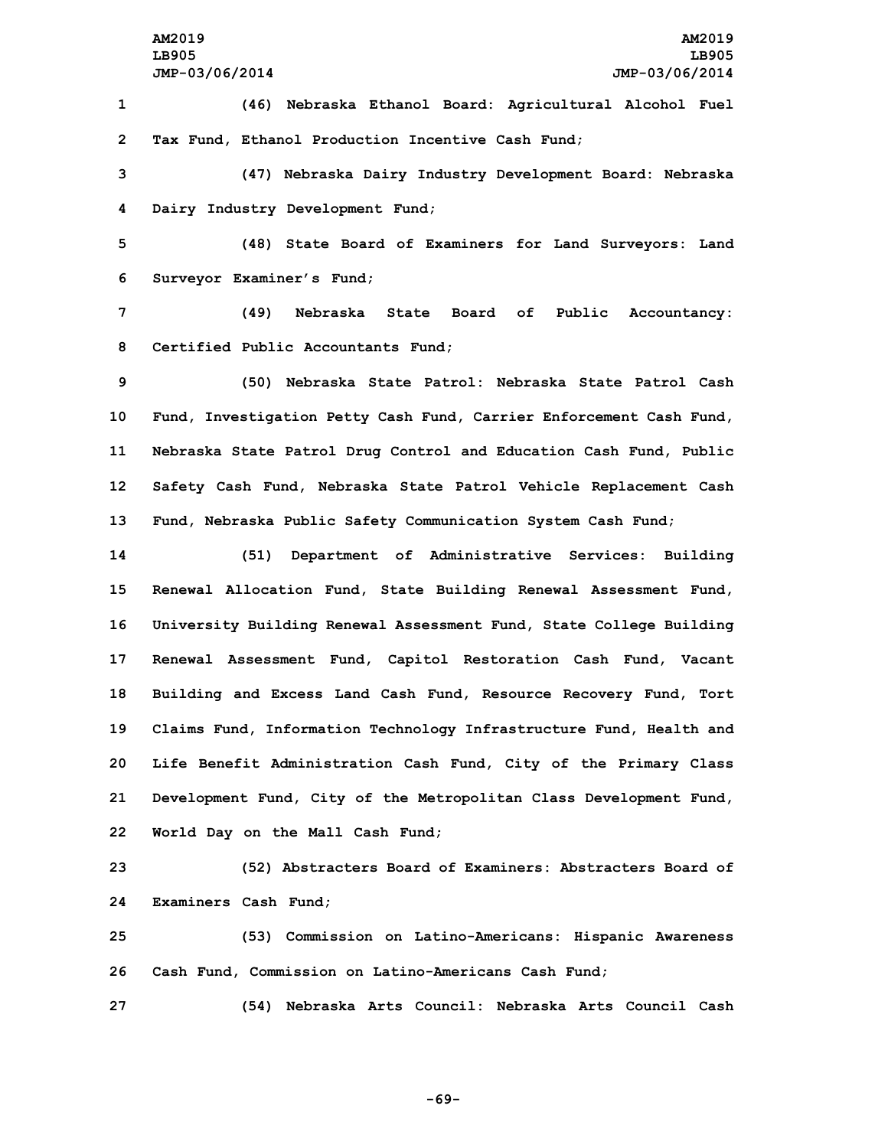**1 (46) Nebraska Ethanol Board: Agricultural Alcohol Fuel 2 Tax Fund, Ethanol Production Incentive Cash Fund;**

**3 (47) Nebraska Dairy Industry Development Board: Nebraska 4 Dairy Industry Development Fund;**

**5 (48) State Board of Examiners for Land Surveyors: Land 6 Surveyor Examiner's Fund;**

**7 (49) Nebraska State Board of Public Accountancy: 8 Certified Public Accountants Fund;**

 **(50) Nebraska State Patrol: Nebraska State Patrol Cash Fund, Investigation Petty Cash Fund, Carrier Enforcement Cash Fund, Nebraska State Patrol Drug Control and Education Cash Fund, Public Safety Cash Fund, Nebraska State Patrol Vehicle Replacement Cash Fund, Nebraska Public Safety Communication System Cash Fund;**

 **(51) Department of Administrative Services: Building Renewal Allocation Fund, State Building Renewal Assessment Fund, University Building Renewal Assessment Fund, State College Building Renewal Assessment Fund, Capitol Restoration Cash Fund, Vacant Building and Excess Land Cash Fund, Resource Recovery Fund, Tort Claims Fund, Information Technology Infrastructure Fund, Health and Life Benefit Administration Cash Fund, City of the Primary Class Development Fund, City of the Metropolitan Class Development Fund, World Day on the Mall Cash Fund;**

**23 (52) Abstracters Board of Examiners: Abstracters Board of 24 Examiners Cash Fund;**

**25 (53) Commission on Latino-Americans: Hispanic Awareness 26 Cash Fund, Commission on Latino-Americans Cash Fund;**

**27 (54) Nebraska Arts Council: Nebraska Arts Council Cash**

**-69-**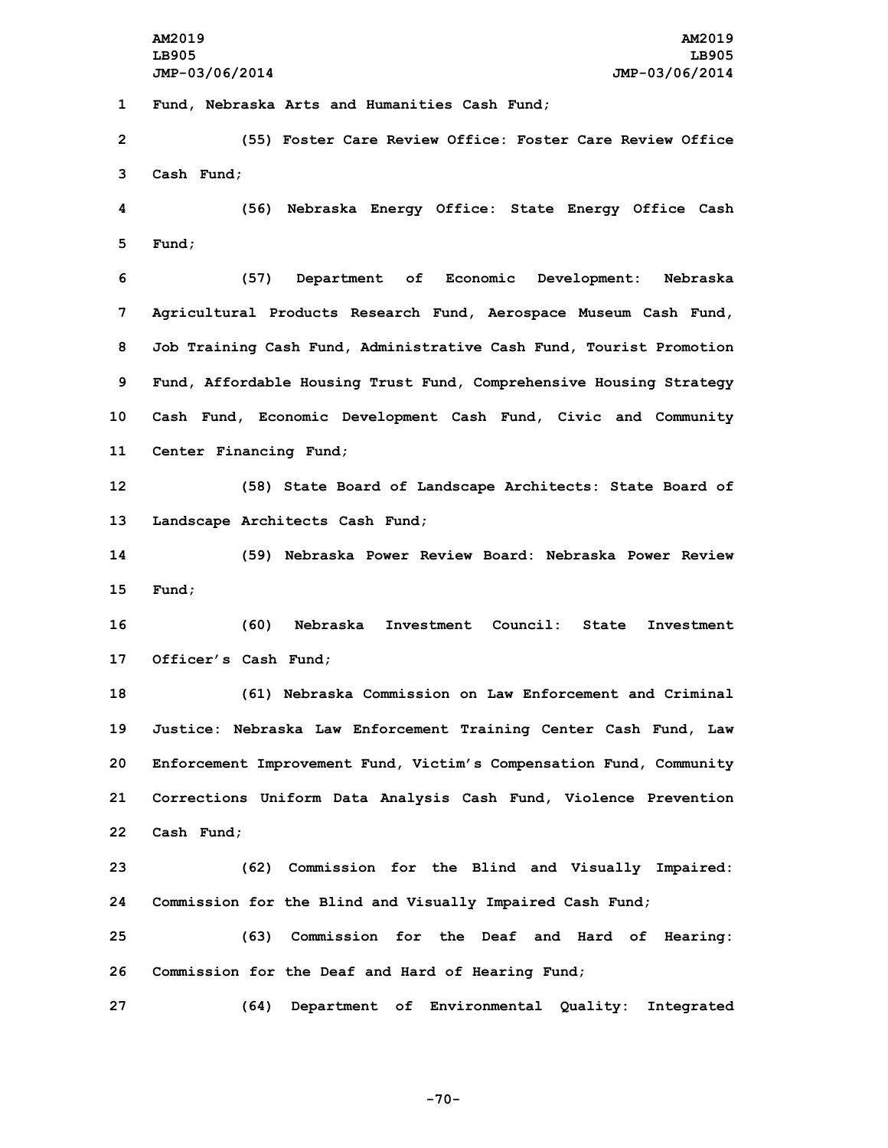**AM2019 AM2019 LB905 LB905**

**JMP-03/06/2014 JMP-03/06/2014 Fund, Nebraska Arts and Humanities Cash Fund; (55) Foster Care Review Office: Foster Care Review Office Cash Fund; (56) Nebraska Energy Office: State Energy Office Cash 5 Fund; (57) Department of Economic Development: Nebraska Agricultural Products Research Fund, Aerospace Museum Cash Fund, Job Training Cash Fund, Administrative Cash Fund, Tourist Promotion Fund, Affordable Housing Trust Fund, Comprehensive Housing Strategy Cash Fund, Economic Development Cash Fund, Civic and Community Center Financing Fund; (58) State Board of Landscape Architects: State Board of Landscape Architects Cash Fund; (59) Nebraska Power Review Board: Nebraska Power Review 15 Fund; (60) Nebraska Investment Council: State Investment Officer's Cash Fund; (61) Nebraska Commission on Law Enforcement and Criminal Justice: Nebraska Law Enforcement Training Center Cash Fund, Law Enforcement Improvement Fund, Victim's Compensation Fund, Community Corrections Uniform Data Analysis Cash Fund, Violence Prevention Cash Fund; (62) Commission for the Blind and Visually Impaired: Commission for the Blind and Visually Impaired Cash Fund; (63) Commission for the Deaf and Hard of Hearing: Commission for the Deaf and Hard of Hearing Fund; (64) Department of Environmental Quality: Integrated**

**-70-**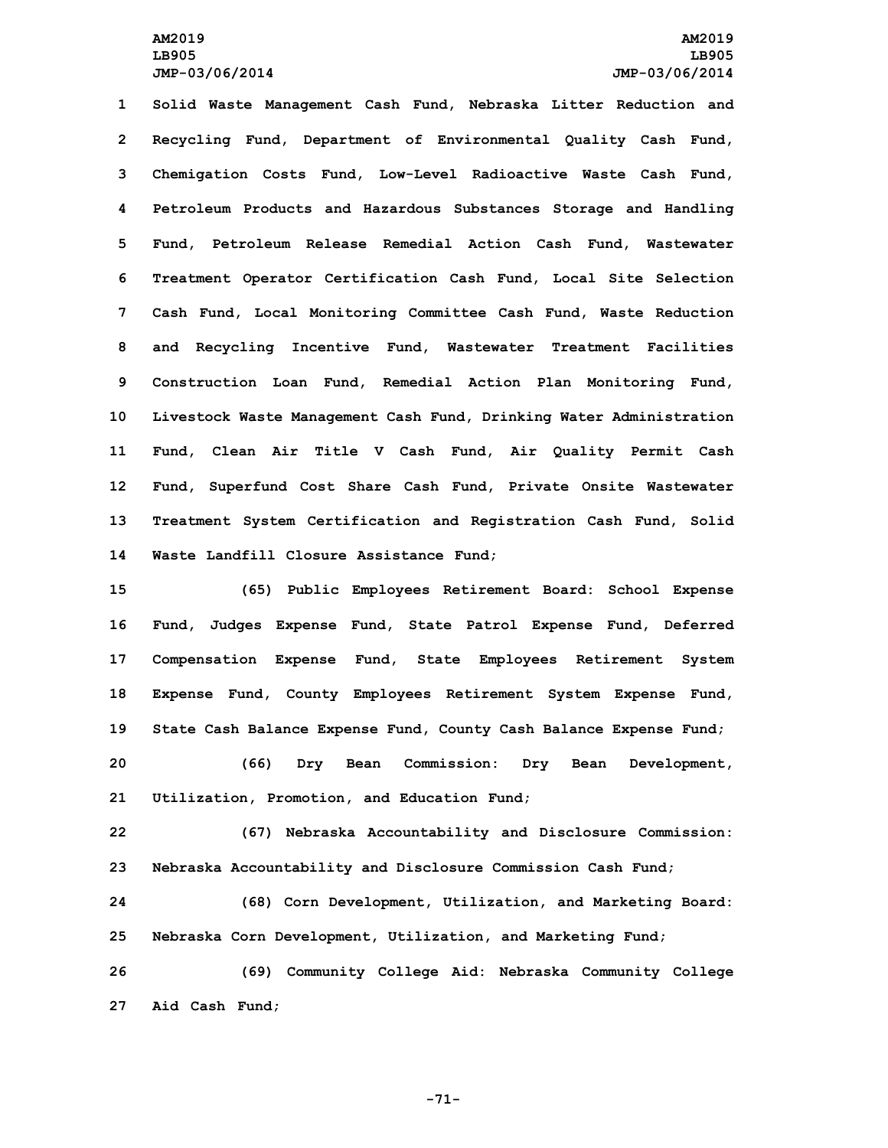**Solid Waste Management Cash Fund, Nebraska Litter Reduction and Recycling Fund, Department of Environmental Quality Cash Fund, Chemigation Costs Fund, Low-Level Radioactive Waste Cash Fund, Petroleum Products and Hazardous Substances Storage and Handling Fund, Petroleum Release Remedial Action Cash Fund, Wastewater Treatment Operator Certification Cash Fund, Local Site Selection Cash Fund, Local Monitoring Committee Cash Fund, Waste Reduction and Recycling Incentive Fund, Wastewater Treatment Facilities Construction Loan Fund, Remedial Action Plan Monitoring Fund, Livestock Waste Management Cash Fund, Drinking Water Administration Fund, Clean Air Title <sup>V</sup> Cash Fund, Air Quality Permit Cash Fund, Superfund Cost Share Cash Fund, Private Onsite Wastewater Treatment System Certification and Registration Cash Fund, Solid Waste Landfill Closure Assistance Fund;**

 **(65) Public Employees Retirement Board: School Expense Fund, Judges Expense Fund, State Patrol Expense Fund, Deferred Compensation Expense Fund, State Employees Retirement System Expense Fund, County Employees Retirement System Expense Fund, State Cash Balance Expense Fund, County Cash Balance Expense Fund; (66) Dry Bean Commission: Dry Bean Development, Utilization, Promotion, and Education Fund;**

**22 (67) Nebraska Accountability and Disclosure Commission: 23 Nebraska Accountability and Disclosure Commission Cash Fund;**

**24 (68) Corn Development, Utilization, and Marketing Board: 25 Nebraska Corn Development, Utilization, and Marketing Fund;**

**26 (69) Community College Aid: Nebraska Community College 27 Aid Cash Fund;**

**-71-**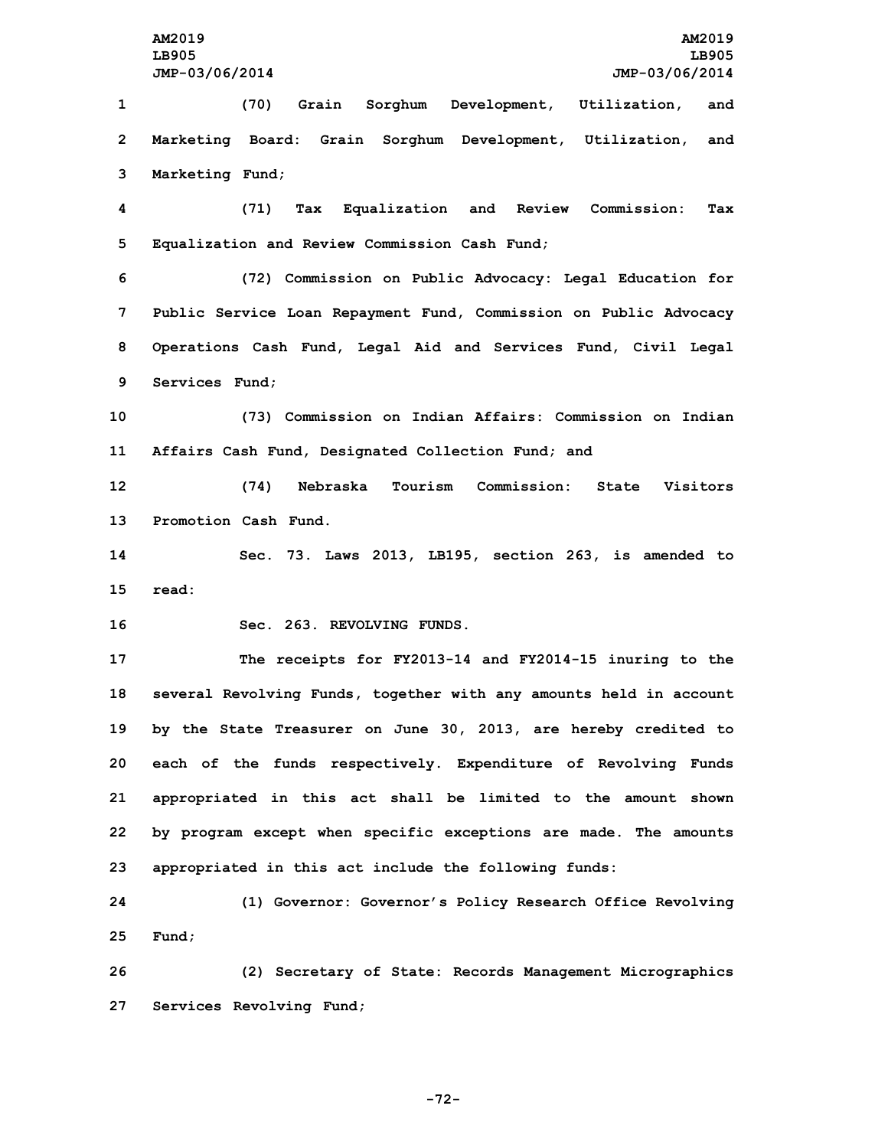**AM2019 AM2019 LB905 LB905 JMP-03/06/2014 JMP-03/06/2014 (70) Grain Sorghum Development, Utilization, and Marketing Board: Grain Sorghum Development, Utilization, and Marketing Fund; (71) Tax Equalization and Review Commission: Tax Equalization and Review Commission Cash Fund; (72) Commission on Public Advocacy: Legal Education for Public Service Loan Repayment Fund, Commission on Public Advocacy Operations Cash Fund, Legal Aid and Services Fund, Civil Legal Services Fund; (73) Commission on Indian Affairs: Commission on Indian Affairs Cash Fund, Designated Collection Fund; and (74) Nebraska Tourism Commission: State Visitors Promotion Cash Fund. Sec. 73. Laws 2013, LB195, section 263, is amended to 15 read: Sec. 263. REVOLVING FUNDS. The receipts for FY2013-14 and FY2014-15 inuring to the several Revolving Funds, together with any amounts held in account by the State Treasurer on June 30, 2013, are hereby credited to each of the funds respectively. Expenditure of Revolving Funds appropriated in this act shall be limited to the amount shown by program except when specific exceptions are made. The amounts appropriated in this act include the following funds: (1) Governor: Governor's Policy Research Office Revolving 25 Fund; (2) Secretary of State: Records Management Micrographics Services Revolving Fund;**

**-72-**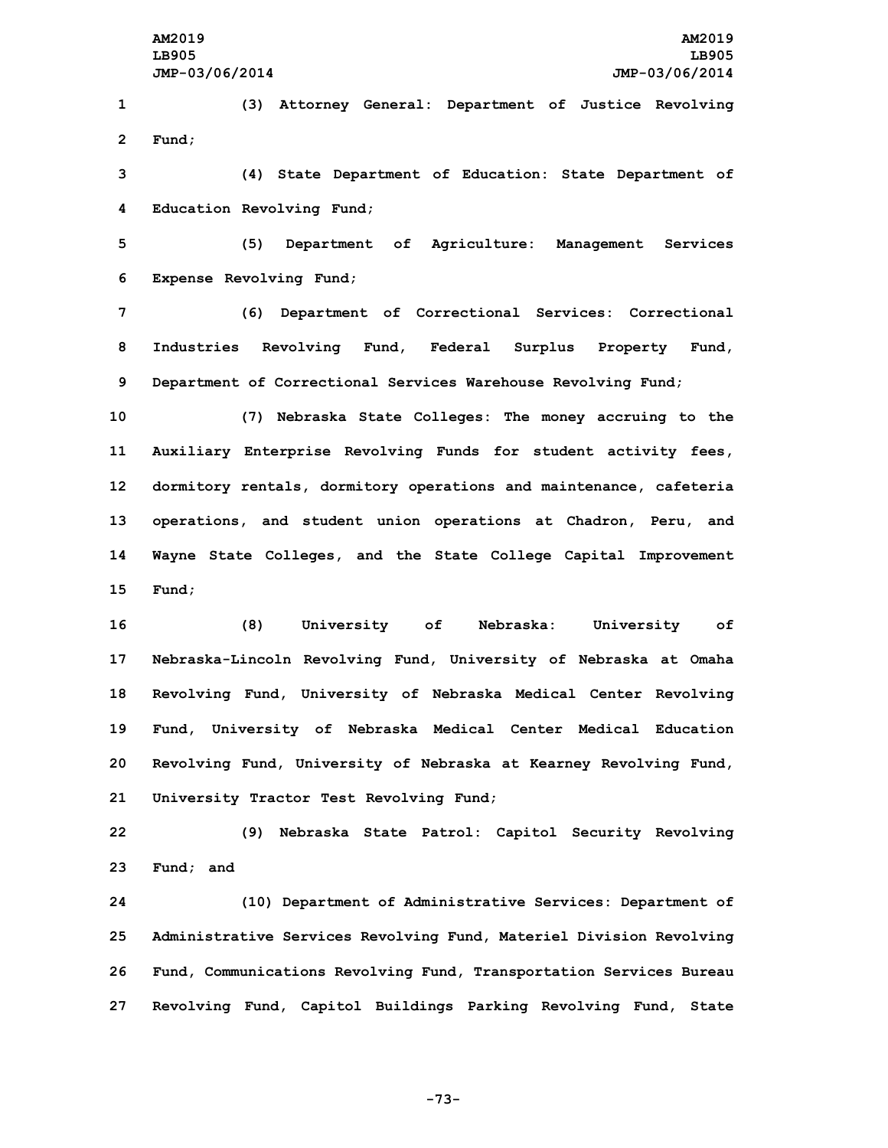**1 (3) Attorney General: Department of Justice Revolving 2 Fund;**

**3 (4) State Department of Education: State Department of 4 Education Revolving Fund;**

**5 (5) Department of Agriculture: Management Services 6 Expense Revolving Fund;**

**7 (6) Department of Correctional Services: Correctional 8 Industries Revolving Fund, Federal Surplus Property Fund, 9 Department of Correctional Services Warehouse Revolving Fund;**

 **(7) Nebraska State Colleges: The money accruing to the Auxiliary Enterprise Revolving Funds for student activity fees, dormitory rentals, dormitory operations and maintenance, cafeteria operations, and student union operations at Chadron, Peru, and Wayne State Colleges, and the State College Capital Improvement 15 Fund;**

 **(8) University of Nebraska: University of Nebraska-Lincoln Revolving Fund, University of Nebraska at Omaha Revolving Fund, University of Nebraska Medical Center Revolving Fund, University of Nebraska Medical Center Medical Education Revolving Fund, University of Nebraska at Kearney Revolving Fund, University Tractor Test Revolving Fund;**

**22 (9) Nebraska State Patrol: Capitol Security Revolving 23 Fund; and**

 **(10) Department of Administrative Services: Department of Administrative Services Revolving Fund, Materiel Division Revolving Fund, Communications Revolving Fund, Transportation Services Bureau Revolving Fund, Capitol Buildings Parking Revolving Fund, State**

**-73-**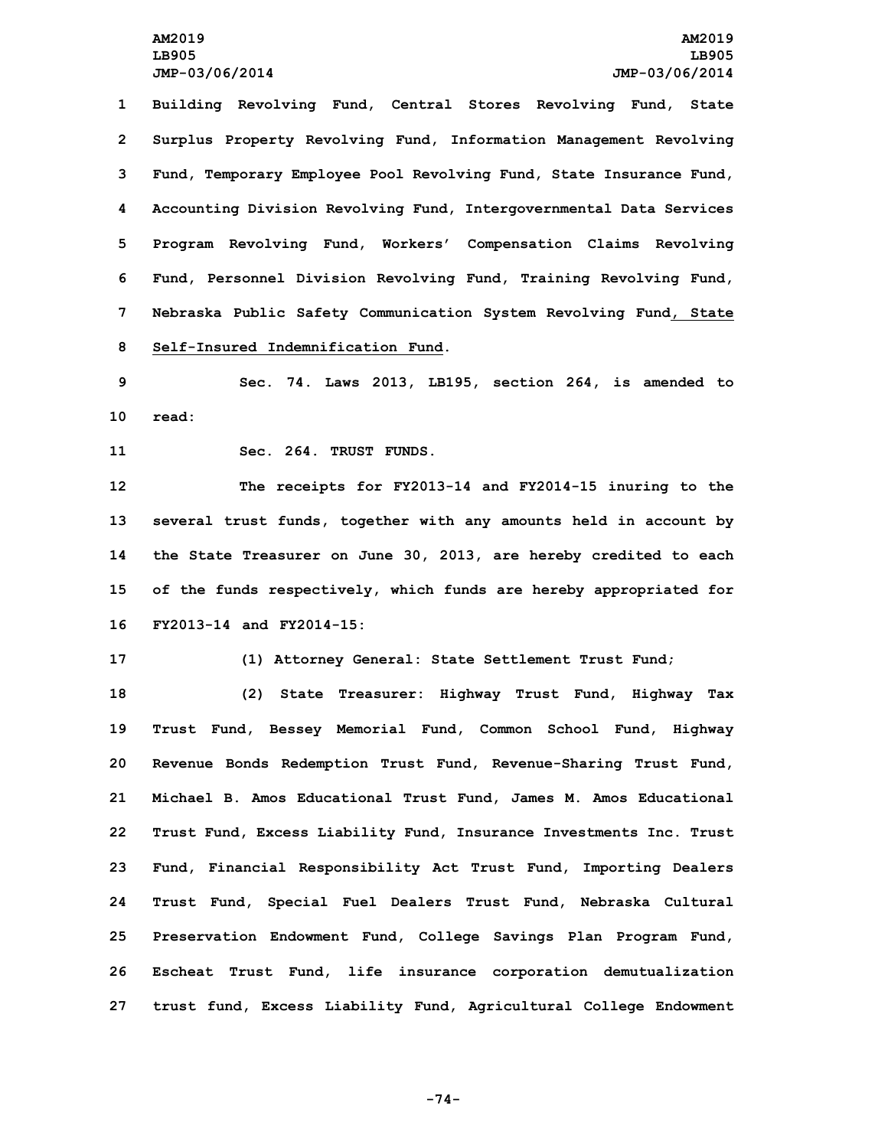**Building Revolving Fund, Central Stores Revolving Fund, State Surplus Property Revolving Fund, Information Management Revolving Fund, Temporary Employee Pool Revolving Fund, State Insurance Fund, Accounting Division Revolving Fund, Intergovernmental Data Services Program Revolving Fund, Workers' Compensation Claims Revolving Fund, Personnel Division Revolving Fund, Training Revolving Fund, Nebraska Public Safety Communication System Revolving Fund, State Self-Insured Indemnification Fund.**

**9 Sec. 74. Laws 2013, LB195, section 264, is amended to 10 read:**

**11 Sec. 264. TRUST FUNDS.**

 **The receipts for FY2013-14 and FY2014-15 inuring to the several trust funds, together with any amounts held in account by the State Treasurer on June 30, 2013, are hereby credited to each of the funds respectively, which funds are hereby appropriated for FY2013-14 and FY2014-15:**

**17 (1) Attorney General: State Settlement Trust Fund;**

 **(2) State Treasurer: Highway Trust Fund, Highway Tax Trust Fund, Bessey Memorial Fund, Common School Fund, Highway Revenue Bonds Redemption Trust Fund, Revenue-Sharing Trust Fund, Michael B. Amos Educational Trust Fund, James M. Amos Educational Trust Fund, Excess Liability Fund, Insurance Investments Inc. Trust Fund, Financial Responsibility Act Trust Fund, Importing Dealers Trust Fund, Special Fuel Dealers Trust Fund, Nebraska Cultural Preservation Endowment Fund, College Savings Plan Program Fund, Escheat Trust Fund, life insurance corporation demutualization trust fund, Excess Liability Fund, Agricultural College Endowment**

**-74-**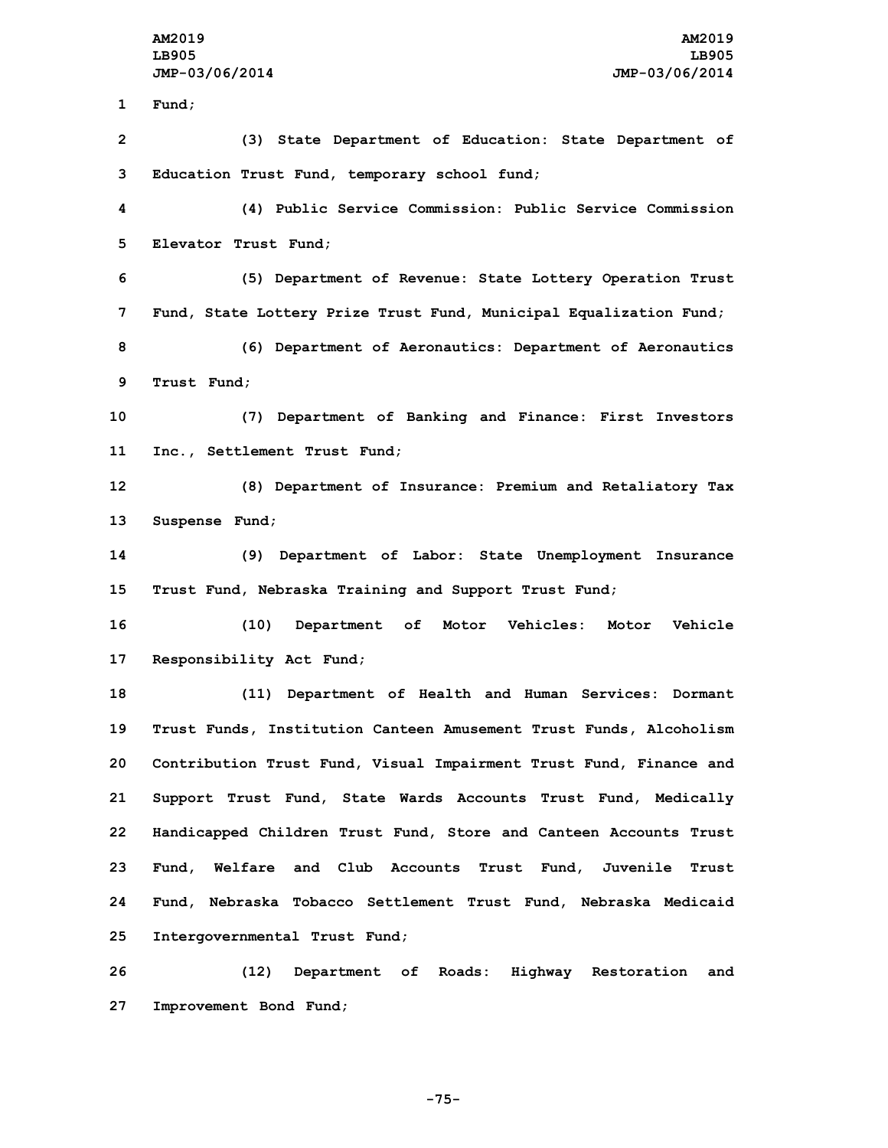**1 Fund; (3) State Department of Education: State Department of Education Trust Fund, temporary school fund; (4) Public Service Commission: Public Service Commission Elevator Trust Fund; (5) Department of Revenue: State Lottery Operation Trust Fund, State Lottery Prize Trust Fund, Municipal Equalization Fund; (6) Department of Aeronautics: Department of Aeronautics Trust Fund; (7) Department of Banking and Finance: First Investors Inc., Settlement Trust Fund; (8) Department of Insurance: Premium and Retaliatory Tax Suspense Fund; (9) Department of Labor: State Unemployment Insurance Trust Fund, Nebraska Training and Support Trust Fund; (10) Department of Motor Vehicles: Motor Vehicle Responsibility Act Fund; (11) Department of Health and Human Services: Dormant Trust Funds, Institution Canteen Amusement Trust Funds, Alcoholism Contribution Trust Fund, Visual Impairment Trust Fund, Finance and Support Trust Fund, State Wards Accounts Trust Fund, Medically Handicapped Children Trust Fund, Store and Canteen Accounts Trust Fund, Welfare and Club Accounts Trust Fund, Juvenile Trust Fund, Nebraska Tobacco Settlement Trust Fund, Nebraska Medicaid Intergovernmental Trust Fund; (12) Department of Roads: Highway Restoration and Improvement Bond Fund;**

**-75-**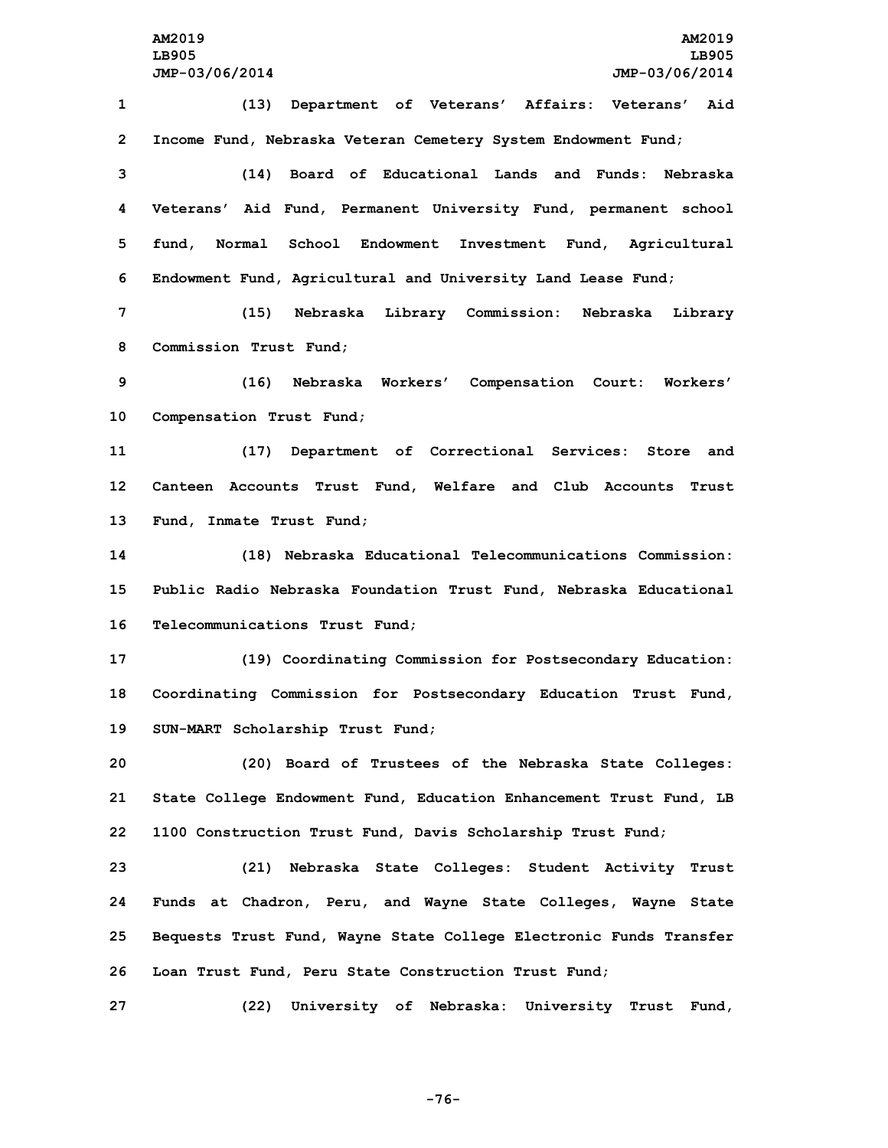**(13) Department of Veterans' Affairs: Veterans' Aid Income Fund, Nebraska Veteran Cemetery System Endowment Fund; (14) Board of Educational Lands and Funds: Nebraska Veterans' Aid Fund, Permanent University Fund, permanent school fund, Normal School Endowment Investment Fund, Agricultural Endowment Fund, Agricultural and University Land Lease Fund; (15) Nebraska Library Commission: Nebraska Library Commission Trust Fund; (16) Nebraska Workers' Compensation Court: Workers' Compensation Trust Fund;**

**11 (17) Department of Correctional Services: Store and 12 Canteen Accounts Trust Fund, Welfare and Club Accounts Trust 13 Fund, Inmate Trust Fund;**

**14 (18) Nebraska Educational Telecommunications Commission: 15 Public Radio Nebraska Foundation Trust Fund, Nebraska Educational 16 Telecommunications Trust Fund;**

**17 (19) Coordinating Commission for Postsecondary Education: 18 Coordinating Commission for Postsecondary Education Trust Fund, 19 SUN-MART Scholarship Trust Fund;**

**20 (20) Board of Trustees of the Nebraska State Colleges: 21 State College Endowment Fund, Education Enhancement Trust Fund, LB 22 1100 Construction Trust Fund, Davis Scholarship Trust Fund;**

 **(21) Nebraska State Colleges: Student Activity Trust Funds at Chadron, Peru, and Wayne State Colleges, Wayne State Bequests Trust Fund, Wayne State College Electronic Funds Transfer Loan Trust Fund, Peru State Construction Trust Fund;**

**27 (22) University of Nebraska: University Trust Fund,**

**-76-**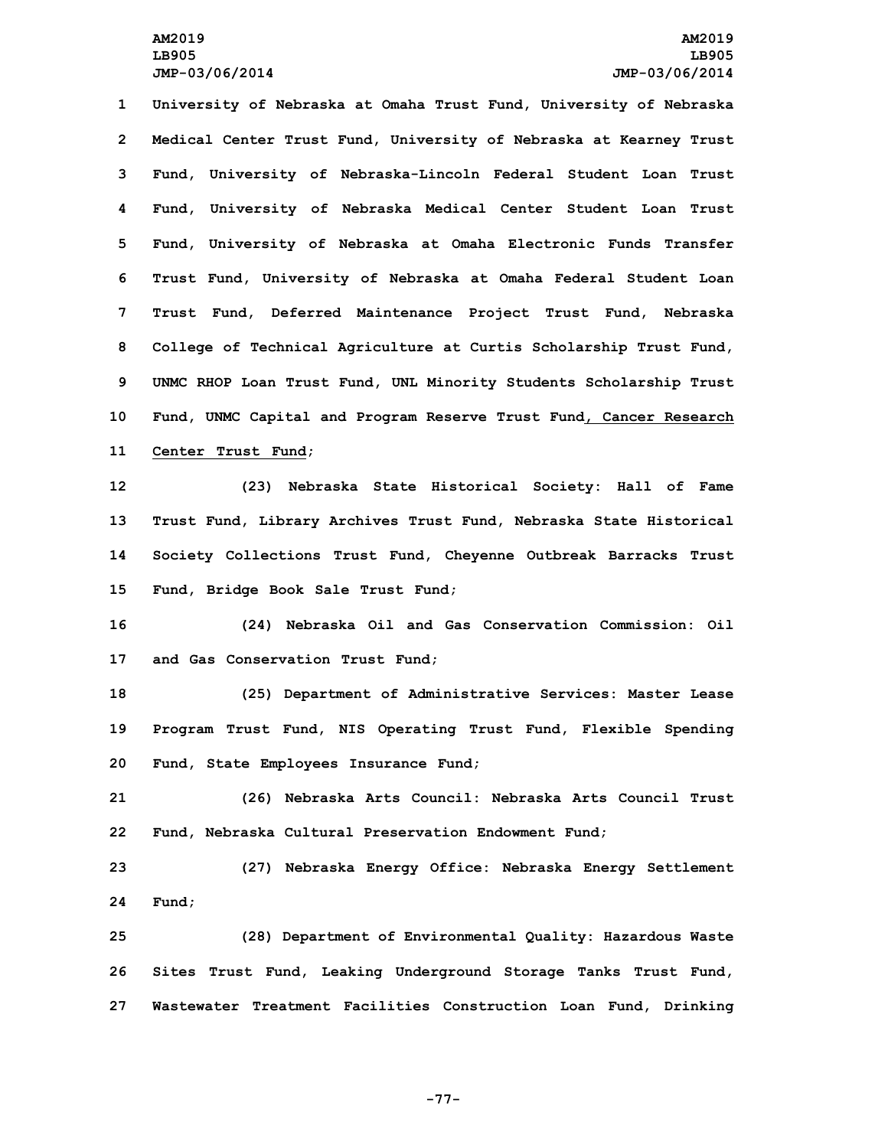**University of Nebraska at Omaha Trust Fund, University of Nebraska Medical Center Trust Fund, University of Nebraska at Kearney Trust Fund, University of Nebraska-Lincoln Federal Student Loan Trust Fund, University of Nebraska Medical Center Student Loan Trust Fund, University of Nebraska at Omaha Electronic Funds Transfer Trust Fund, University of Nebraska at Omaha Federal Student Loan Trust Fund, Deferred Maintenance Project Trust Fund, Nebraska College of Technical Agriculture at Curtis Scholarship Trust Fund, UNMC RHOP Loan Trust Fund, UNL Minority Students Scholarship Trust Fund, UNMC Capital and Program Reserve Trust Fund, Cancer Research Center Trust Fund;**

 **(23) Nebraska State Historical Society: Hall of Fame Trust Fund, Library Archives Trust Fund, Nebraska State Historical Society Collections Trust Fund, Cheyenne Outbreak Barracks Trust Fund, Bridge Book Sale Trust Fund;**

**16 (24) Nebraska Oil and Gas Conservation Commission: Oil 17 and Gas Conservation Trust Fund;**

**18 (25) Department of Administrative Services: Master Lease 19 Program Trust Fund, NIS Operating Trust Fund, Flexible Spending 20 Fund, State Employees Insurance Fund;**

**21 (26) Nebraska Arts Council: Nebraska Arts Council Trust 22 Fund, Nebraska Cultural Preservation Endowment Fund;**

**23 (27) Nebraska Energy Office: Nebraska Energy Settlement 24 Fund;**

**25 (28) Department of Environmental Quality: Hazardous Waste 26 Sites Trust Fund, Leaking Underground Storage Tanks Trust Fund, 27 Wastewater Treatment Facilities Construction Loan Fund, Drinking**

**-77-**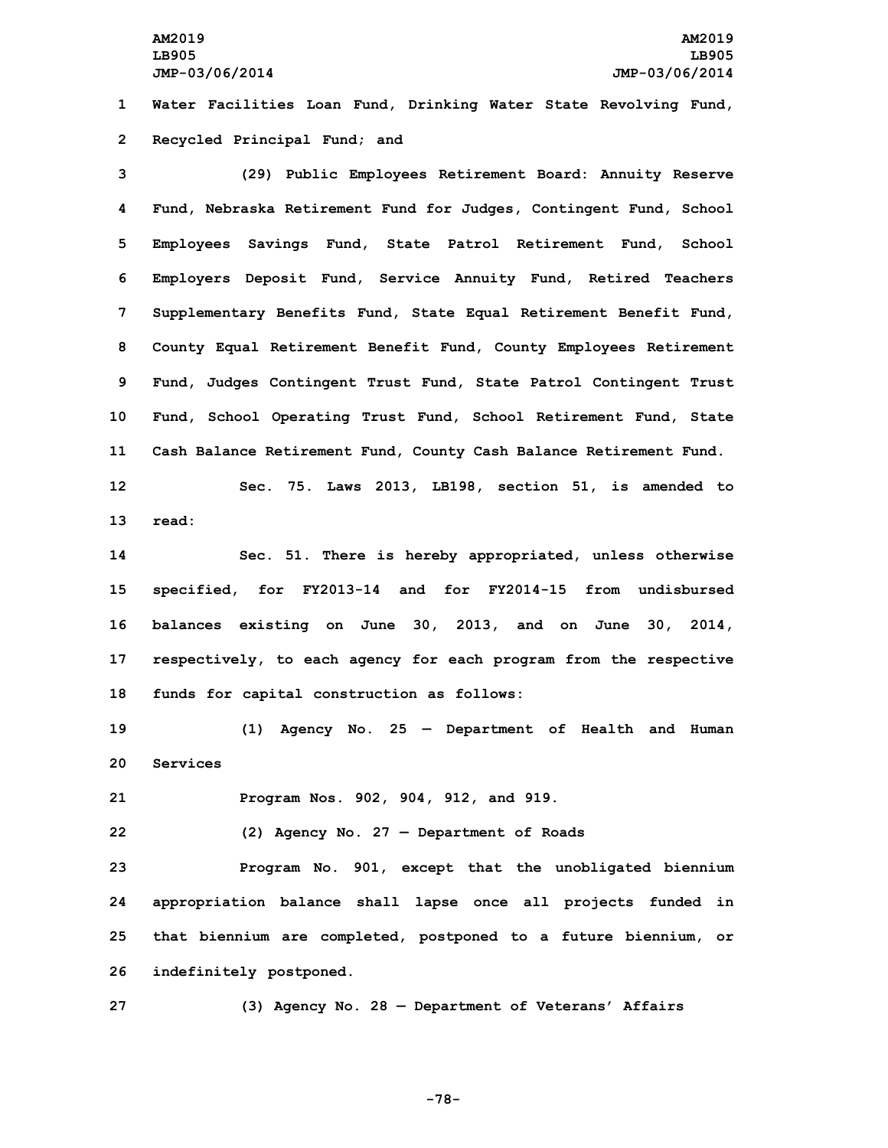**1 Water Facilities Loan Fund, Drinking Water State Revolving Fund, 2 Recycled Principal Fund; and**

 **(29) Public Employees Retirement Board: Annuity Reserve Fund, Nebraska Retirement Fund for Judges, Contingent Fund, School Employees Savings Fund, State Patrol Retirement Fund, School Employers Deposit Fund, Service Annuity Fund, Retired Teachers Supplementary Benefits Fund, State Equal Retirement Benefit Fund, County Equal Retirement Benefit Fund, County Employees Retirement Fund, Judges Contingent Trust Fund, State Patrol Contingent Trust Fund, School Operating Trust Fund, School Retirement Fund, State Cash Balance Retirement Fund, County Cash Balance Retirement Fund.**

**12 Sec. 75. Laws 2013, LB198, section 51, is amended to 13 read:**

 **Sec. 51. There is hereby appropriated, unless otherwise specified, for FY2013-14 and for FY2014-15 from undisbursed balances existing on June 30, 2013, and on June 30, 2014, respectively, to each agency for each program from the respective funds for capital construction as follows:**

**19 (1) Agency No. 25 — Department of Health and Human 20 Services**

**21 Program Nos. 902, 904, 912, and 919.**

**22 (2) Agency No. 27 — Department of Roads**

 **Program No. 901, except that the unobligated biennium appropriation balance shall lapse once all projects funded in that biennium are completed, postponed to <sup>a</sup> future biennium, or indefinitely postponed.**

**27 (3) Agency No. 28 — Department of Veterans' Affairs**

**-78-**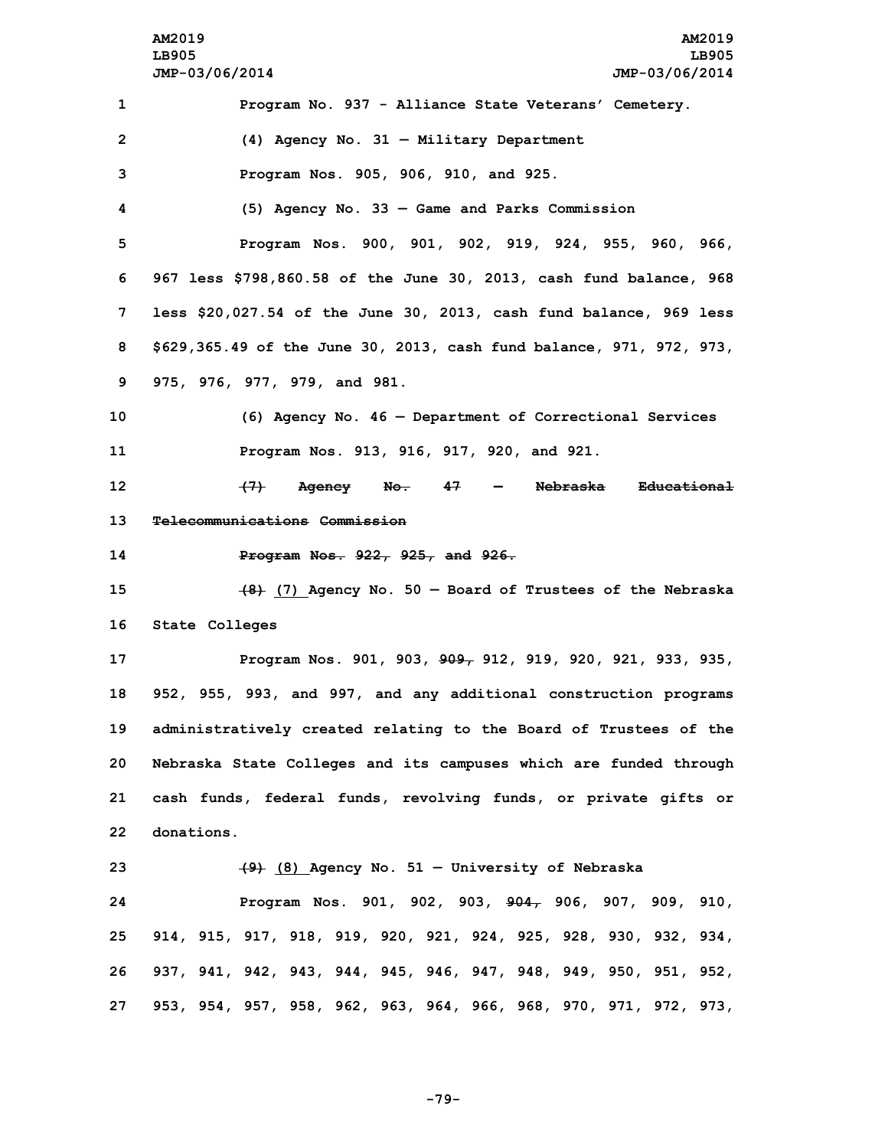**AM2019 AM2019 LB905 LB905 JMP-03/06/2014 JMP-03/06/2014 Program No. 937 - Alliance State Veterans' Cemetery. (4) Agency No. 31 — Military Department Program Nos. 905, 906, 910, and 925. (5) Agency No. 33 — Game and Parks Commission Program Nos. 900, 901, 902, 919, 924, 955, 960, 966, 967 less \$798,860.58 of the June 30, 2013, cash fund balance, 968 less \$20,027.54 of the June 30, 2013, cash fund balance, 969 less \$629,365.49 of the June 30, 2013, cash fund balance, 971, 972, 973, 975, 976, 977, 979, and 981. (6) Agency No. 46 — Department of Correctional Services Program Nos. 913, 916, 917, 920, and 921. (7) Agency No. 47 — Nebraska Educational Telecommunications Commission Program Nos. 922, 925, and 926. (8) (7) Agency No. 50 — Board of Trustees of the Nebraska State Colleges Program Nos. 901, 903, 909, 912, 919, 920, 921, 933, 935, 952, 955, 993, and 997, and any additional construction programs administratively created relating to the Board of Trustees of the Nebraska State Colleges and its campuses which are funded through cash funds, federal funds, revolving funds, or private gifts or donations. (9) (8) Agency No. 51 — University of Nebraska Program Nos. 901, 902, 903, 904, 906, 907, 909, 910, 914, 915, 917, 918, 919, 920, 921, 924, 925, 928, 930, 932, 934, 937, 941, 942, 943, 944, 945, 946, 947, 948, 949, 950, 951, 952, 953, 954, 957, 958, 962, 963, 964, 966, 968, 970, 971, 972, 973,**

**-79-**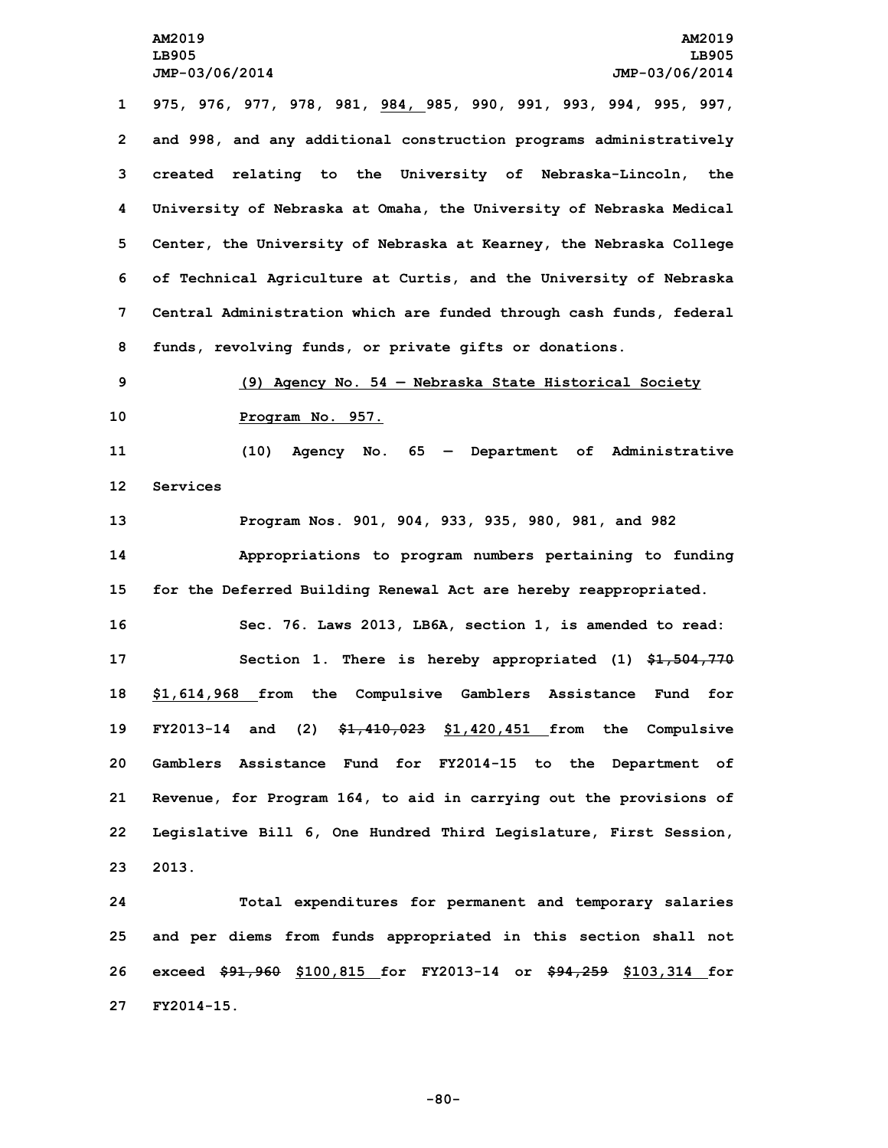**975, 976, 977, 978, 981, 984, 985, 990, 991, 993, 994, 995, 997, and 998, and any additional construction programs administratively created relating to the University of Nebraska-Lincoln, the University of Nebraska at Omaha, the University of Nebraska Medical Center, the University of Nebraska at Kearney, the Nebraska College of Technical Agriculture at Curtis, and the University of Nebraska Central Administration which are funded through cash funds, federal funds, revolving funds, or private gifts or donations.**

**9 (9) Agency No. 54 — Nebraska State Historical Society 10 Program No. 957.**

**11 (10) Agency No. 65 — Department of Administrative 12 Services**

 **Program Nos. 901, 904, 933, 935, 980, 981, and 982 Appropriations to program numbers pertaining to funding for the Deferred Building Renewal Act are hereby reappropriated. Sec. 76. Laws 2013, LB6A, section 1, is amended to read: Section 1. There is hereby appropriated (1) \$1,504,770 \$1,614,968 from the Compulsive Gamblers Assistance Fund for FY2013-14 and (2) \$1,410,023 \$1,420,451 from the Compulsive Gamblers Assistance Fund for FY2014-15 to the Department of Revenue, for Program 164, to aid in carrying out the provisions of Legislative Bill 6, One Hundred Third Legislature, First Session, 23 2013.**

 **Total expenditures for permanent and temporary salaries and per diems from funds appropriated in this section shall not exceed \$91,960 \$100,815 for FY2013-14 or \$94,259 \$103,314 for FY2014-15.**

**-80-**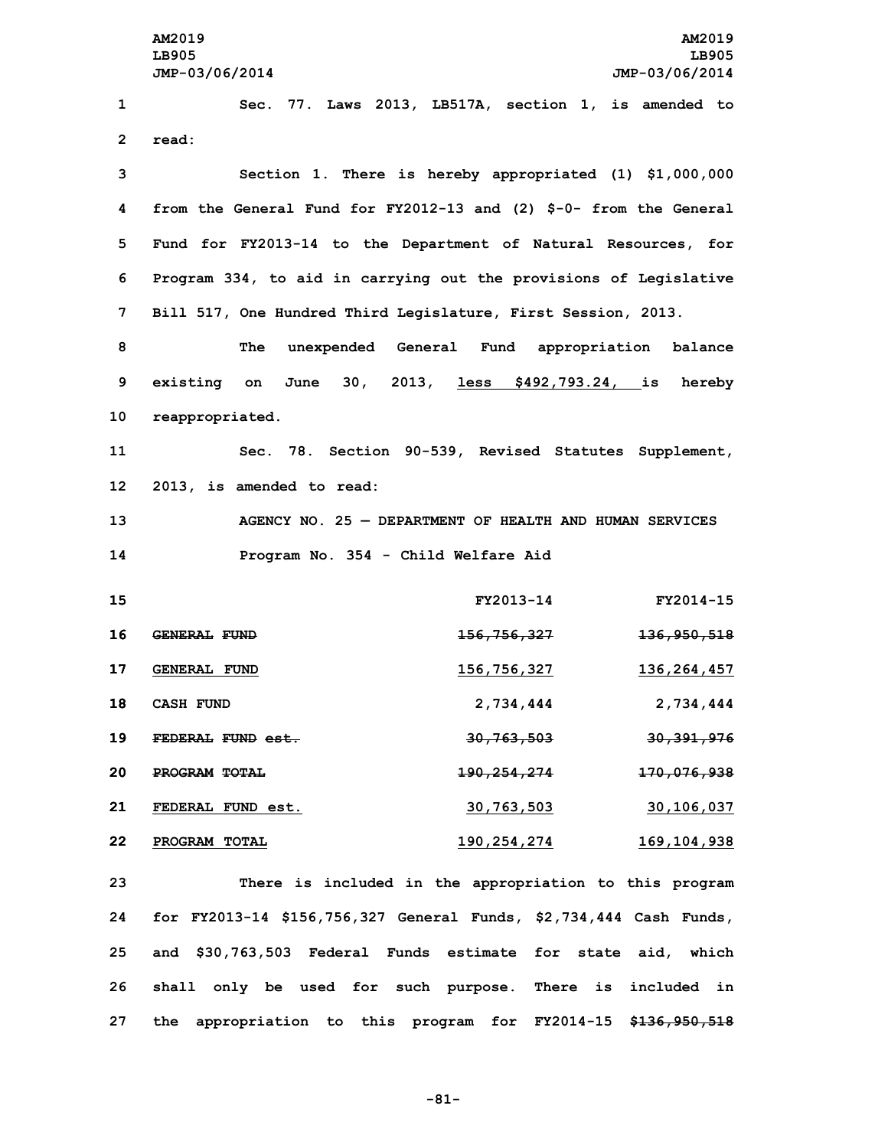**AM2019 AM2019 LB905 LB905 JMP-03/06/2014 JMP-03/06/2014 Sec. 77. Laws 2013, LB517A, section 1, is amended to 2 read: Section 1. There is hereby appropriated (1) \$1,000,000 from the General Fund for FY2012-13 and (2) \$-0- from the General Fund for FY2013-14 to the Department of Natural Resources, for Program 334, to aid in carrying out the provisions of Legislative Bill 517, One Hundred Third Legislature, First Session, 2013. The unexpended General Fund appropriation balance existing on June 30, 2013, less \$492,793.24, is hereby reappropriated. Sec. 78. Section 90-539, Revised Statutes Supplement, 2013, is amended to read: AGENCY NO. 25 — DEPARTMENT OF HEALTH AND HUMAN SERVICES Program No. 354 - Child Welfare Aid FY2013-14 FY2014-15 GENERAL FUND 156,756,327 136,950,518 GENERAL FUND 156,756,327 136,264,457 CASH FUND 2,734,444 2,734,444 FEDERAL FUND est. 30,763,503 30,391,976 PROGRAM TOTAL 190,254,274 170,076,938 FEDERAL FUND est. 30,763,503 30,106,037 PROGRAM TOTAL 190,254,274 169,104,938 There is included in the appropriation to this program for FY2013-14 \$156,756,327 General Funds, \$2,734,444 Cash Funds,**

**25 and \$30,763,503 Federal Funds estimate for state aid, which 26 shall only be used for such purpose. There is included in 27 the appropriation to this program for FY2014-15 \$136,950,518**

**-81-**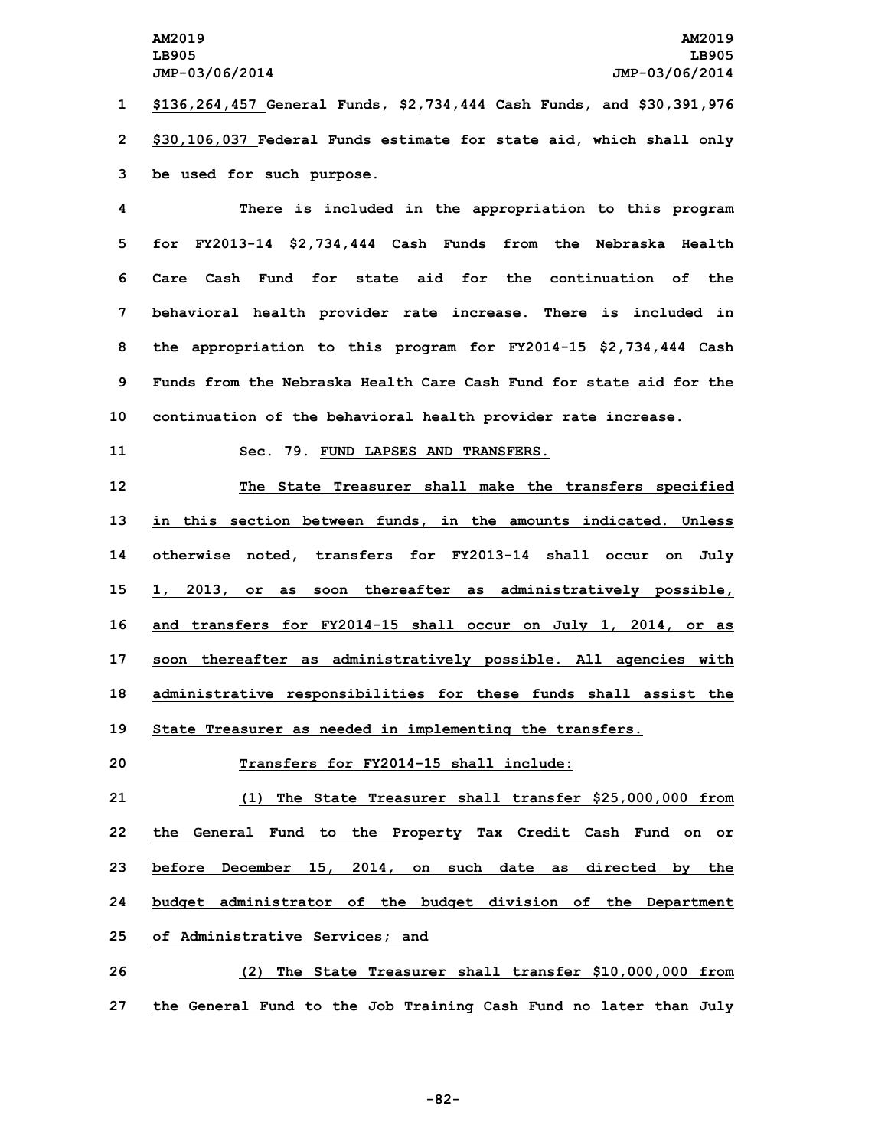**1 \$136,264,457 General Funds, \$2,734,444 Cash Funds, and \$30,391,976 2 \$30,106,037 Federal Funds estimate for state aid, which shall only 3 be used for such purpose.**

 **There is included in the appropriation to this program for FY2013-14 \$2,734,444 Cash Funds from the Nebraska Health Care Cash Fund for state aid for the continuation of the behavioral health provider rate increase. There is included in the appropriation to this program for FY2014-15 \$2,734,444 Cash Funds from the Nebraska Health Care Cash Fund for state aid for the continuation of the behavioral health provider rate increase.**

## **11 Sec. 79. FUND LAPSES AND TRANSFERS.**

 **The State Treasurer shall make the transfers specified in this section between funds, in the amounts indicated. Unless otherwise noted, transfers for FY2013-14 shall occur on July 1, 2013, or as soon thereafter as administratively possible, and transfers for FY2014-15 shall occur on July 1, 2014, or as soon thereafter as administratively possible. All agencies with administrative responsibilities for these funds shall assist the State Treasurer as needed in implementing the transfers.**

**20 Transfers for FY2014-15 shall include:**

 **(1) The State Treasurer shall transfer \$25,000,000 from the General Fund to the Property Tax Credit Cash Fund on or before December 15, 2014, on such date as directed by the budget administrator of the budget division of the Department of Administrative Services; and**

**26 (2) The State Treasurer shall transfer \$10,000,000 from 27 the General Fund to the Job Training Cash Fund no later than July**

**-82-**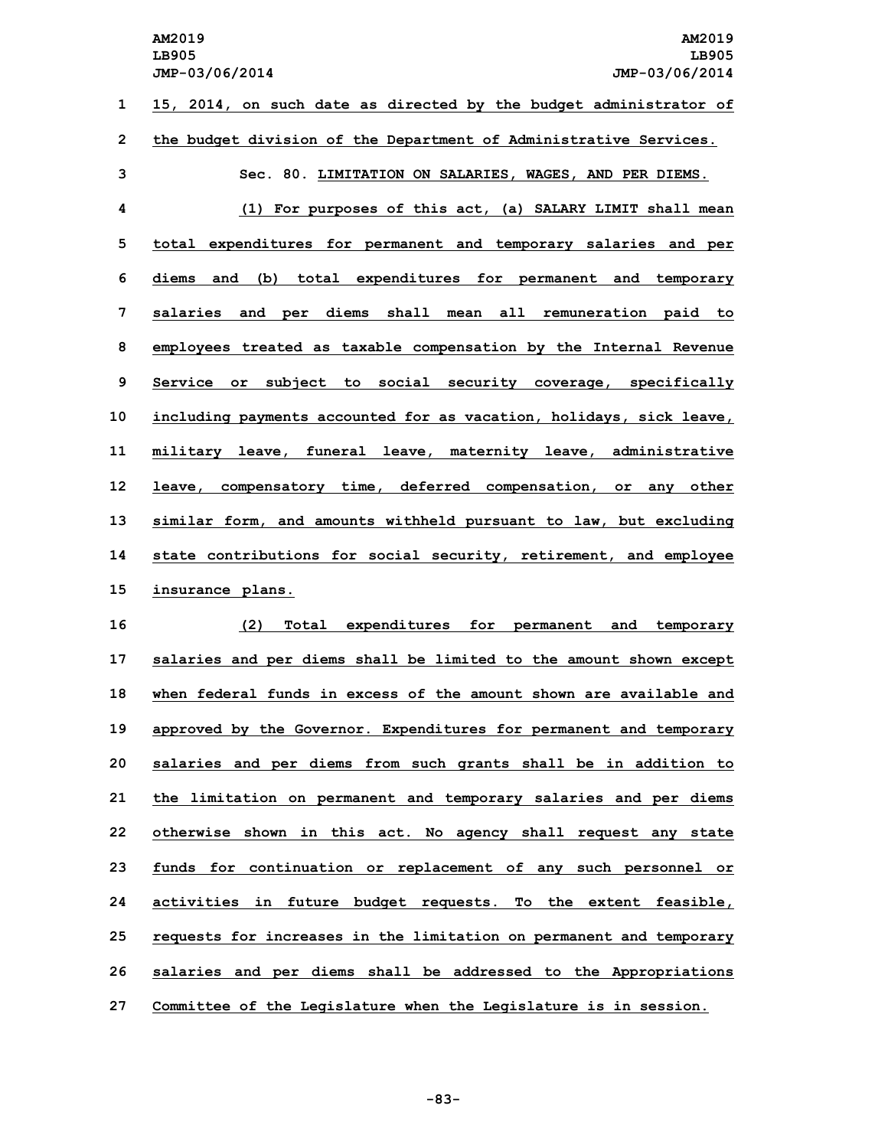**AM2019 AM2019 LB905 LB905 JMP-03/06/2014 JMP-03/06/2014 15, 2014, on such date as directed by the budget administrator of the budget division of the Department of Administrative Services. Sec. 80. LIMITATION ON SALARIES, WAGES, AND PER DIEMS. (1) For purposes of this act, (a) SALARY LIMIT shall mean total expenditures for permanent and temporary salaries and per diems and (b) total expenditures for permanent and temporary salaries and per diems shall mean all remuneration paid to employees treated as taxable compensation by the Internal Revenue Service or subject to social security coverage, specifically including payments accounted for as vacation, holidays, sick leave, military leave, funeral leave, maternity leave, administrative leave, compensatory time, deferred compensation, or any other**

**13 similar form, and amounts withheld pursuant to law, but excluding 14 state contributions for social security, retirement, and employee 15 insurance plans.**

 **(2) Total expenditures for permanent and temporary salaries and per diems shall be limited to the amount shown except when federal funds in excess of the amount shown are available and approved by the Governor. Expenditures for permanent and temporary salaries and per diems from such grants shall be in addition to the limitation on permanent and temporary salaries and per diems otherwise shown in this act. No agency shall request any state funds for continuation or replacement of any such personnel or activities in future budget requests. To the extent feasible, requests for increases in the limitation on permanent and temporary salaries and per diems shall be addressed to the Appropriations Committee of the Legislature when the Legislature is in session.**

**-83-**